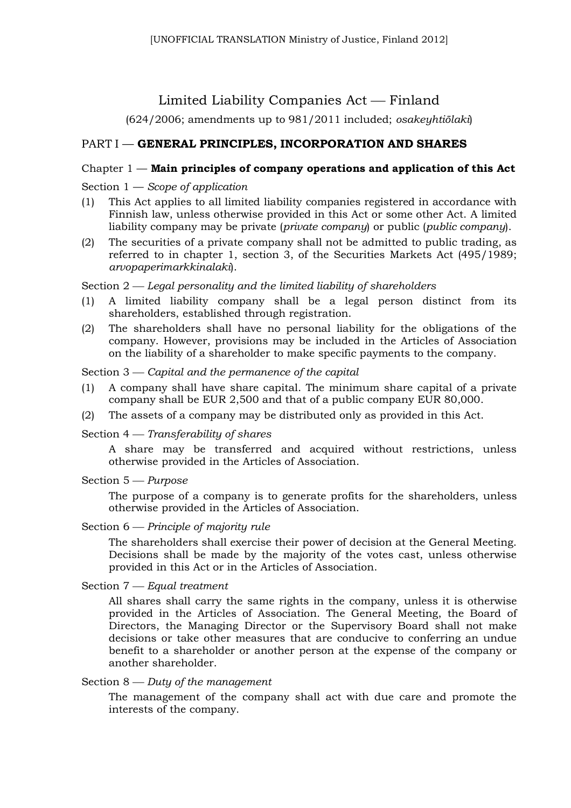# Limited Liability Companies Act — Finland

(624/2006; amendments up to 981/2011 included; *osakeyhtiölaki*)

## PART I — **GENERAL PRINCIPLES, INCORPORATION AND SHARES**

## Chapter 1 — **Main principles of company operations and application of this Act**

## Section 1 — *Scope of application*

- (1) This Act applies to all limited liability companies registered in accordance with Finnish law, unless otherwise provided in this Act or some other Act. A limited liability company may be private (*private company*) or public (*public company*).
- (2) The securities of a private company shall not be admitted to public trading, as referred to in chapter 1, section 3, of the Securities Markets Act (495/1989; *arvopaperimarkkinalaki*).

### Section 2 *Legal personality and the limited liability of shareholders*

- (1) A limited liability company shall be a legal person distinct from its shareholders, established through registration.
- (2) The shareholders shall have no personal liability for the obligations of the company. However, provisions may be included in the Articles of Association on the liability of a shareholder to make specific payments to the company.

### Section 3 — Capital and the permanence of the capital

- (1) A company shall have share capital. The minimum share capital of a private company shall be EUR 2,500 and that of a public company EUR 80,000.
- (2) The assets of a company may be distributed only as provided in this Act.

### Section 4 *Transferability of shares*

A share may be transferred and acquired without restrictions, unless otherwise provided in the Articles of Association.

### Section 5 *Purpose*

The purpose of a company is to generate profits for the shareholders, unless otherwise provided in the Articles of Association.

### Section  $6$  *— Principle of majority rule*

The shareholders shall exercise their power of decision at the General Meeting. Decisions shall be made by the majority of the votes cast, unless otherwise provided in this Act or in the Articles of Association.

### Section 7 *Equal treatment*

All shares shall carry the same rights in the company, unless it is otherwise provided in the Articles of Association. The General Meeting, the Board of Directors, the Managing Director or the Supervisory Board shall not make decisions or take other measures that are conducive to conferring an undue benefit to a shareholder or another person at the expense of the company or another shareholder.

## Section  $8 -$  *Duty of the management*

The management of the company shall act with due care and promote the interests of the company.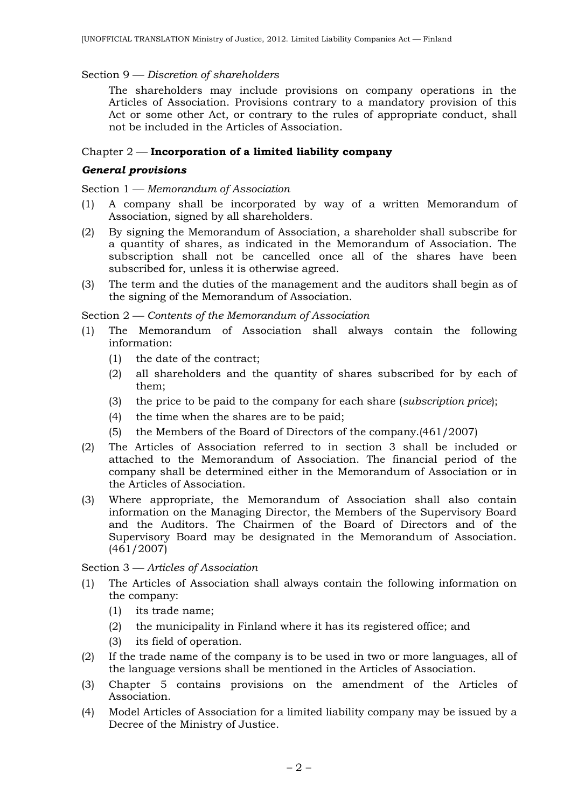### Section 9 *Discretion of shareholders*

The shareholders may include provisions on company operations in the Articles of Association. Provisions contrary to a mandatory provision of this Act or some other Act, or contrary to the rules of appropriate conduct, shall not be included in the Articles of Association.

### Chapter 2 **Incorporation of a limited liability company**

#### *General provisions*

Section 1 – Memorandum of Association

- (1) A company shall be incorporated by way of a written Memorandum of Association, signed by all shareholders.
- (2) By signing the Memorandum of Association, a shareholder shall subscribe for a quantity of shares, as indicated in the Memorandum of Association. The subscription shall not be cancelled once all of the shares have been subscribed for, unless it is otherwise agreed.
- (3) The term and the duties of the management and the auditors shall begin as of the signing of the Memorandum of Association.

Section 2 *Contents of the Memorandum of Association*

- (1) The Memorandum of Association shall always contain the following information:
	- (1) the date of the contract;
	- (2) all shareholders and the quantity of shares subscribed for by each of them;
	- (3) the price to be paid to the company for each share (*subscription price*);
	- (4) the time when the shares are to be paid;
	- (5) the Members of the Board of Directors of the company.(461/2007)
- (2) The Articles of Association referred to in section 3 shall be included or attached to the Memorandum of Association. The financial period of the company shall be determined either in the Memorandum of Association or in the Articles of Association.
- (3) Where appropriate, the Memorandum of Association shall also contain information on the Managing Director, the Members of the Supervisory Board and the Auditors. The Chairmen of the Board of Directors and of the Supervisory Board may be designated in the Memorandum of Association. (461/2007)

Section 3 *Articles of Association*

- (1) The Articles of Association shall always contain the following information on the company:
	- (1) its trade name;
	- (2) the municipality in Finland where it has its registered office; and
	- (3) its field of operation.
- (2) If the trade name of the company is to be used in two or more languages, all of the language versions shall be mentioned in the Articles of Association.
- (3) Chapter 5 contains provisions on the amendment of the Articles of Association.
- (4) Model Articles of Association for a limited liability company may be issued by a Decree of the Ministry of Justice.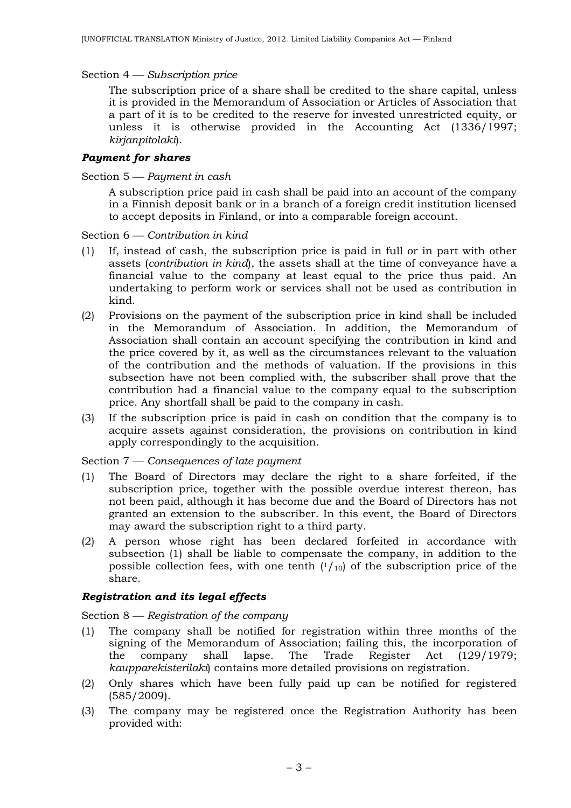Section 4 *Subscription price*

The subscription price of a share shall be credited to the share capital, unless it is provided in the Memorandum of Association or Articles of Association that a part of it is to be credited to the reserve for invested unrestricted equity, or unless it is otherwise provided in the Accounting Act (1336/1997; *kirjanpitolaki*).

### *Payment for shares*

Section 5 *Payment in cash*

A subscription price paid in cash shall be paid into an account of the company in a Finnish deposit bank or in a branch of a foreign credit institution licensed to accept deposits in Finland, or into a comparable foreign account.

Section  $6$  – *Contribution in kind* 

- (1) If, instead of cash, the subscription price is paid in full or in part with other assets (*contribution in kind*), the assets shall at the time of conveyance have a financial value to the company at least equal to the price thus paid. An undertaking to perform work or services shall not be used as contribution in kind.
- (2) Provisions on the payment of the subscription price in kind shall be included in the Memorandum of Association. In addition, the Memorandum of Association shall contain an account specifying the contribution in kind and the price covered by it, as well as the circumstances relevant to the valuation of the contribution and the methods of valuation. If the provisions in this subsection have not been complied with, the subscriber shall prove that the contribution had a financial value to the company equal to the subscription price. Any shortfall shall be paid to the company in cash.
- (3) If the subscription price is paid in cash on condition that the company is to acquire assets against consideration, the provisions on contribution in kind apply correspondingly to the acquisition.

Section 7 *Consequences of late payment*

- (1) The Board of Directors may declare the right to a share forfeited, if the subscription price, together with the possible overdue interest thereon, has not been paid, although it has become due and the Board of Directors has not granted an extension to the subscriber. In this event, the Board of Directors may award the subscription right to a third party.
- (2) A person whose right has been declared forfeited in accordance with subsection (1) shall be liable to compensate the company, in addition to the possible collection fees, with one tenth  $(1/_{10})$  of the subscription price of the share.

### *Registration and its legal effects*

Section 8 – Registration of the company

- (1) The company shall be notified for registration within three months of the signing of the Memorandum of Association; failing this, the incorporation of the company shall lapse. The Trade Register Act (129/1979; *kaupparekisterilaki*) contains more detailed provisions on registration.
- (2) Only shares which have been fully paid up can be notified for registered (585/2009).
- (3) The company may be registered once the Registration Authority has been provided with: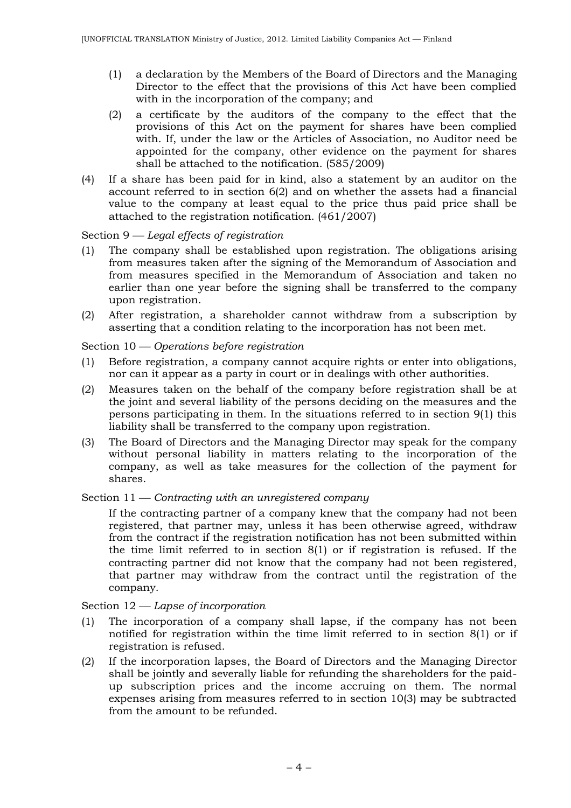- (1) a declaration by the Members of the Board of Directors and the Managing Director to the effect that the provisions of this Act have been complied with in the incorporation of the company; and
- (2) a certificate by the auditors of the company to the effect that the provisions of this Act on the payment for shares have been complied with. If, under the law or the Articles of Association, no Auditor need be appointed for the company, other evidence on the payment for shares shall be attached to the notification. (585/2009)
- (4) If a share has been paid for in kind, also a statement by an auditor on the account referred to in section 6(2) and on whether the assets had a financial value to the company at least equal to the price thus paid price shall be attached to the registration notification. (461/2007)

### Section 9 *Legal effects of registration*

- (1) The company shall be established upon registration. The obligations arising from measures taken after the signing of the Memorandum of Association and from measures specified in the Memorandum of Association and taken no earlier than one year before the signing shall be transferred to the company upon registration.
- (2) After registration, a shareholder cannot withdraw from a subscription by asserting that a condition relating to the incorporation has not been met.

#### Section 10 *Operations before registration*

- (1) Before registration, a company cannot acquire rights or enter into obligations, nor can it appear as a party in court or in dealings with other authorities.
- (2) Measures taken on the behalf of the company before registration shall be at the joint and several liability of the persons deciding on the measures and the persons participating in them. In the situations referred to in section 9(1) this liability shall be transferred to the company upon registration.
- (3) The Board of Directors and the Managing Director may speak for the company without personal liability in matters relating to the incorporation of the company, as well as take measures for the collection of the payment for shares.

#### Section 11 — *Contracting with an unregistered company*

If the contracting partner of a company knew that the company had not been registered, that partner may, unless it has been otherwise agreed, withdraw from the contract if the registration notification has not been submitted within the time limit referred to in section 8(1) or if registration is refused. If the contracting partner did not know that the company had not been registered, that partner may withdraw from the contract until the registration of the company.

#### Section 12 – *Lapse of incorporation*

- (1) The incorporation of a company shall lapse, if the company has not been notified for registration within the time limit referred to in section 8(1) or if registration is refused.
- (2) If the incorporation lapses, the Board of Directors and the Managing Director shall be jointly and severally liable for refunding the shareholders for the paidup subscription prices and the income accruing on them. The normal expenses arising from measures referred to in section 10(3) may be subtracted from the amount to be refunded.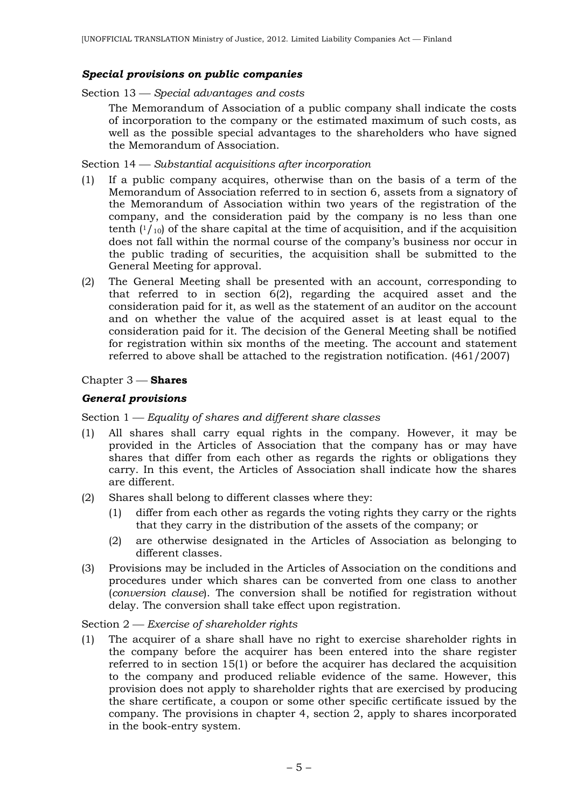### *Special provisions on public companies*

Section 13 *Special advantages and costs*

The Memorandum of Association of a public company shall indicate the costs of incorporation to the company or the estimated maximum of such costs, as well as the possible special advantages to the shareholders who have signed the Memorandum of Association.

Section 14 *Substantial acquisitions after incorporation*

- (1) If a public company acquires, otherwise than on the basis of a term of the Memorandum of Association referred to in section 6, assets from a signatory of the Memorandum of Association within two years of the registration of the company, and the consideration paid by the company is no less than one tenth  $(1/10)$  of the share capital at the time of acquisition, and if the acquisition does not fall within the normal course of the company's business nor occur in the public trading of securities, the acquisition shall be submitted to the General Meeting for approval.
- (2) The General Meeting shall be presented with an account, corresponding to that referred to in section 6(2), regarding the acquired asset and the consideration paid for it, as well as the statement of an auditor on the account and on whether the value of the acquired asset is at least equal to the consideration paid for it. The decision of the General Meeting shall be notified for registration within six months of the meeting. The account and statement referred to above shall be attached to the registration notification. (461/2007)

### Chapter 3 **Shares**

### *General provisions*

#### Section 1 *Equality of shares and different share classes*

- (1) All shares shall carry equal rights in the company. However, it may be provided in the Articles of Association that the company has or may have shares that differ from each other as regards the rights or obligations they carry. In this event, the Articles of Association shall indicate how the shares are different.
- (2) Shares shall belong to different classes where they:
	- (1) differ from each other as regards the voting rights they carry or the rights that they carry in the distribution of the assets of the company; or
	- (2) are otherwise designated in the Articles of Association as belonging to different classes.
- (3) Provisions may be included in the Articles of Association on the conditions and procedures under which shares can be converted from one class to another (*conversion clause*). The conversion shall be notified for registration without delay. The conversion shall take effect upon registration.

#### Section 2 *Exercise of shareholder rights*

(1) The acquirer of a share shall have no right to exercise shareholder rights in the company before the acquirer has been entered into the share register referred to in section 15(1) or before the acquirer has declared the acquisition to the company and produced reliable evidence of the same. However, this provision does not apply to shareholder rights that are exercised by producing the share certificate, a coupon or some other specific certificate issued by the company. The provisions in chapter 4, section 2, apply to shares incorporated in the book-entry system.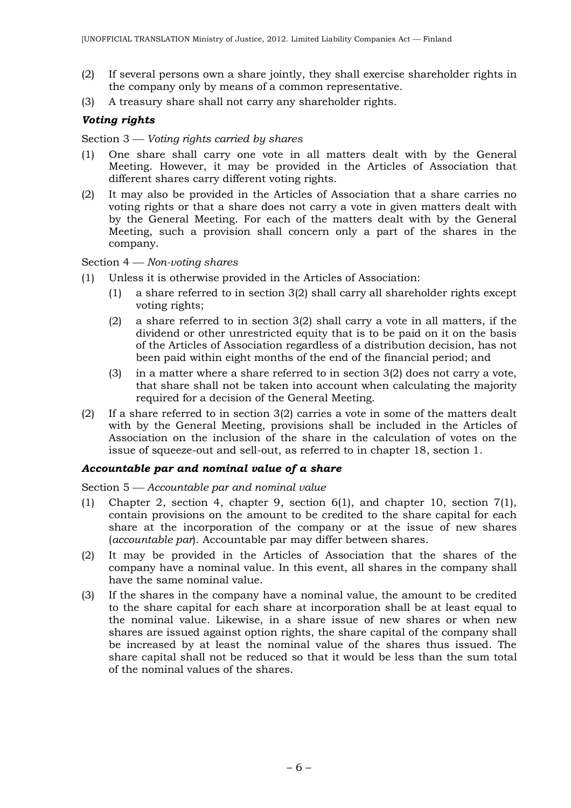- (2) If several persons own a share jointly, they shall exercise shareholder rights in the company only by means of a common representative.
- (3) A treasury share shall not carry any shareholder rights.

## *Voting rights*

Section 3 *Voting rights carried by shares*

- (1) One share shall carry one vote in all matters dealt with by the General Meeting. However, it may be provided in the Articles of Association that different shares carry different voting rights.
- (2) It may also be provided in the Articles of Association that a share carries no voting rights or that a share does not carry a vote in given matters dealt with by the General Meeting. For each of the matters dealt with by the General Meeting, such a provision shall concern only a part of the shares in the company.

## Section 4 *Non-voting shares*

- (1) Unless it is otherwise provided in the Articles of Association:
	- (1) a share referred to in section 3(2) shall carry all shareholder rights except voting rights;
	- (2) a share referred to in section 3(2) shall carry a vote in all matters, if the dividend or other unrestricted equity that is to be paid on it on the basis of the Articles of Association regardless of a distribution decision, has not been paid within eight months of the end of the financial period; and
	- (3) in a matter where a share referred to in section 3(2) does not carry a vote, that share shall not be taken into account when calculating the majority required for a decision of the General Meeting.
- (2) If a share referred to in section 3(2) carries a vote in some of the matters dealt with by the General Meeting, provisions shall be included in the Articles of Association on the inclusion of the share in the calculation of votes on the issue of squeeze-out and sell-out, as referred to in chapter 18, section 1.

### *Accountable par and nominal value of a share*

Section 5 *Accountable par and nominal value*

- (1) Chapter 2, section 4, chapter 9, section 6(1), and chapter 10, section 7(1), contain provisions on the amount to be credited to the share capital for each share at the incorporation of the company or at the issue of new shares (*accountable par*). Accountable par may differ between shares.
- (2) It may be provided in the Articles of Association that the shares of the company have a nominal value. In this event, all shares in the company shall have the same nominal value.
- (3) If the shares in the company have a nominal value, the amount to be credited to the share capital for each share at incorporation shall be at least equal to the nominal value. Likewise, in a share issue of new shares or when new shares are issued against option rights, the share capital of the company shall be increased by at least the nominal value of the shares thus issued. The share capital shall not be reduced so that it would be less than the sum total of the nominal values of the shares.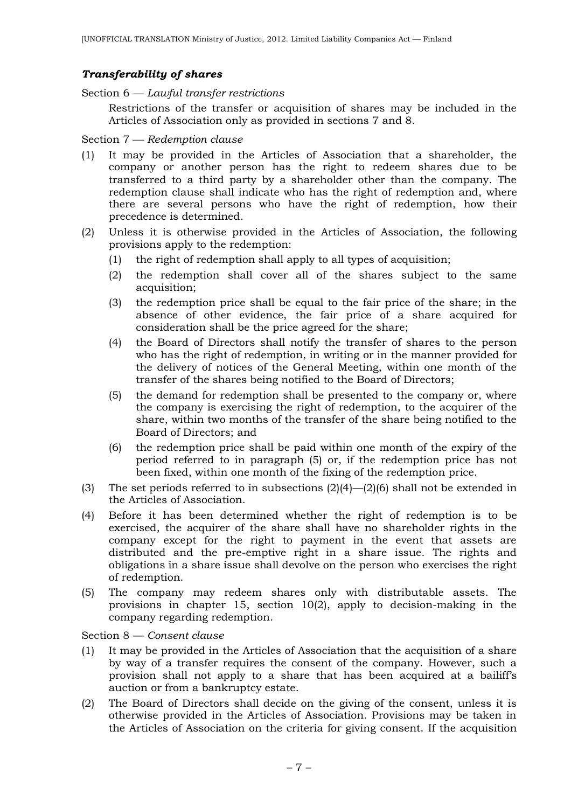### *Transferability of shares*

Section 6 *Lawful transfer restrictions*

Restrictions of the transfer or acquisition of shares may be included in the Articles of Association only as provided in sections 7 and 8.

#### Section 7 *Redemption clause*

- (1) It may be provided in the Articles of Association that a shareholder, the company or another person has the right to redeem shares due to be transferred to a third party by a shareholder other than the company. The redemption clause shall indicate who has the right of redemption and, where there are several persons who have the right of redemption, how their precedence is determined.
- (2) Unless it is otherwise provided in the Articles of Association, the following provisions apply to the redemption:
	- (1) the right of redemption shall apply to all types of acquisition;
	- (2) the redemption shall cover all of the shares subject to the same acquisition;
	- (3) the redemption price shall be equal to the fair price of the share; in the absence of other evidence, the fair price of a share acquired for consideration shall be the price agreed for the share;
	- (4) the Board of Directors shall notify the transfer of shares to the person who has the right of redemption, in writing or in the manner provided for the delivery of notices of the General Meeting, within one month of the transfer of the shares being notified to the Board of Directors;
	- (5) the demand for redemption shall be presented to the company or, where the company is exercising the right of redemption, to the acquirer of the share, within two months of the transfer of the share being notified to the Board of Directors; and
	- (6) the redemption price shall be paid within one month of the expiry of the period referred to in paragraph (5) or, if the redemption price has not been fixed, within one month of the fixing of the redemption price.
- (3) The set periods referred to in subsections (2)(4)—(2)(6) shall not be extended in the Articles of Association.
- (4) Before it has been determined whether the right of redemption is to be exercised, the acquirer of the share shall have no shareholder rights in the company except for the right to payment in the event that assets are distributed and the pre-emptive right in a share issue. The rights and obligations in a share issue shall devolve on the person who exercises the right of redemption.
- (5) The company may redeem shares only with distributable assets. The provisions in chapter 15, section 10(2), apply to decision-making in the company regarding redemption.

Section 8 — *Consent clause*

- (1) It may be provided in the Articles of Association that the acquisition of a share by way of a transfer requires the consent of the company. However, such a provision shall not apply to a share that has been acquired at a bailiff's auction or from a bankruptcy estate.
- (2) The Board of Directors shall decide on the giving of the consent, unless it is otherwise provided in the Articles of Association. Provisions may be taken in the Articles of Association on the criteria for giving consent. If the acquisition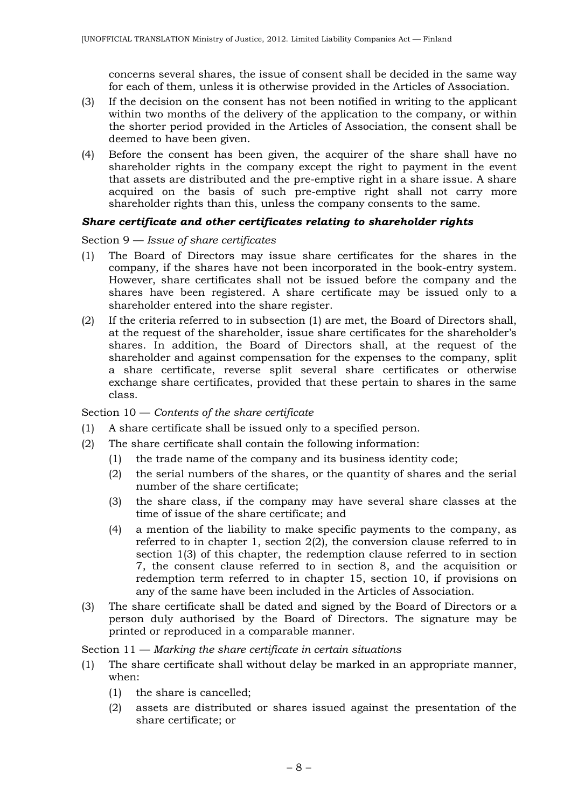concerns several shares, the issue of consent shall be decided in the same way for each of them, unless it is otherwise provided in the Articles of Association.

- (3) If the decision on the consent has not been notified in writing to the applicant within two months of the delivery of the application to the company, or within the shorter period provided in the Articles of Association, the consent shall be deemed to have been given.
- (4) Before the consent has been given, the acquirer of the share shall have no shareholder rights in the company except the right to payment in the event that assets are distributed and the pre-emptive right in a share issue. A share acquired on the basis of such pre-emptive right shall not carry more shareholder rights than this, unless the company consents to the same.

### *Share certificate and other certificates relating to shareholder rights*

Section 9 — *Issue of share certificates*

- (1) The Board of Directors may issue share certificates for the shares in the company, if the shares have not been incorporated in the book-entry system. However, share certificates shall not be issued before the company and the shares have been registered. A share certificate may be issued only to a shareholder entered into the share register.
- (2) If the criteria referred to in subsection (1) are met, the Board of Directors shall, at the request of the shareholder, issue share certificates for the shareholder's shares. In addition, the Board of Directors shall, at the request of the shareholder and against compensation for the expenses to the company, split a share certificate, reverse split several share certificates or otherwise exchange share certificates, provided that these pertain to shares in the same class.

### Section 10 — *Contents of the share certificate*

- (1) A share certificate shall be issued only to a specified person.
- (2) The share certificate shall contain the following information:
	- (1) the trade name of the company and its business identity code;
	- (2) the serial numbers of the shares, or the quantity of shares and the serial number of the share certificate;
	- (3) the share class, if the company may have several share classes at the time of issue of the share certificate; and
	- (4) a mention of the liability to make specific payments to the company, as referred to in chapter 1, section 2(2), the conversion clause referred to in section 1(3) of this chapter, the redemption clause referred to in section 7, the consent clause referred to in section 8, and the acquisition or redemption term referred to in chapter 15, section 10, if provisions on any of the same have been included in the Articles of Association.
- (3) The share certificate shall be dated and signed by the Board of Directors or a person duly authorised by the Board of Directors. The signature may be printed or reproduced in a comparable manner.

Section 11 — *Marking the share certificate in certain situations*

- (1) The share certificate shall without delay be marked in an appropriate manner, when:
	- (1) the share is cancelled;
	- (2) assets are distributed or shares issued against the presentation of the share certificate; or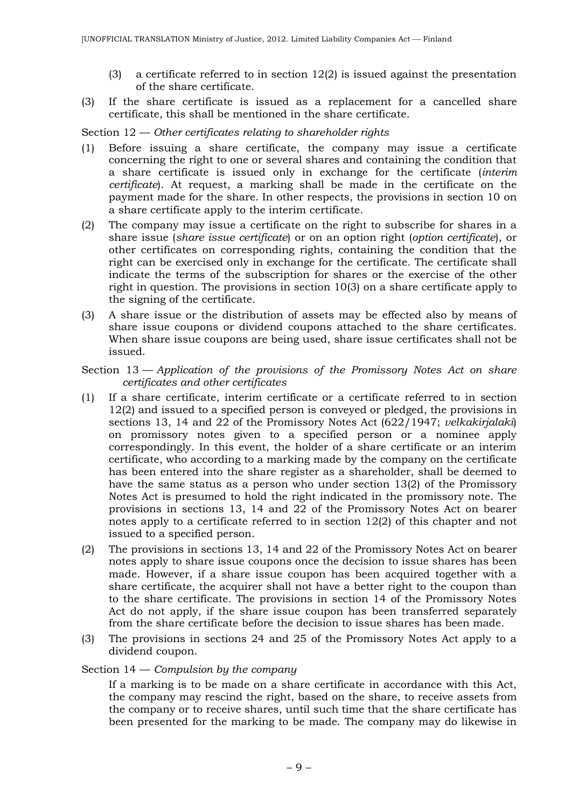- (3) a certificate referred to in section 12(2) is issued against the presentation of the share certificate.
- (3) If the share certificate is issued as a replacement for a cancelled share certificate, this shall be mentioned in the share certificate.

Section 12 — *Other certificates relating to shareholder rights*

- (1) Before issuing a share certificate, the company may issue a certificate concerning the right to one or several shares and containing the condition that a share certificate is issued only in exchange for the certificate (*interim certificate*). At request, a marking shall be made in the certificate on the payment made for the share. In other respects, the provisions in section 10 on a share certificate apply to the interim certificate.
- (2) The company may issue a certificate on the right to subscribe for shares in a share issue (*share issue certificate*) or on an option right (*option certificate*), or other certificates on corresponding rights, containing the condition that the right can be exercised only in exchange for the certificate. The certificate shall indicate the terms of the subscription for shares or the exercise of the other right in question. The provisions in section 10(3) on a share certificate apply to the signing of the certificate.
- (3) A share issue or the distribution of assets may be effected also by means of share issue coupons or dividend coupons attached to the share certificates. When share issue coupons are being used, share issue certificates shall not be issued.

### Section 13 — *Application of the provisions of the Promissory Notes Act on share certificates and other certificates*

- (1) If a share certificate, interim certificate or a certificate referred to in section 12(2) and issued to a specified person is conveyed or pledged, the provisions in sections 13, 14 and 22 of the Promissory Notes Act (622/1947; *velkakirjalaki*) on promissory notes given to a specified person or a nominee apply correspondingly. In this event, the holder of a share certificate or an interim certificate, who according to a marking made by the company on the certificate has been entered into the share register as a shareholder, shall be deemed to have the same status as a person who under section 13(2) of the Promissory Notes Act is presumed to hold the right indicated in the promissory note. The provisions in sections 13, 14 and 22 of the Promissory Notes Act on bearer notes apply to a certificate referred to in section 12(2) of this chapter and not issued to a specified person.
- (2) The provisions in sections 13, 14 and 22 of the Promissory Notes Act on bearer notes apply to share issue coupons once the decision to issue shares has been made. However, if a share issue coupon has been acquired together with a share certificate, the acquirer shall not have a better right to the coupon than to the share certificate. The provisions in section 14 of the Promissory Notes Act do not apply, if the share issue coupon has been transferred separately from the share certificate before the decision to issue shares has been made.
- (3) The provisions in sections 24 and 25 of the Promissory Notes Act apply to a dividend coupon.

### Section 14 — *Compulsion by the company*

If a marking is to be made on a share certificate in accordance with this Act, the company may rescind the right, based on the share, to receive assets from the company or to receive shares, until such time that the share certificate has been presented for the marking to be made. The company may do likewise in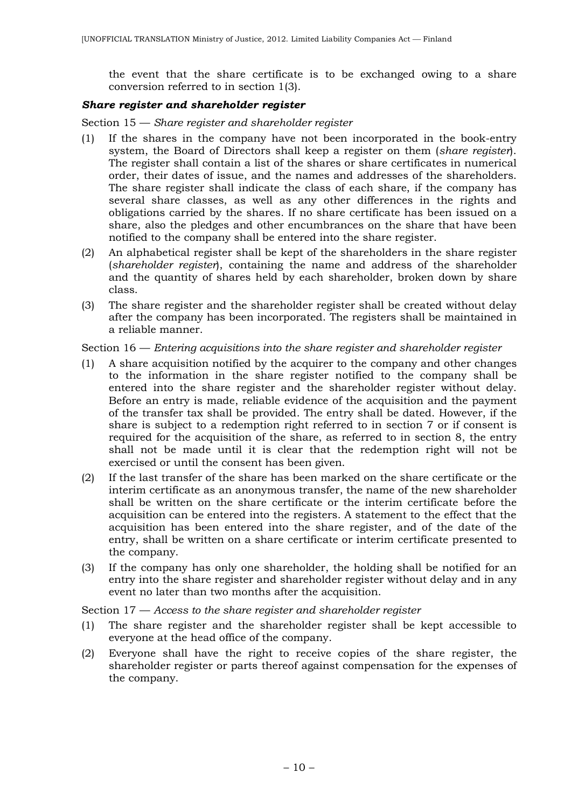the event that the share certificate is to be exchanged owing to a share conversion referred to in section 1(3).

### *Share register and shareholder register*

Section 15 — *Share register and shareholder register*

- (1) If the shares in the company have not been incorporated in the book-entry system, the Board of Directors shall keep a register on them (*share register*). The register shall contain a list of the shares or share certificates in numerical order, their dates of issue, and the names and addresses of the shareholders. The share register shall indicate the class of each share, if the company has several share classes, as well as any other differences in the rights and obligations carried by the shares. If no share certificate has been issued on a share, also the pledges and other encumbrances on the share that have been notified to the company shall be entered into the share register.
- (2) An alphabetical register shall be kept of the shareholders in the share register (*shareholder register*), containing the name and address of the shareholder and the quantity of shares held by each shareholder, broken down by share class.
- (3) The share register and the shareholder register shall be created without delay after the company has been incorporated. The registers shall be maintained in a reliable manner.

Section 16 — *Entering acquisitions into the share register and shareholder register*

- (1) A share acquisition notified by the acquirer to the company and other changes to the information in the share register notified to the company shall be entered into the share register and the shareholder register without delay. Before an entry is made, reliable evidence of the acquisition and the payment of the transfer tax shall be provided. The entry shall be dated. However, if the share is subject to a redemption right referred to in section 7 or if consent is required for the acquisition of the share, as referred to in section 8, the entry shall not be made until it is clear that the redemption right will not be exercised or until the consent has been given.
- (2) If the last transfer of the share has been marked on the share certificate or the interim certificate as an anonymous transfer, the name of the new shareholder shall be written on the share certificate or the interim certificate before the acquisition can be entered into the registers. A statement to the effect that the acquisition has been entered into the share register, and of the date of the entry, shall be written on a share certificate or interim certificate presented to the company.
- (3) If the company has only one shareholder, the holding shall be notified for an entry into the share register and shareholder register without delay and in any event no later than two months after the acquisition.

Section 17 — *Access to the share register and shareholder register*

- (1) The share register and the shareholder register shall be kept accessible to everyone at the head office of the company.
- (2) Everyone shall have the right to receive copies of the share register, the shareholder register or parts thereof against compensation for the expenses of the company.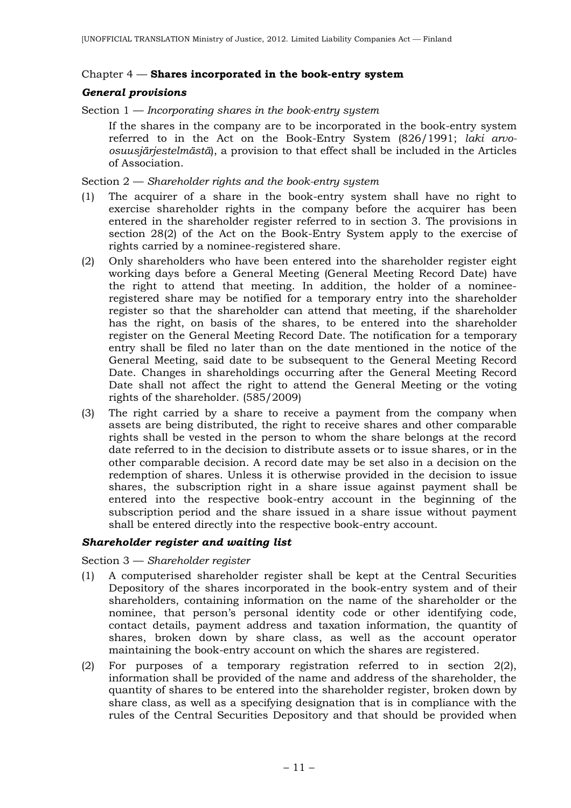#### Chapter 4 — **Shares incorporated in the book-entry system**

### *General provisions*

Section 1 — *Incorporating shares in the book-entry system*

If the shares in the company are to be incorporated in the book-entry system referred to in the Act on the Book-Entry System (826/1991; *laki arvoosuusjärjestelmästä*), a provision to that effect shall be included in the Articles of Association.

Section 2 — *Shareholder rights and the book-entry system*

- (1) The acquirer of a share in the book-entry system shall have no right to exercise shareholder rights in the company before the acquirer has been entered in the shareholder register referred to in section 3. The provisions in section 28(2) of the Act on the Book-Entry System apply to the exercise of rights carried by a nominee-registered share.
- (2) Only shareholders who have been entered into the shareholder register eight working days before a General Meeting (General Meeting Record Date) have the right to attend that meeting. In addition, the holder of a nomineeregistered share may be notified for a temporary entry into the shareholder register so that the shareholder can attend that meeting, if the shareholder has the right, on basis of the shares, to be entered into the shareholder register on the General Meeting Record Date. The notification for a temporary entry shall be filed no later than on the date mentioned in the notice of the General Meeting, said date to be subsequent to the General Meeting Record Date. Changes in shareholdings occurring after the General Meeting Record Date shall not affect the right to attend the General Meeting or the voting rights of the shareholder. (585/2009)
- (3) The right carried by a share to receive a payment from the company when assets are being distributed, the right to receive shares and other comparable rights shall be vested in the person to whom the share belongs at the record date referred to in the decision to distribute assets or to issue shares, or in the other comparable decision. A record date may be set also in a decision on the redemption of shares. Unless it is otherwise provided in the decision to issue shares, the subscription right in a share issue against payment shall be entered into the respective book-entry account in the beginning of the subscription period and the share issued in a share issue without payment shall be entered directly into the respective book-entry account.

### *Shareholder register and waiting list*

Section 3 — *Shareholder register*

- (1) A computerised shareholder register shall be kept at the Central Securities Depository of the shares incorporated in the book-entry system and of their shareholders, containing information on the name of the shareholder or the nominee, that person's personal identity code or other identifying code, contact details, payment address and taxation information, the quantity of shares, broken down by share class, as well as the account operator maintaining the book-entry account on which the shares are registered.
- (2) For purposes of a temporary registration referred to in section 2(2), information shall be provided of the name and address of the shareholder, the quantity of shares to be entered into the shareholder register, broken down by share class, as well as a specifying designation that is in compliance with the rules of the Central Securities Depository and that should be provided when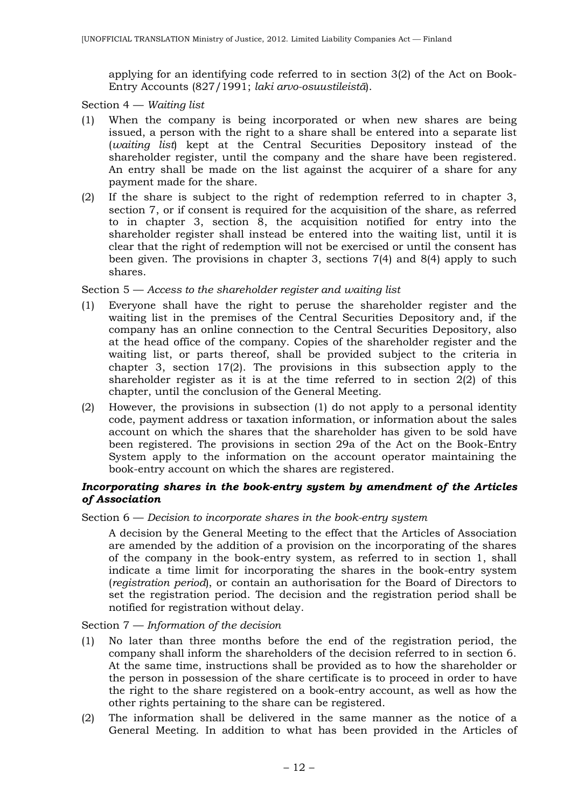applying for an identifying code referred to in section 3(2) of the Act on Book-Entry Accounts (827/1991; *laki arvo-osuustileistä*).

Section 4 — *Waiting list*

- (1) When the company is being incorporated or when new shares are being issued, a person with the right to a share shall be entered into a separate list (*waiting list*) kept at the Central Securities Depository instead of the shareholder register, until the company and the share have been registered. An entry shall be made on the list against the acquirer of a share for any payment made for the share.
- (2) If the share is subject to the right of redemption referred to in chapter 3, section 7, or if consent is required for the acquisition of the share, as referred to in chapter 3, section 8, the acquisition notified for entry into the shareholder register shall instead be entered into the waiting list, until it is clear that the right of redemption will not be exercised or until the consent has been given. The provisions in chapter 3, sections 7(4) and 8(4) apply to such shares.

### Section 5 — *Access to the shareholder register and waiting list*

- (1) Everyone shall have the right to peruse the shareholder register and the waiting list in the premises of the Central Securities Depository and, if the company has an online connection to the Central Securities Depository, also at the head office of the company. Copies of the shareholder register and the waiting list, or parts thereof, shall be provided subject to the criteria in chapter 3, section 17(2). The provisions in this subsection apply to the shareholder register as it is at the time referred to in section 2(2) of this chapter, until the conclusion of the General Meeting.
- (2) However, the provisions in subsection (1) do not apply to a personal identity code, payment address or taxation information, or information about the sales account on which the shares that the shareholder has given to be sold have been registered. The provisions in section 29a of the Act on the Book-Entry System apply to the information on the account operator maintaining the book-entry account on which the shares are registered.

### *Incorporating shares in the book-entry system by amendment of the Articles of Association*

#### Section 6 — *Decision to incorporate shares in the book-entry system*

A decision by the General Meeting to the effect that the Articles of Association are amended by the addition of a provision on the incorporating of the shares of the company in the book-entry system, as referred to in section 1, shall indicate a time limit for incorporating the shares in the book-entry system (*registration period*), or contain an authorisation for the Board of Directors to set the registration period. The decision and the registration period shall be notified for registration without delay.

### Section 7 — *Information of the decision*

- (1) No later than three months before the end of the registration period, the company shall inform the shareholders of the decision referred to in section 6. At the same time, instructions shall be provided as to how the shareholder or the person in possession of the share certificate is to proceed in order to have the right to the share registered on a book-entry account, as well as how the other rights pertaining to the share can be registered.
- (2) The information shall be delivered in the same manner as the notice of a General Meeting. In addition to what has been provided in the Articles of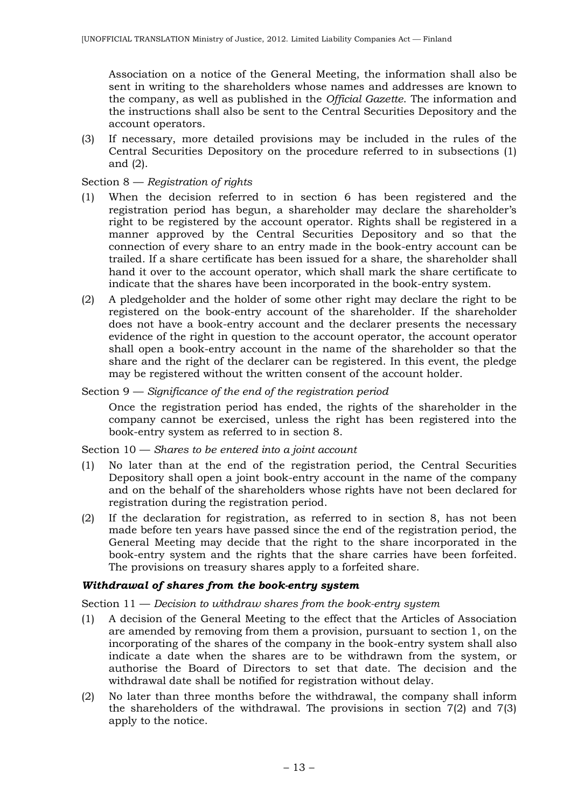Association on a notice of the General Meeting, the information shall also be sent in writing to the shareholders whose names and addresses are known to the company, as well as published in the *Official Gazette*. The information and the instructions shall also be sent to the Central Securities Depository and the account operators.

(3) If necessary, more detailed provisions may be included in the rules of the Central Securities Depository on the procedure referred to in subsections (1) and (2).

### Section 8 — *Registration of rights*

- (1) When the decision referred to in section 6 has been registered and the registration period has begun, a shareholder may declare the shareholder's right to be registered by the account operator. Rights shall be registered in a manner approved by the Central Securities Depository and so that the connection of every share to an entry made in the book-entry account can be trailed. If a share certificate has been issued for a share, the shareholder shall hand it over to the account operator, which shall mark the share certificate to indicate that the shares have been incorporated in the book-entry system.
- (2) A pledgeholder and the holder of some other right may declare the right to be registered on the book-entry account of the shareholder. If the shareholder does not have a book-entry account and the declarer presents the necessary evidence of the right in question to the account operator, the account operator shall open a book-entry account in the name of the shareholder so that the share and the right of the declarer can be registered. In this event, the pledge may be registered without the written consent of the account holder.
- Section 9 *Significance of the end of the registration period*

Once the registration period has ended, the rights of the shareholder in the company cannot be exercised, unless the right has been registered into the book-entry system as referred to in section 8.

#### Section 10 — *Shares to be entered into a joint account*

- (1) No later than at the end of the registration period, the Central Securities Depository shall open a joint book-entry account in the name of the company and on the behalf of the shareholders whose rights have not been declared for registration during the registration period.
- (2) If the declaration for registration, as referred to in section 8, has not been made before ten years have passed since the end of the registration period, the General Meeting may decide that the right to the share incorporated in the book-entry system and the rights that the share carries have been forfeited. The provisions on treasury shares apply to a forfeited share.

#### *Withdrawal of shares from the book-entry system*

#### Section 11 — *Decision to withdraw shares from the book-entry system*

- (1) A decision of the General Meeting to the effect that the Articles of Association are amended by removing from them a provision, pursuant to section 1, on the incorporating of the shares of the company in the book-entry system shall also indicate a date when the shares are to be withdrawn from the system, or authorise the Board of Directors to set that date. The decision and the withdrawal date shall be notified for registration without delay.
- (2) No later than three months before the withdrawal, the company shall inform the shareholders of the withdrawal. The provisions in section 7(2) and 7(3) apply to the notice.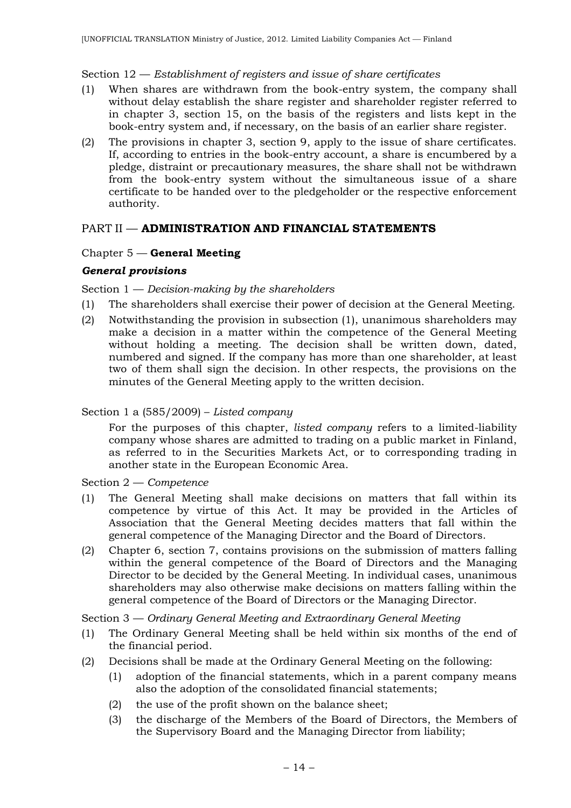### Section 12 — *Establishment of registers and issue of share certificates*

- (1) When shares are withdrawn from the book-entry system, the company shall without delay establish the share register and shareholder register referred to in chapter 3, section 15, on the basis of the registers and lists kept in the book-entry system and, if necessary, on the basis of an earlier share register.
- (2) The provisions in chapter 3, section 9, apply to the issue of share certificates. If, according to entries in the book-entry account, a share is encumbered by a pledge, distraint or precautionary measures, the share shall not be withdrawn from the book-entry system without the simultaneous issue of a share certificate to be handed over to the pledgeholder or the respective enforcement authority.

## PART II — **ADMINISTRATION AND FINANCIAL STATEMENTS**

### Chapter 5 — **General Meeting**

### *General provisions*

Section 1 — *Decision-making by the shareholders*

- (1) The shareholders shall exercise their power of decision at the General Meeting.
- (2) Notwithstanding the provision in subsection (1), unanimous shareholders may make a decision in a matter within the competence of the General Meeting without holding a meeting. The decision shall be written down, dated, numbered and signed. If the company has more than one shareholder, at least two of them shall sign the decision. In other respects, the provisions on the minutes of the General Meeting apply to the written decision.

### Section 1 a (585/2009) – *Listed company*

For the purposes of this chapter, *listed company* refers to a limited-liability company whose shares are admitted to trading on a public market in Finland, as referred to in the Securities Markets Act, or to corresponding trading in another state in the European Economic Area.

Section 2 — *Competence*

- (1) The General Meeting shall make decisions on matters that fall within its competence by virtue of this Act. It may be provided in the Articles of Association that the General Meeting decides matters that fall within the general competence of the Managing Director and the Board of Directors.
- (2) Chapter 6, section 7, contains provisions on the submission of matters falling within the general competence of the Board of Directors and the Managing Director to be decided by the General Meeting. In individual cases, unanimous shareholders may also otherwise make decisions on matters falling within the general competence of the Board of Directors or the Managing Director.

Section 3 — *Ordinary General Meeting and Extraordinary General Meeting*

- (1) The Ordinary General Meeting shall be held within six months of the end of the financial period.
- (2) Decisions shall be made at the Ordinary General Meeting on the following:
	- (1) adoption of the financial statements, which in a parent company means also the adoption of the consolidated financial statements;
	- (2) the use of the profit shown on the balance sheet;
	- (3) the discharge of the Members of the Board of Directors, the Members of the Supervisory Board and the Managing Director from liability;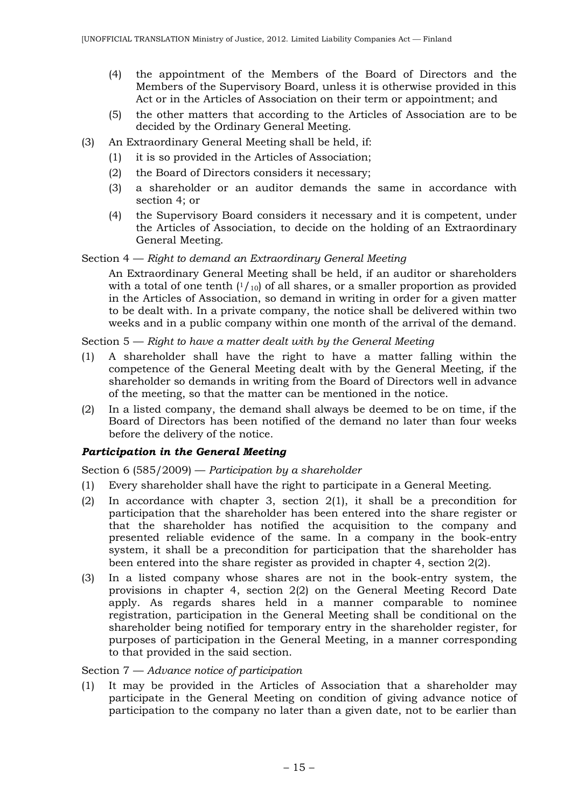- (4) the appointment of the Members of the Board of Directors and the Members of the Supervisory Board, unless it is otherwise provided in this Act or in the Articles of Association on their term or appointment; and
- (5) the other matters that according to the Articles of Association are to be decided by the Ordinary General Meeting.
- (3) An Extraordinary General Meeting shall be held, if:
	- (1) it is so provided in the Articles of Association;
	- (2) the Board of Directors considers it necessary;
	- (3) a shareholder or an auditor demands the same in accordance with section 4; or
	- (4) the Supervisory Board considers it necessary and it is competent, under the Articles of Association, to decide on the holding of an Extraordinary General Meeting.

Section 4 — *Right to demand an Extraordinary General Meeting*

An Extraordinary General Meeting shall be held, if an auditor or shareholders with a total of one tenth  $(1/10)$  of all shares, or a smaller proportion as provided in the Articles of Association, so demand in writing in order for a given matter to be dealt with. In a private company, the notice shall be delivered within two weeks and in a public company within one month of the arrival of the demand.

Section 5 — *Right to have a matter dealt with by the General Meeting*

- (1) A shareholder shall have the right to have a matter falling within the competence of the General Meeting dealt with by the General Meeting, if the shareholder so demands in writing from the Board of Directors well in advance of the meeting, so that the matter can be mentioned in the notice.
- (2) In a listed company, the demand shall always be deemed to be on time, if the Board of Directors has been notified of the demand no later than four weeks before the delivery of the notice.

## *Participation in the General Meeting*

Section 6 (585/2009) — *Participation by a shareholder*

- (1) Every shareholder shall have the right to participate in a General Meeting.
- (2) In accordance with chapter 3, section 2(1), it shall be a precondition for participation that the shareholder has been entered into the share register or that the shareholder has notified the acquisition to the company and presented reliable evidence of the same. In a company in the book-entry system, it shall be a precondition for participation that the shareholder has been entered into the share register as provided in chapter 4, section 2(2).
- (3) In a listed company whose shares are not in the book-entry system, the provisions in chapter 4, section 2(2) on the General Meeting Record Date apply. As regards shares held in a manner comparable to nominee registration, participation in the General Meeting shall be conditional on the shareholder being notified for temporary entry in the shareholder register, for purposes of participation in the General Meeting, in a manner corresponding to that provided in the said section.

### Section 7 — *Advance notice of participation*

(1) It may be provided in the Articles of Association that a shareholder may participate in the General Meeting on condition of giving advance notice of participation to the company no later than a given date, not to be earlier than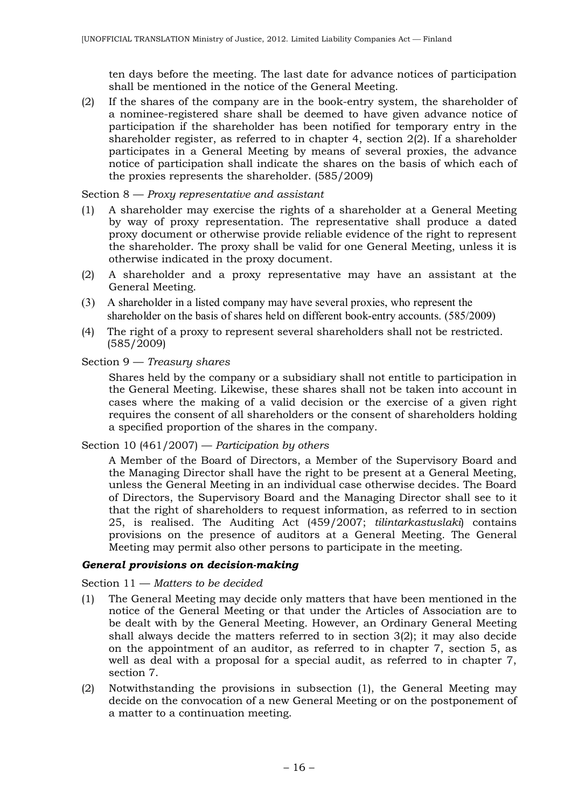ten days before the meeting. The last date for advance notices of participation shall be mentioned in the notice of the General Meeting.

(2) If the shares of the company are in the book-entry system, the shareholder of a nominee-registered share shall be deemed to have given advance notice of participation if the shareholder has been notified for temporary entry in the shareholder register, as referred to in chapter 4, section 2(2). If a shareholder participates in a General Meeting by means of several proxies, the advance notice of participation shall indicate the shares on the basis of which each of the proxies represents the shareholder. (585/2009)

### Section 8 — *Proxy representative and assistant*

- (1) A shareholder may exercise the rights of a shareholder at a General Meeting by way of proxy representation. The representative shall produce a dated proxy document or otherwise provide reliable evidence of the right to represent the shareholder. The proxy shall be valid for one General Meeting, unless it is otherwise indicated in the proxy document.
- (2) A shareholder and a proxy representative may have an assistant at the General Meeting.
- (3) A shareholder in a listed company may have several proxies, who represent the shareholder on the basis of shares held on different book-entry accounts. (585/2009)
- (4) The right of a proxy to represent several shareholders shall not be restricted. (585/2009)

### Section 9 — *Treasury shares*

Shares held by the company or a subsidiary shall not entitle to participation in the General Meeting. Likewise, these shares shall not be taken into account in cases where the making of a valid decision or the exercise of a given right requires the consent of all shareholders or the consent of shareholders holding a specified proportion of the shares in the company.

#### Section 10 (461/2007) — *Participation by others*

A Member of the Board of Directors, a Member of the Supervisory Board and the Managing Director shall have the right to be present at a General Meeting, unless the General Meeting in an individual case otherwise decides. The Board of Directors, the Supervisory Board and the Managing Director shall see to it that the right of shareholders to request information, as referred to in section 25, is realised. The Auditing Act (459/2007; *tilintarkastuslaki*) contains provisions on the presence of auditors at a General Meeting. The General Meeting may permit also other persons to participate in the meeting.

### *General provisions on decision-making*

#### Section 11 — *Matters to be decided*

- (1) The General Meeting may decide only matters that have been mentioned in the notice of the General Meeting or that under the Articles of Association are to be dealt with by the General Meeting. However, an Ordinary General Meeting shall always decide the matters referred to in section 3(2); it may also decide on the appointment of an auditor, as referred to in chapter 7, section 5, as well as deal with a proposal for a special audit, as referred to in chapter 7, section 7.
- (2) Notwithstanding the provisions in subsection (1), the General Meeting may decide on the convocation of a new General Meeting or on the postponement of a matter to a continuation meeting.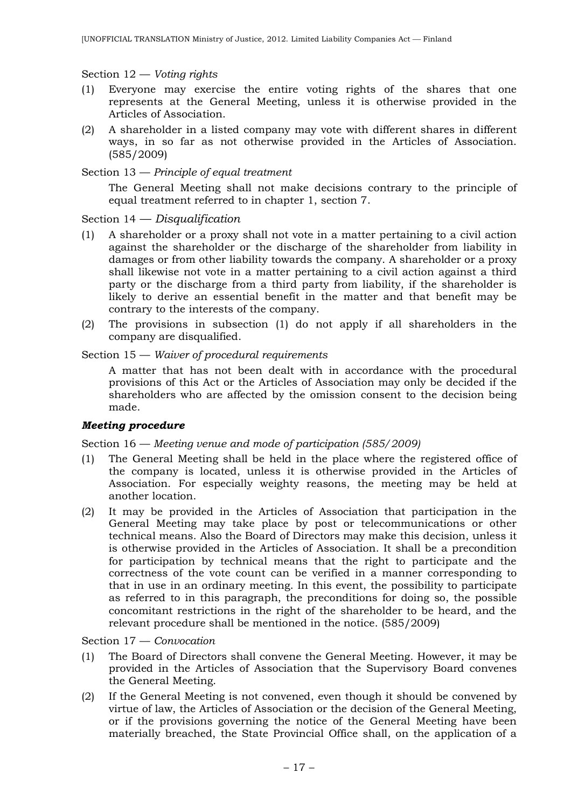Section 12 — *Voting rights*

- (1) Everyone may exercise the entire voting rights of the shares that one represents at the General Meeting, unless it is otherwise provided in the Articles of Association.
- (2) A shareholder in a listed company may vote with different shares in different ways, in so far as not otherwise provided in the Articles of Association. (585/2009)

### Section 13 — *Principle of equal treatment*

The General Meeting shall not make decisions contrary to the principle of equal treatment referred to in chapter 1, section 7.

### Section 14 — *Disqualification*

- (1) A shareholder or a proxy shall not vote in a matter pertaining to a civil action against the shareholder or the discharge of the shareholder from liability in damages or from other liability towards the company. A shareholder or a proxy shall likewise not vote in a matter pertaining to a civil action against a third party or the discharge from a third party from liability, if the shareholder is likely to derive an essential benefit in the matter and that benefit may be contrary to the interests of the company.
- (2) The provisions in subsection (1) do not apply if all shareholders in the company are disqualified.

### Section 15 — *Waiver of procedural requirements*

A matter that has not been dealt with in accordance with the procedural provisions of this Act or the Articles of Association may only be decided if the shareholders who are affected by the omission consent to the decision being made.

### *Meeting procedure*

### Section 16 — *Meeting venue and mode of participation (585/2009)*

- (1) The General Meeting shall be held in the place where the registered office of the company is located, unless it is otherwise provided in the Articles of Association. For especially weighty reasons, the meeting may be held at another location.
- (2) It may be provided in the Articles of Association that participation in the General Meeting may take place by post or telecommunications or other technical means. Also the Board of Directors may make this decision, unless it is otherwise provided in the Articles of Association. It shall be a precondition for participation by technical means that the right to participate and the correctness of the vote count can be verified in a manner corresponding to that in use in an ordinary meeting. In this event, the possibility to participate as referred to in this paragraph, the preconditions for doing so, the possible concomitant restrictions in the right of the shareholder to be heard, and the relevant procedure shall be mentioned in the notice. (585/2009)

Section 17 — *Convocation*

- (1) The Board of Directors shall convene the General Meeting. However, it may be provided in the Articles of Association that the Supervisory Board convenes the General Meeting.
- (2) If the General Meeting is not convened, even though it should be convened by virtue of law, the Articles of Association or the decision of the General Meeting, or if the provisions governing the notice of the General Meeting have been materially breached, the State Provincial Office shall, on the application of a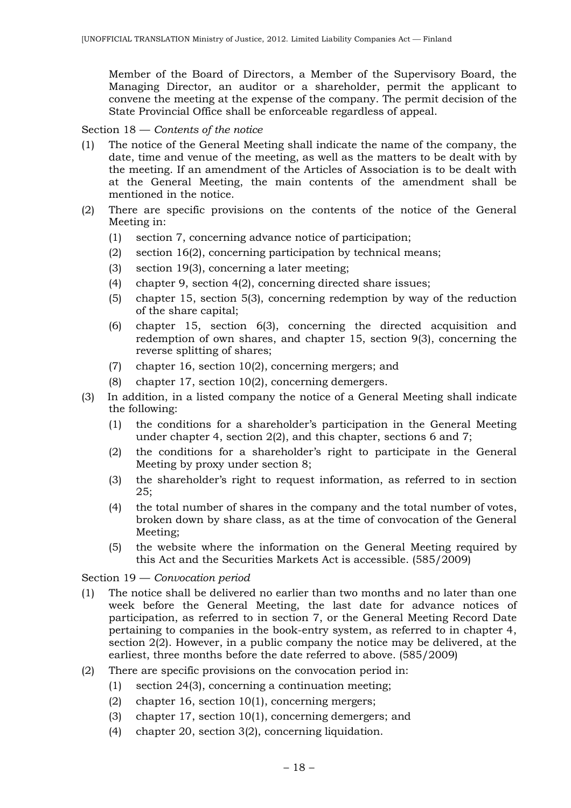Member of the Board of Directors, a Member of the Supervisory Board, the Managing Director, an auditor or a shareholder, permit the applicant to convene the meeting at the expense of the company. The permit decision of the State Provincial Office shall be enforceable regardless of appeal.

### Section 18 — *Contents of the notice*

- (1) The notice of the General Meeting shall indicate the name of the company, the date, time and venue of the meeting, as well as the matters to be dealt with by the meeting. If an amendment of the Articles of Association is to be dealt with at the General Meeting, the main contents of the amendment shall be mentioned in the notice.
- (2) There are specific provisions on the contents of the notice of the General Meeting in:
	- (1) section 7, concerning advance notice of participation;
	- (2) section 16(2), concerning participation by technical means;
	- (3) section 19(3), concerning a later meeting;
	- (4) chapter 9, section 4(2), concerning directed share issues;
	- (5) chapter 15, section 5(3), concerning redemption by way of the reduction of the share capital;
	- (6) chapter 15, section 6(3), concerning the directed acquisition and redemption of own shares, and chapter 15, section 9(3), concerning the reverse splitting of shares;
	- (7) chapter 16, section 10(2), concerning mergers; and
	- (8) chapter 17, section 10(2), concerning demergers.
- (3) In addition, in a listed company the notice of a General Meeting shall indicate the following:
	- (1) the conditions for a shareholder's participation in the General Meeting under chapter 4, section 2(2), and this chapter, sections 6 and 7;
	- (2) the conditions for a shareholder's right to participate in the General Meeting by proxy under section 8;
	- (3) the shareholder's right to request information, as referred to in section 25;
	- (4) the total number of shares in the company and the total number of votes, broken down by share class, as at the time of convocation of the General Meeting;
	- (5) the website where the information on the General Meeting required by this Act and the Securities Markets Act is accessible. (585/2009)

Section 19 — *Convocation period*

- (1) The notice shall be delivered no earlier than two months and no later than one week before the General Meeting, the last date for advance notices of participation, as referred to in section 7, or the General Meeting Record Date pertaining to companies in the book-entry system, as referred to in chapter 4, section 2(2). However, in a public company the notice may be delivered, at the earliest, three months before the date referred to above. (585/2009)
- (2) There are specific provisions on the convocation period in:
	- (1) section 24(3), concerning a continuation meeting;
	- (2) chapter 16, section 10(1), concerning mergers;
	- (3) chapter 17, section 10(1), concerning demergers; and
	- (4) chapter 20, section 3(2), concerning liquidation.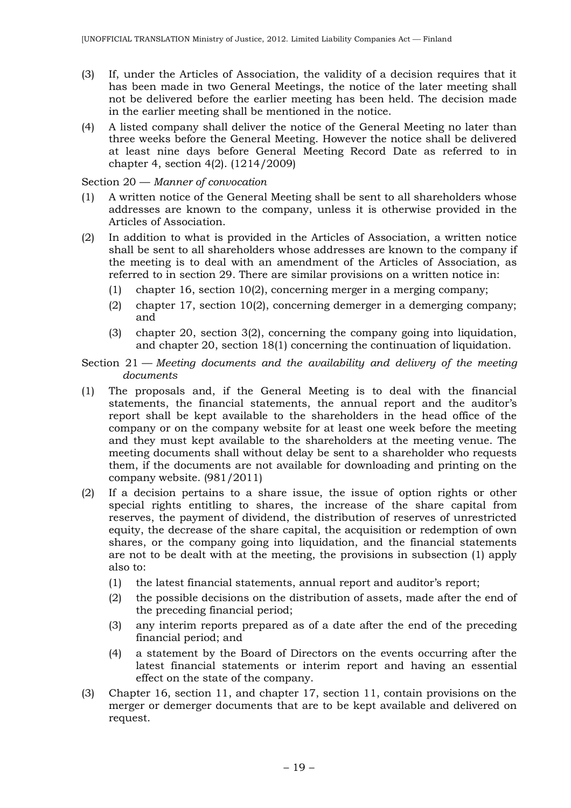- (3) If, under the Articles of Association, the validity of a decision requires that it has been made in two General Meetings, the notice of the later meeting shall not be delivered before the earlier meeting has been held. The decision made in the earlier meeting shall be mentioned in the notice.
- (4) A listed company shall deliver the notice of the General Meeting no later than three weeks before the General Meeting. However the notice shall be delivered at least nine days before General Meeting Record Date as referred to in chapter 4, section 4(2). (1214/2009)

### Section 20 — *Manner of convocation*

- (1) A written notice of the General Meeting shall be sent to all shareholders whose addresses are known to the company, unless it is otherwise provided in the Articles of Association.
- (2) In addition to what is provided in the Articles of Association, a written notice shall be sent to all shareholders whose addresses are known to the company if the meeting is to deal with an amendment of the Articles of Association, as referred to in section 29. There are similar provisions on a written notice in:
	- (1) chapter 16, section 10(2), concerning merger in a merging company;
	- (2) chapter 17, section 10(2), concerning demerger in a demerging company; and
	- (3) chapter 20, section 3(2), concerning the company going into liquidation, and chapter 20, section 18(1) concerning the continuation of liquidation.

Section 21 — *Meeting documents and the availability and delivery of the meeting documents*

- (1) The proposals and, if the General Meeting is to deal with the financial statements, the financial statements, the annual report and the auditor's report shall be kept available to the shareholders in the head office of the company or on the company website for at least one week before the meeting and they must kept available to the shareholders at the meeting venue. The meeting documents shall without delay be sent to a shareholder who requests them, if the documents are not available for downloading and printing on the company website. (981/2011)
- (2) If a decision pertains to a share issue, the issue of option rights or other special rights entitling to shares, the increase of the share capital from reserves, the payment of dividend, the distribution of reserves of unrestricted equity, the decrease of the share capital, the acquisition or redemption of own shares, or the company going into liquidation, and the financial statements are not to be dealt with at the meeting, the provisions in subsection (1) apply also to:
	- (1) the latest financial statements, annual report and auditor's report;
	- (2) the possible decisions on the distribution of assets, made after the end of the preceding financial period;
	- (3) any interim reports prepared as of a date after the end of the preceding financial period; and
	- (4) a statement by the Board of Directors on the events occurring after the latest financial statements or interim report and having an essential effect on the state of the company.
- (3) Chapter 16, section 11, and chapter 17, section 11, contain provisions on the merger or demerger documents that are to be kept available and delivered on request.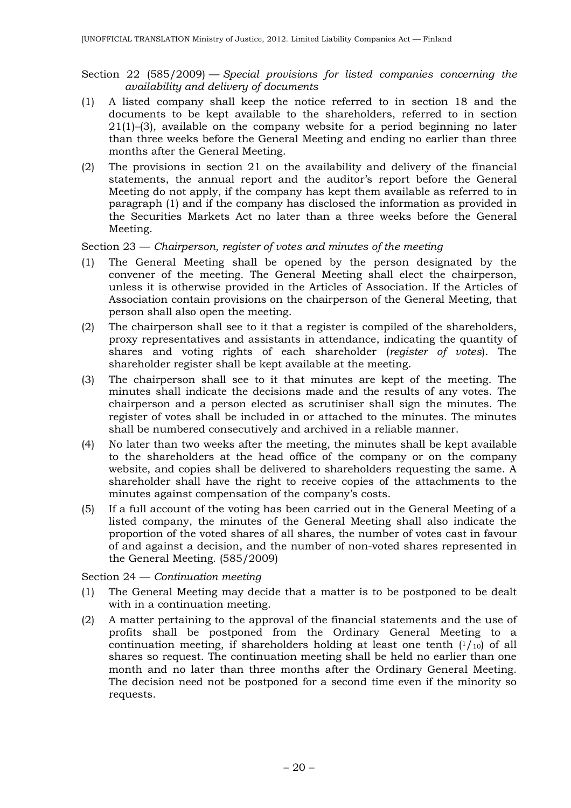- Section 22 (585/2009) *Special provisions for listed companies concerning the availability and delivery of documents*
- (1) A listed company shall keep the notice referred to in section 18 and the documents to be kept available to the shareholders, referred to in section 21(1)–(3), available on the company website for a period beginning no later than three weeks before the General Meeting and ending no earlier than three months after the General Meeting.
- (2) The provisions in section 21 on the availability and delivery of the financial statements, the annual report and the auditor's report before the General Meeting do not apply, if the company has kept them available as referred to in paragraph (1) and if the company has disclosed the information as provided in the Securities Markets Act no later than a three weeks before the General Meeting.

### Section 23 — *Chairperson, register of votes and minutes of the meeting*

- (1) The General Meeting shall be opened by the person designated by the convener of the meeting. The General Meeting shall elect the chairperson, unless it is otherwise provided in the Articles of Association. If the Articles of Association contain provisions on the chairperson of the General Meeting, that person shall also open the meeting.
- (2) The chairperson shall see to it that a register is compiled of the shareholders, proxy representatives and assistants in attendance, indicating the quantity of shares and voting rights of each shareholder (*register of votes*). The shareholder register shall be kept available at the meeting.
- (3) The chairperson shall see to it that minutes are kept of the meeting. The minutes shall indicate the decisions made and the results of any votes. The chairperson and a person elected as scrutiniser shall sign the minutes. The register of votes shall be included in or attached to the minutes. The minutes shall be numbered consecutively and archived in a reliable manner.
- (4) No later than two weeks after the meeting, the minutes shall be kept available to the shareholders at the head office of the company or on the company website, and copies shall be delivered to shareholders requesting the same. A shareholder shall have the right to receive copies of the attachments to the minutes against compensation of the company's costs.
- (5) If a full account of the voting has been carried out in the General Meeting of a listed company, the minutes of the General Meeting shall also indicate the proportion of the voted shares of all shares, the number of votes cast in favour of and against a decision, and the number of non-voted shares represented in the General Meeting. (585/2009)

#### Section 24 — *Continuation meeting*

- (1) The General Meeting may decide that a matter is to be postponed to be dealt with in a continuation meeting.
- (2) A matter pertaining to the approval of the financial statements and the use of profits shall be postponed from the Ordinary General Meeting to a continuation meeting, if shareholders holding at least one tenth  $(1/10)$  of all shares so request. The continuation meeting shall be held no earlier than one month and no later than three months after the Ordinary General Meeting. The decision need not be postponed for a second time even if the minority so requests.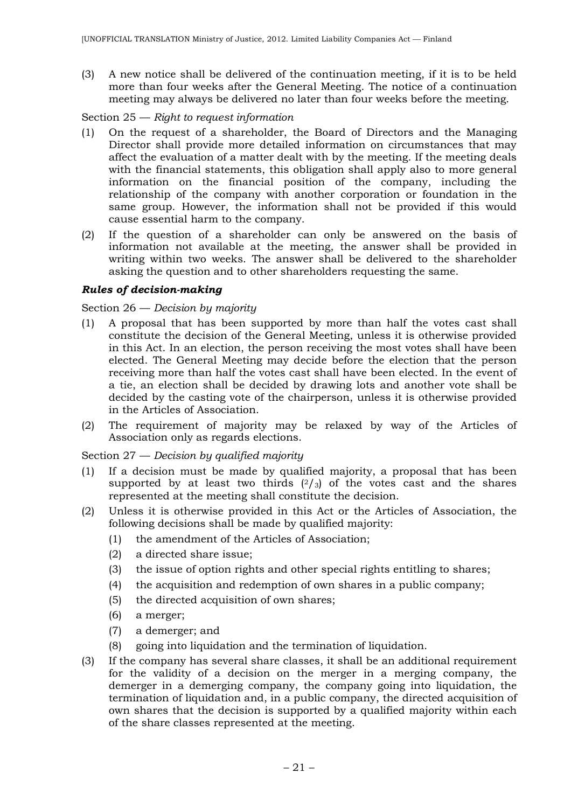(3) A new notice shall be delivered of the continuation meeting, if it is to be held more than four weeks after the General Meeting. The notice of a continuation meeting may always be delivered no later than four weeks before the meeting.

#### Section 25 — *Right to request information*

- (1) On the request of a shareholder, the Board of Directors and the Managing Director shall provide more detailed information on circumstances that may affect the evaluation of a matter dealt with by the meeting. If the meeting deals with the financial statements, this obligation shall apply also to more general information on the financial position of the company, including the relationship of the company with another corporation or foundation in the same group. However, the information shall not be provided if this would cause essential harm to the company.
- (2) If the question of a shareholder can only be answered on the basis of information not available at the meeting, the answer shall be provided in writing within two weeks. The answer shall be delivered to the shareholder asking the question and to other shareholders requesting the same.

### *Rules of decision-making*

### Section 26 — *Decision by majority*

- (1) A proposal that has been supported by more than half the votes cast shall constitute the decision of the General Meeting, unless it is otherwise provided in this Act. In an election, the person receiving the most votes shall have been elected. The General Meeting may decide before the election that the person receiving more than half the votes cast shall have been elected. In the event of a tie, an election shall be decided by drawing lots and another vote shall be decided by the casting vote of the chairperson, unless it is otherwise provided in the Articles of Association.
- (2) The requirement of majority may be relaxed by way of the Articles of Association only as regards elections.

## Section 27 — *Decision by qualified majority*

- (1) If a decision must be made by qualified majority, a proposal that has been supported by at least two thirds  $(2/3)$  of the votes cast and the shares represented at the meeting shall constitute the decision.
- (2) Unless it is otherwise provided in this Act or the Articles of Association, the following decisions shall be made by qualified majority:
	- (1) the amendment of the Articles of Association;
	- (2) a directed share issue;
	- (3) the issue of option rights and other special rights entitling to shares;
	- (4) the acquisition and redemption of own shares in a public company;
	- (5) the directed acquisition of own shares;
	- (6) a merger;
	- (7) a demerger; and
	- (8) going into liquidation and the termination of liquidation.
- (3) If the company has several share classes, it shall be an additional requirement for the validity of a decision on the merger in a merging company, the demerger in a demerging company, the company going into liquidation, the termination of liquidation and, in a public company, the directed acquisition of own shares that the decision is supported by a qualified majority within each of the share classes represented at the meeting.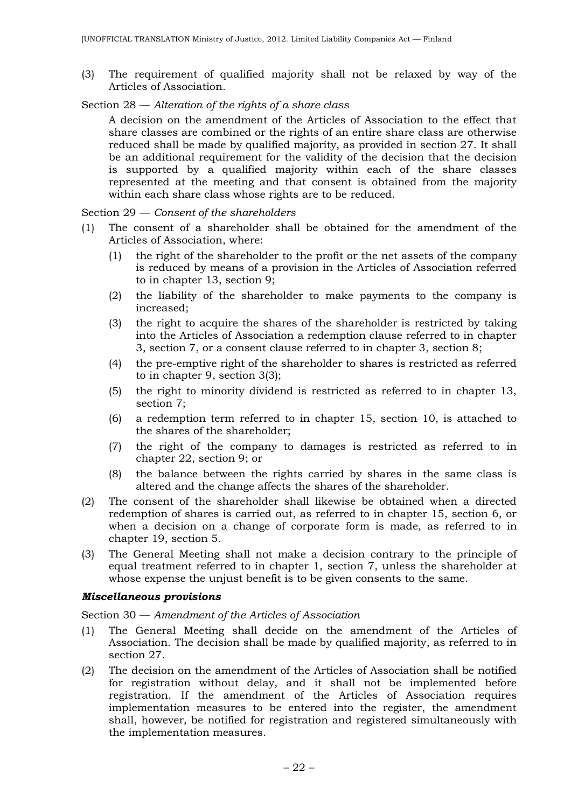(3) The requirement of qualified majority shall not be relaxed by way of the Articles of Association.

### Section 28 — *Alteration of the rights of a share class*

A decision on the amendment of the Articles of Association to the effect that share classes are combined or the rights of an entire share class are otherwise reduced shall be made by qualified majority, as provided in section 27. It shall be an additional requirement for the validity of the decision that the decision is supported by a qualified majority within each of the share classes represented at the meeting and that consent is obtained from the majority within each share class whose rights are to be reduced.

Section 29 — *Consent of the shareholders*

- (1) The consent of a shareholder shall be obtained for the amendment of the Articles of Association, where:
	- (1) the right of the shareholder to the profit or the net assets of the company is reduced by means of a provision in the Articles of Association referred to in chapter 13, section 9;
	- (2) the liability of the shareholder to make payments to the company is increased;
	- (3) the right to acquire the shares of the shareholder is restricted by taking into the Articles of Association a redemption clause referred to in chapter 3, section 7, or a consent clause referred to in chapter 3, section 8;
	- (4) the pre-emptive right of the shareholder to shares is restricted as referred to in chapter 9, section 3(3);
	- (5) the right to minority dividend is restricted as referred to in chapter 13, section 7;
	- (6) a redemption term referred to in chapter 15, section 10, is attached to the shares of the shareholder;
	- (7) the right of the company to damages is restricted as referred to in chapter 22, section 9; or
	- (8) the balance between the rights carried by shares in the same class is altered and the change affects the shares of the shareholder.
- (2) The consent of the shareholder shall likewise be obtained when a directed redemption of shares is carried out, as referred to in chapter 15, section 6, or when a decision on a change of corporate form is made, as referred to in chapter 19, section 5.
- (3) The General Meeting shall not make a decision contrary to the principle of equal treatment referred to in chapter 1, section 7, unless the shareholder at whose expense the unjust benefit is to be given consents to the same.

#### *Miscellaneous provisions*

#### Section 30 — *Amendment of the Articles of Association*

- (1) The General Meeting shall decide on the amendment of the Articles of Association. The decision shall be made by qualified majority, as referred to in section 27.
- (2) The decision on the amendment of the Articles of Association shall be notified for registration without delay, and it shall not be implemented before registration. If the amendment of the Articles of Association requires implementation measures to be entered into the register, the amendment shall, however, be notified for registration and registered simultaneously with the implementation measures.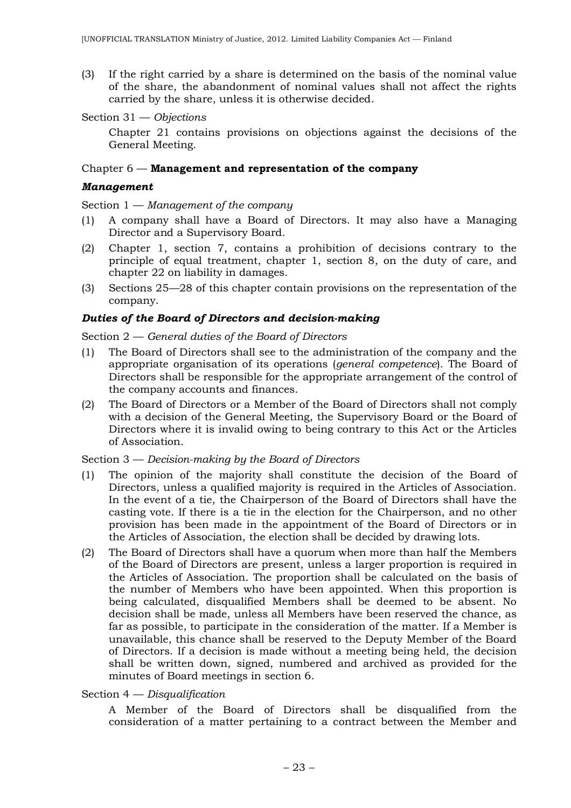(3) If the right carried by a share is determined on the basis of the nominal value of the share, the abandonment of nominal values shall not affect the rights carried by the share, unless it is otherwise decided.

```
Section 31 — Objections
```
Chapter 21 contains provisions on objections against the decisions of the General Meeting.

#### Chapter 6 — **Management and representation of the company**

#### *Management*

Section 1 — *Management of the company*

- (1) A company shall have a Board of Directors. It may also have a Managing Director and a Supervisory Board.
- (2) Chapter 1, section 7, contains a prohibition of decisions contrary to the principle of equal treatment, chapter 1, section 8, on the duty of care, and chapter 22 on liability in damages.
- (3) Sections 25—28 of this chapter contain provisions on the representation of the company.

### *Duties of the Board of Directors and decision-making*

Section 2 — *General duties of the Board of Directors*

- (1) The Board of Directors shall see to the administration of the company and the appropriate organisation of its operations (*general competence*). The Board of Directors shall be responsible for the appropriate arrangement of the control of the company accounts and finances.
- (2) The Board of Directors or a Member of the Board of Directors shall not comply with a decision of the General Meeting, the Supervisory Board or the Board of Directors where it is invalid owing to being contrary to this Act or the Articles of Association.

#### Section 3 — *Decision-making by the Board of Directors*

- (1) The opinion of the majority shall constitute the decision of the Board of Directors, unless a qualified majority is required in the Articles of Association. In the event of a tie, the Chairperson of the Board of Directors shall have the casting vote. If there is a tie in the election for the Chairperson, and no other provision has been made in the appointment of the Board of Directors or in the Articles of Association, the election shall be decided by drawing lots.
- (2) The Board of Directors shall have a quorum when more than half the Members of the Board of Directors are present, unless a larger proportion is required in the Articles of Association. The proportion shall be calculated on the basis of the number of Members who have been appointed. When this proportion is being calculated, disqualified Members shall be deemed to be absent. No decision shall be made, unless all Members have been reserved the chance, as far as possible, to participate in the consideration of the matter. If a Member is unavailable, this chance shall be reserved to the Deputy Member of the Board of Directors. If a decision is made without a meeting being held, the decision shall be written down, signed, numbered and archived as provided for the minutes of Board meetings in section 6.

Section 4 — *Disqualification*

A Member of the Board of Directors shall be disqualified from the consideration of a matter pertaining to a contract between the Member and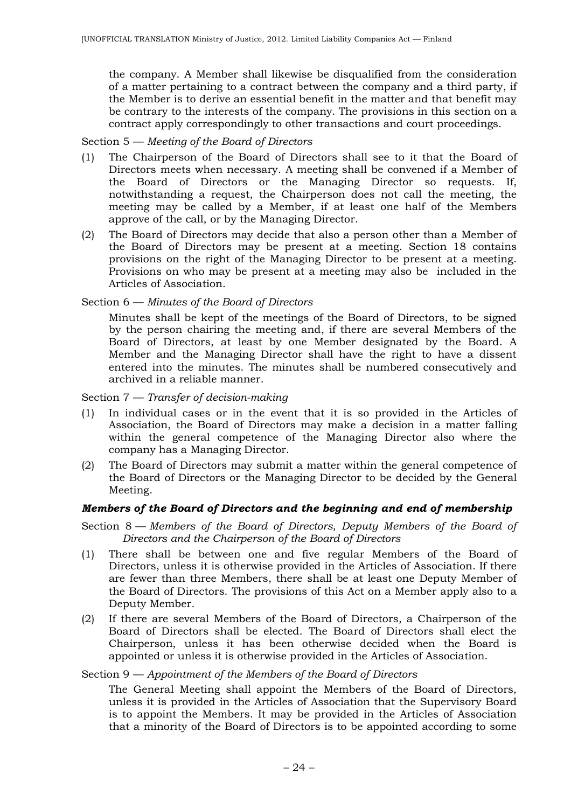the company. A Member shall likewise be disqualified from the consideration of a matter pertaining to a contract between the company and a third party, if the Member is to derive an essential benefit in the matter and that benefit may be contrary to the interests of the company. The provisions in this section on a contract apply correspondingly to other transactions and court proceedings.

### Section 5 — *Meeting of the Board of Directors*

- (1) The Chairperson of the Board of Directors shall see to it that the Board of Directors meets when necessary. A meeting shall be convened if a Member of the Board of Directors or the Managing Director so requests. If, notwithstanding a request, the Chairperson does not call the meeting, the meeting may be called by a Member, if at least one half of the Members approve of the call, or by the Managing Director.
- (2) The Board of Directors may decide that also a person other than a Member of the Board of Directors may be present at a meeting. Section 18 contains provisions on the right of the Managing Director to be present at a meeting. Provisions on who may be present at a meeting may also be included in the Articles of Association.

### Section 6 — *Minutes of the Board of Directors*

Minutes shall be kept of the meetings of the Board of Directors, to be signed by the person chairing the meeting and, if there are several Members of the Board of Directors, at least by one Member designated by the Board. A Member and the Managing Director shall have the right to have a dissent entered into the minutes. The minutes shall be numbered consecutively and archived in a reliable manner.

Section 7 — *Transfer of decision-making*

- (1) In individual cases or in the event that it is so provided in the Articles of Association, the Board of Directors may make a decision in a matter falling within the general competence of the Managing Director also where the company has a Managing Director.
- (2) The Board of Directors may submit a matter within the general competence of the Board of Directors or the Managing Director to be decided by the General Meeting.

### *Members of the Board of Directors and the beginning and end of membership*

- Section 8 *Members of the Board of Directors, Deputy Members of the Board of Directors and the Chairperson of the Board of Directors*
- (1) There shall be between one and five regular Members of the Board of Directors, unless it is otherwise provided in the Articles of Association. If there are fewer than three Members, there shall be at least one Deputy Member of the Board of Directors. The provisions of this Act on a Member apply also to a Deputy Member.
- (2) If there are several Members of the Board of Directors, a Chairperson of the Board of Directors shall be elected. The Board of Directors shall elect the Chairperson, unless it has been otherwise decided when the Board is appointed or unless it is otherwise provided in the Articles of Association.

Section 9 — *Appointment of the Members of the Board of Directors*

The General Meeting shall appoint the Members of the Board of Directors, unless it is provided in the Articles of Association that the Supervisory Board is to appoint the Members. It may be provided in the Articles of Association that a minority of the Board of Directors is to be appointed according to some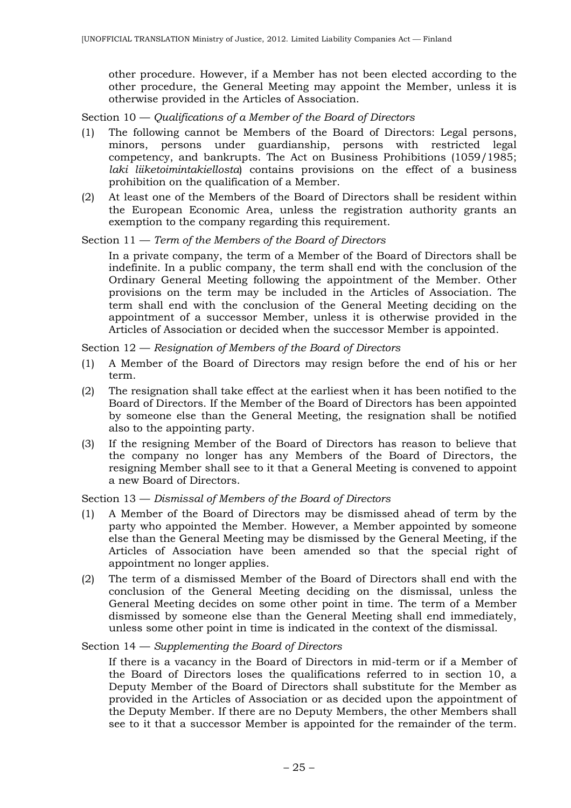other procedure. However, if a Member has not been elected according to the other procedure, the General Meeting may appoint the Member, unless it is otherwise provided in the Articles of Association.

Section 10 — *Qualifications of a Member of the Board of Directors*

- (1) The following cannot be Members of the Board of Directors: Legal persons, minors, persons under guardianship, persons with restricted legal competency, and bankrupts. The Act on Business Prohibitions (1059/1985; *laki liiketoimintakiellosta*) contains provisions on the effect of a business prohibition on the qualification of a Member.
- (2) At least one of the Members of the Board of Directors shall be resident within the European Economic Area, unless the registration authority grants an exemption to the company regarding this requirement.

### Section 11 — *Term of the Members of the Board of Directors*

In a private company, the term of a Member of the Board of Directors shall be indefinite. In a public company, the term shall end with the conclusion of the Ordinary General Meeting following the appointment of the Member. Other provisions on the term may be included in the Articles of Association. The term shall end with the conclusion of the General Meeting deciding on the appointment of a successor Member, unless it is otherwise provided in the Articles of Association or decided when the successor Member is appointed.

Section 12 — *Resignation of Members of the Board of Directors*

- (1) A Member of the Board of Directors may resign before the end of his or her term.
- (2) The resignation shall take effect at the earliest when it has been notified to the Board of Directors. If the Member of the Board of Directors has been appointed by someone else than the General Meeting, the resignation shall be notified also to the appointing party.
- (3) If the resigning Member of the Board of Directors has reason to believe that the company no longer has any Members of the Board of Directors, the resigning Member shall see to it that a General Meeting is convened to appoint a new Board of Directors.

#### Section 13 — *Dismissal of Members of the Board of Directors*

- (1) A Member of the Board of Directors may be dismissed ahead of term by the party who appointed the Member. However, a Member appointed by someone else than the General Meeting may be dismissed by the General Meeting, if the Articles of Association have been amended so that the special right of appointment no longer applies.
- (2) The term of a dismissed Member of the Board of Directors shall end with the conclusion of the General Meeting deciding on the dismissal, unless the General Meeting decides on some other point in time. The term of a Member dismissed by someone else than the General Meeting shall end immediately, unless some other point in time is indicated in the context of the dismissal.

#### Section 14 — *Supplementing the Board of Directors*

If there is a vacancy in the Board of Directors in mid-term or if a Member of the Board of Directors loses the qualifications referred to in section 10, a Deputy Member of the Board of Directors shall substitute for the Member as provided in the Articles of Association or as decided upon the appointment of the Deputy Member. If there are no Deputy Members, the other Members shall see to it that a successor Member is appointed for the remainder of the term.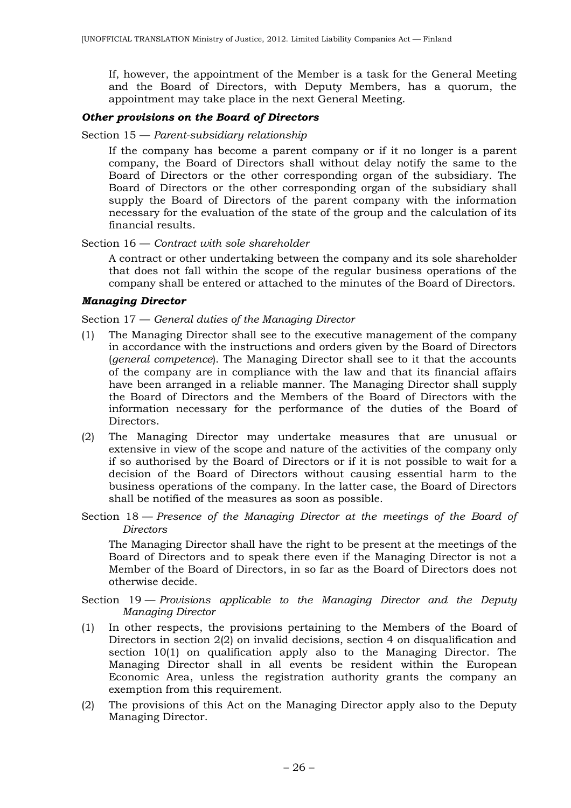If, however, the appointment of the Member is a task for the General Meeting and the Board of Directors, with Deputy Members, has a quorum, the appointment may take place in the next General Meeting.

#### *Other provisions on the Board of Directors*

#### Section 15 — *Parent-subsidiary relationship*

If the company has become a parent company or if it no longer is a parent company, the Board of Directors shall without delay notify the same to the Board of Directors or the other corresponding organ of the subsidiary. The Board of Directors or the other corresponding organ of the subsidiary shall supply the Board of Directors of the parent company with the information necessary for the evaluation of the state of the group and the calculation of its financial results.

### Section 16 — *Contract with sole shareholder*

A contract or other undertaking between the company and its sole shareholder that does not fall within the scope of the regular business operations of the company shall be entered or attached to the minutes of the Board of Directors.

#### *Managing Director*

Section 17 — *General duties of the Managing Director*

- (1) The Managing Director shall see to the executive management of the company in accordance with the instructions and orders given by the Board of Directors (*general competence*). The Managing Director shall see to it that the accounts of the company are in compliance with the law and that its financial affairs have been arranged in a reliable manner. The Managing Director shall supply the Board of Directors and the Members of the Board of Directors with the information necessary for the performance of the duties of the Board of Directors.
- (2) The Managing Director may undertake measures that are unusual or extensive in view of the scope and nature of the activities of the company only if so authorised by the Board of Directors or if it is not possible to wait for a decision of the Board of Directors without causing essential harm to the business operations of the company. In the latter case, the Board of Directors shall be notified of the measures as soon as possible.
- Section 18 *Presence of the Managing Director at the meetings of the Board of Directors*

The Managing Director shall have the right to be present at the meetings of the Board of Directors and to speak there even if the Managing Director is not a Member of the Board of Directors, in so far as the Board of Directors does not otherwise decide.

### Section 19 — *Provisions applicable to the Managing Director and the Deputy Managing Director*

- (1) In other respects, the provisions pertaining to the Members of the Board of Directors in section 2(2) on invalid decisions, section 4 on disqualification and section 10(1) on qualification apply also to the Managing Director. The Managing Director shall in all events be resident within the European Economic Area, unless the registration authority grants the company an exemption from this requirement.
- (2) The provisions of this Act on the Managing Director apply also to the Deputy Managing Director.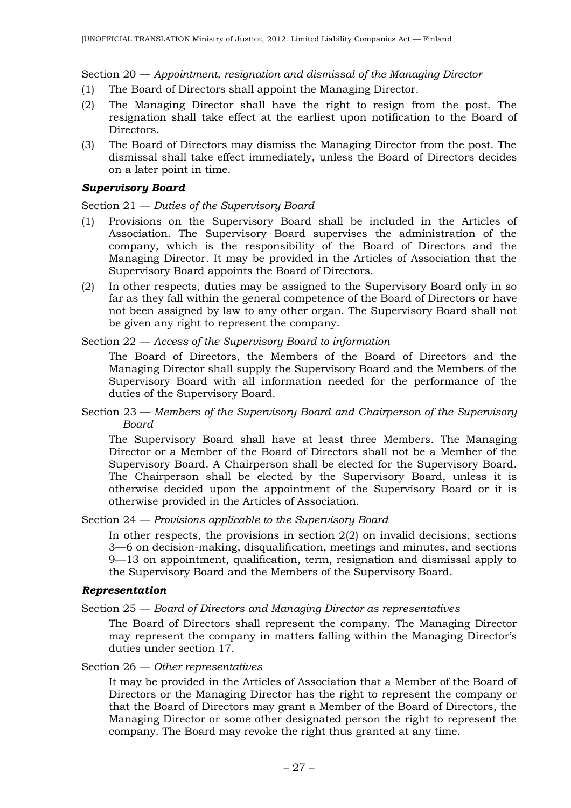Section 20 — *Appointment, resignation and dismissal of the Managing Director*

- (1) The Board of Directors shall appoint the Managing Director.
- (2) The Managing Director shall have the right to resign from the post. The resignation shall take effect at the earliest upon notification to the Board of Directors.
- (3) The Board of Directors may dismiss the Managing Director from the post. The dismissal shall take effect immediately, unless the Board of Directors decides on a later point in time.

#### *Supervisory Board*

Section 21 — *Duties of the Supervisory Board*

- (1) Provisions on the Supervisory Board shall be included in the Articles of Association. The Supervisory Board supervises the administration of the company, which is the responsibility of the Board of Directors and the Managing Director. It may be provided in the Articles of Association that the Supervisory Board appoints the Board of Directors.
- (2) In other respects, duties may be assigned to the Supervisory Board only in so far as they fall within the general competence of the Board of Directors or have not been assigned by law to any other organ. The Supervisory Board shall not be given any right to represent the company.

Section 22 — *Access of the Supervisory Board to information*

The Board of Directors, the Members of the Board of Directors and the Managing Director shall supply the Supervisory Board and the Members of the Supervisory Board with all information needed for the performance of the duties of the Supervisory Board.

Section 23 — *Members of the Supervisory Board and Chairperson of the Supervisory Board*

The Supervisory Board shall have at least three Members. The Managing Director or a Member of the Board of Directors shall not be a Member of the Supervisory Board. A Chairperson shall be elected for the Supervisory Board. The Chairperson shall be elected by the Supervisory Board, unless it is otherwise decided upon the appointment of the Supervisory Board or it is otherwise provided in the Articles of Association.

Section 24 — *Provisions applicable to the Supervisory Board*

In other respects, the provisions in section  $2(2)$  on invalid decisions, sections 3—6 on decision-making, disqualification, meetings and minutes, and sections 9—13 on appointment, qualification, term, resignation and dismissal apply to the Supervisory Board and the Members of the Supervisory Board.

### *Representation*

#### Section 25 — *Board of Directors and Managing Director as representatives*

The Board of Directors shall represent the company. The Managing Director may represent the company in matters falling within the Managing Director's duties under section 17.

Section 26 — *Other representatives*

It may be provided in the Articles of Association that a Member of the Board of Directors or the Managing Director has the right to represent the company or that the Board of Directors may grant a Member of the Board of Directors, the Managing Director or some other designated person the right to represent the company. The Board may revoke the right thus granted at any time.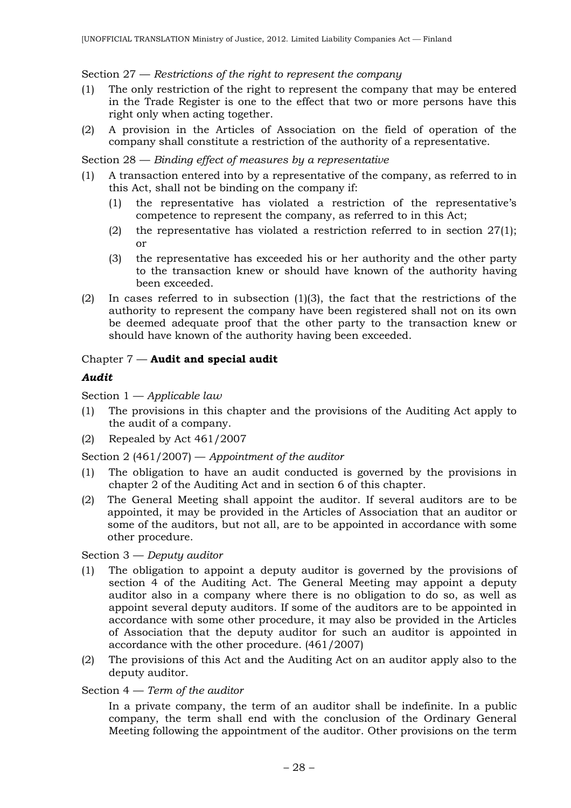### Section 27 — *Restrictions of the right to represent the company*

- (1) The only restriction of the right to represent the company that may be entered in the Trade Register is one to the effect that two or more persons have this right only when acting together.
- (2) A provision in the Articles of Association on the field of operation of the company shall constitute a restriction of the authority of a representative.

### Section 28 — *Binding effect of measures by a representative*

- (1) A transaction entered into by a representative of the company, as referred to in this Act, shall not be binding on the company if:
	- (1) the representative has violated a restriction of the representative's competence to represent the company, as referred to in this Act;
	- (2) the representative has violated a restriction referred to in section  $27(1)$ ; or
	- (3) the representative has exceeded his or her authority and the other party to the transaction knew or should have known of the authority having been exceeded.
- (2) In cases referred to in subsection (1)(3), the fact that the restrictions of the authority to represent the company have been registered shall not on its own be deemed adequate proof that the other party to the transaction knew or should have known of the authority having been exceeded.

### Chapter 7 — **Audit and special audit**

### *Audit*

Section 1 — *Applicable law*

- (1) The provisions in this chapter and the provisions of the Auditing Act apply to the audit of a company.
- (2) Repealed by Act 461/2007

Section 2 (461/2007) — *Appointment of the auditor*

- (1) The obligation to have an audit conducted is governed by the provisions in chapter 2 of the Auditing Act and in section 6 of this chapter.
- (2) The General Meeting shall appoint the auditor. If several auditors are to be appointed, it may be provided in the Articles of Association that an auditor or some of the auditors, but not all, are to be appointed in accordance with some other procedure.

Section 3 — *Deputy auditor*

- (1) The obligation to appoint a deputy auditor is governed by the provisions of section 4 of the Auditing Act. The General Meeting may appoint a deputy auditor also in a company where there is no obligation to do so, as well as appoint several deputy auditors. If some of the auditors are to be appointed in accordance with some other procedure, it may also be provided in the Articles of Association that the deputy auditor for such an auditor is appointed in accordance with the other procedure. (461/2007)
- (2) The provisions of this Act and the Auditing Act on an auditor apply also to the deputy auditor.

### Section 4 — *Term of the auditor*

In a private company, the term of an auditor shall be indefinite. In a public company, the term shall end with the conclusion of the Ordinary General Meeting following the appointment of the auditor. Other provisions on the term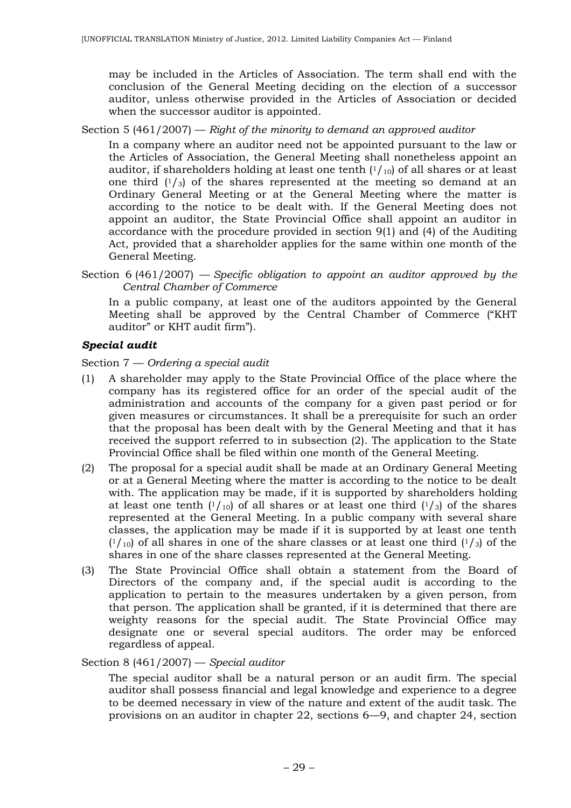may be included in the Articles of Association. The term shall end with the conclusion of the General Meeting deciding on the election of a successor auditor, unless otherwise provided in the Articles of Association or decided when the successor auditor is appointed.

### Section 5 (461/2007) — *Right of the minority to demand an approved auditor*

In a company where an auditor need not be appointed pursuant to the law or the Articles of Association, the General Meeting shall nonetheless appoint an auditor, if shareholders holding at least one tenth  $(1/10)$  of all shares or at least one third  $(1/3)$  of the shares represented at the meeting so demand at an Ordinary General Meeting or at the General Meeting where the matter is according to the notice to be dealt with. If the General Meeting does not appoint an auditor, the State Provincial Office shall appoint an auditor in accordance with the procedure provided in section 9(1) and (4) of the Auditing Act, provided that a shareholder applies for the same within one month of the General Meeting.

Section 6 (461/2007) — *Specific obligation to appoint an auditor approved by the Central Chamber of Commerce*

In a public company, at least one of the auditors appointed by the General Meeting shall be approved by the Central Chamber of Commerce ("KHT auditor" or KHT audit firm").

### *Special audit*

Section 7 — *Ordering a special audit*

- (1) A shareholder may apply to the State Provincial Office of the place where the company has its registered office for an order of the special audit of the administration and accounts of the company for a given past period or for given measures or circumstances. It shall be a prerequisite for such an order that the proposal has been dealt with by the General Meeting and that it has received the support referred to in subsection (2). The application to the State Provincial Office shall be filed within one month of the General Meeting.
- (2) The proposal for a special audit shall be made at an Ordinary General Meeting or at a General Meeting where the matter is according to the notice to be dealt with. The application may be made, if it is supported by shareholders holding at least one tenth  $(1/_{10})$  of all shares or at least one third  $(1/_{3})$  of the shares represented at the General Meeting. In a public company with several share classes, the application may be made if it is supported by at least one tenth  $(1/_{10})$  of all shares in one of the share classes or at least one third  $(1/_{3})$  of the shares in one of the share classes represented at the General Meeting.
- (3) The State Provincial Office shall obtain a statement from the Board of Directors of the company and, if the special audit is according to the application to pertain to the measures undertaken by a given person, from that person. The application shall be granted, if it is determined that there are weighty reasons for the special audit. The State Provincial Office may designate one or several special auditors. The order may be enforced regardless of appeal.

### Section 8 (461/2007) — *Special auditor*

The special auditor shall be a natural person or an audit firm. The special auditor shall possess financial and legal knowledge and experience to a degree to be deemed necessary in view of the nature and extent of the audit task. The provisions on an auditor in chapter 22, sections 6—9, and chapter 24, section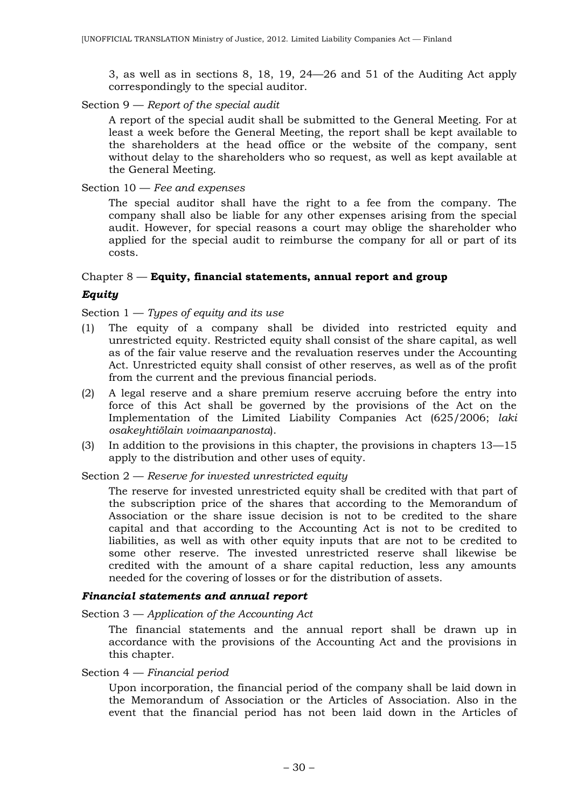3, as well as in sections 8, 18, 19, 24—26 and 51 of the Auditing Act apply correspondingly to the special auditor.

### Section 9 — *Report of the special audit*

A report of the special audit shall be submitted to the General Meeting. For at least a week before the General Meeting, the report shall be kept available to the shareholders at the head office or the website of the company, sent without delay to the shareholders who so request, as well as kept available at the General Meeting.

#### Section 10 — *Fee and expenses*

The special auditor shall have the right to a fee from the company. The company shall also be liable for any other expenses arising from the special audit. However, for special reasons a court may oblige the shareholder who applied for the special audit to reimburse the company for all or part of its costs.

### Chapter 8 — **Equity, financial statements, annual report and group**

### *Equity*

### Section 1 — *Types of equity and its use*

- (1) The equity of a company shall be divided into restricted equity and unrestricted equity. Restricted equity shall consist of the share capital, as well as of the fair value reserve and the revaluation reserves under the Accounting Act. Unrestricted equity shall consist of other reserves, as well as of the profit from the current and the previous financial periods.
- (2) A legal reserve and a share premium reserve accruing before the entry into force of this Act shall be governed by the provisions of the Act on the Implementation of the Limited Liability Companies Act (625/2006; *laki osakeyhtiölain voimaanpanosta*).
- (3) In addition to the provisions in this chapter, the provisions in chapters 13—15 apply to the distribution and other uses of equity.

#### Section 2 — *Reserve for invested unrestricted equity*

The reserve for invested unrestricted equity shall be credited with that part of the subscription price of the shares that according to the Memorandum of Association or the share issue decision is not to be credited to the share capital and that according to the Accounting Act is not to be credited to liabilities, as well as with other equity inputs that are not to be credited to some other reserve. The invested unrestricted reserve shall likewise be credited with the amount of a share capital reduction, less any amounts needed for the covering of losses or for the distribution of assets.

#### *Financial statements and annual report*

Section 3 — *Application of the Accounting Act*

The financial statements and the annual report shall be drawn up in accordance with the provisions of the Accounting Act and the provisions in this chapter.

#### Section 4 — *Financial period*

Upon incorporation, the financial period of the company shall be laid down in the Memorandum of Association or the Articles of Association. Also in the event that the financial period has not been laid down in the Articles of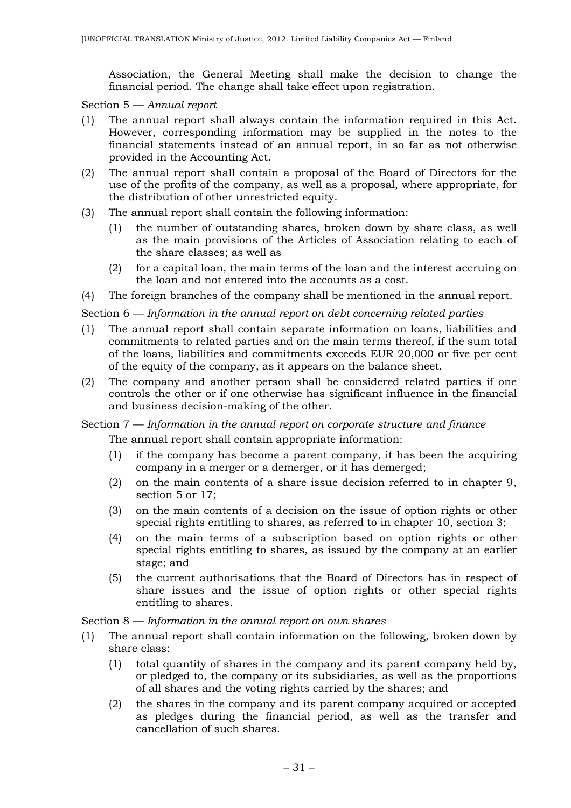Association, the General Meeting shall make the decision to change the financial period. The change shall take effect upon registration.

Section 5 — *Annual report*

- (1) The annual report shall always contain the information required in this Act. However, corresponding information may be supplied in the notes to the financial statements instead of an annual report, in so far as not otherwise provided in the Accounting Act.
- (2) The annual report shall contain a proposal of the Board of Directors for the use of the profits of the company, as well as a proposal, where appropriate, for the distribution of other unrestricted equity.
- (3) The annual report shall contain the following information:
	- (1) the number of outstanding shares, broken down by share class, as well as the main provisions of the Articles of Association relating to each of the share classes; as well as
	- (2) for a capital loan, the main terms of the loan and the interest accruing on the loan and not entered into the accounts as a cost.
- (4) The foreign branches of the company shall be mentioned in the annual report.

Section 6 — *Information in the annual report on debt concerning related parties*

- (1) The annual report shall contain separate information on loans, liabilities and commitments to related parties and on the main terms thereof, if the sum total of the loans, liabilities and commitments exceeds EUR 20,000 or five per cent of the equity of the company, as it appears on the balance sheet.
- (2) The company and another person shall be considered related parties if one controls the other or if one otherwise has significant influence in the financial and business decision-making of the other.

### Section 7 — *Information in the annual report on corporate structure and finance*

The annual report shall contain appropriate information:

- (1) if the company has become a parent company, it has been the acquiring company in a merger or a demerger, or it has demerged;
- (2) on the main contents of a share issue decision referred to in chapter 9, section 5 or 17;
- (3) on the main contents of a decision on the issue of option rights or other special rights entitling to shares, as referred to in chapter 10, section 3;
- (4) on the main terms of a subscription based on option rights or other special rights entitling to shares, as issued by the company at an earlier stage; and
- (5) the current authorisations that the Board of Directors has in respect of share issues and the issue of option rights or other special rights entitling to shares.

Section 8 — *Information in the annual report on own shares*

- (1) The annual report shall contain information on the following, broken down by share class:
	- (1) total quantity of shares in the company and its parent company held by, or pledged to, the company or its subsidiaries, as well as the proportions of all shares and the voting rights carried by the shares; and
	- (2) the shares in the company and its parent company acquired or accepted as pledges during the financial period, as well as the transfer and cancellation of such shares.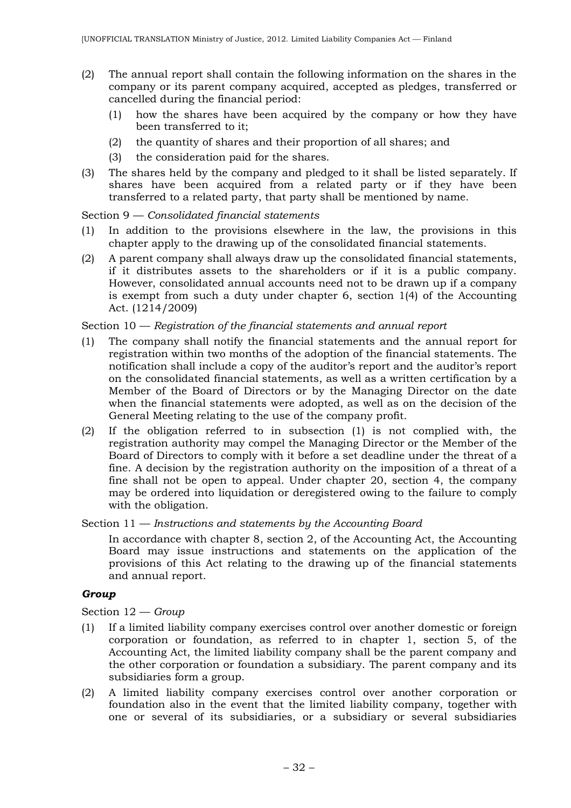- (2) The annual report shall contain the following information on the shares in the company or its parent company acquired, accepted as pledges, transferred or cancelled during the financial period:
	- (1) how the shares have been acquired by the company or how they have been transferred to it;
	- (2) the quantity of shares and their proportion of all shares; and
	- (3) the consideration paid for the shares.
- (3) The shares held by the company and pledged to it shall be listed separately. If shares have been acquired from a related party or if they have been transferred to a related party, that party shall be mentioned by name.

Section 9 — *Consolidated financial statements*

- (1) In addition to the provisions elsewhere in the law, the provisions in this chapter apply to the drawing up of the consolidated financial statements.
- (2) A parent company shall always draw up the consolidated financial statements, if it distributes assets to the shareholders or if it is a public company. However, consolidated annual accounts need not to be drawn up if a company is exempt from such a duty under chapter 6, section 1(4) of the Accounting Act. (1214/2009)

## Section 10 — *Registration of the financial statements and annual report*

- (1) The company shall notify the financial statements and the annual report for registration within two months of the adoption of the financial statements. The notification shall include a copy of the auditor's report and the auditor's report on the consolidated financial statements, as well as a written certification by a Member of the Board of Directors or by the Managing Director on the date when the financial statements were adopted, as well as on the decision of the General Meeting relating to the use of the company profit.
- (2) If the obligation referred to in subsection (1) is not complied with, the registration authority may compel the Managing Director or the Member of the Board of Directors to comply with it before a set deadline under the threat of a fine. A decision by the registration authority on the imposition of a threat of a fine shall not be open to appeal. Under chapter 20, section 4, the company may be ordered into liquidation or deregistered owing to the failure to comply with the obligation.

Section 11 — *Instructions and statements by the Accounting Board*

In accordance with chapter 8, section 2, of the Accounting Act, the Accounting Board may issue instructions and statements on the application of the provisions of this Act relating to the drawing up of the financial statements and annual report.

### *Group*

Section 12 — *Group*

- (1) If a limited liability company exercises control over another domestic or foreign corporation or foundation, as referred to in chapter 1, section 5, of the Accounting Act, the limited liability company shall be the parent company and the other corporation or foundation a subsidiary. The parent company and its subsidiaries form a group.
- (2) A limited liability company exercises control over another corporation or foundation also in the event that the limited liability company, together with one or several of its subsidiaries, or a subsidiary or several subsidiaries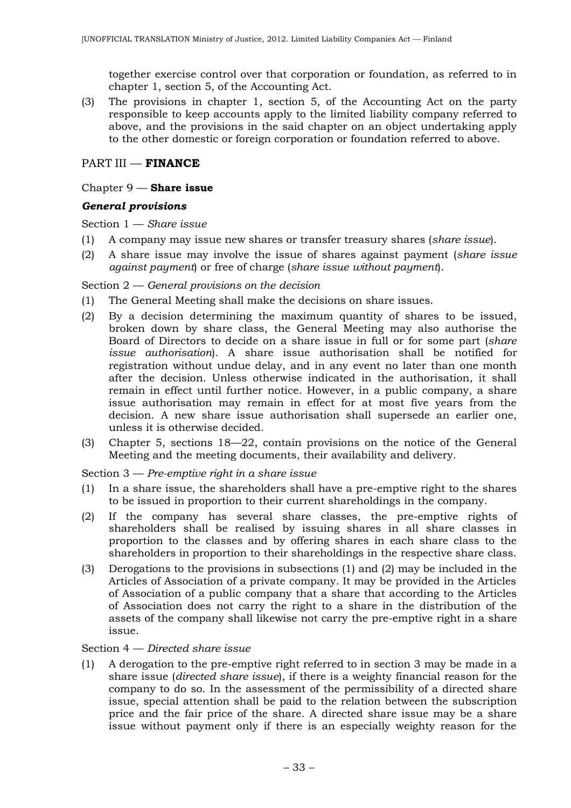together exercise control over that corporation or foundation, as referred to in chapter 1, section 5, of the Accounting Act.

(3) The provisions in chapter 1, section 5, of the Accounting Act on the party responsible to keep accounts apply to the limited liability company referred to above, and the provisions in the said chapter on an object undertaking apply to the other domestic or foreign corporation or foundation referred to above.

## PART III — **FINANCE**

### Chapter 9 — **Share issue**

## *General provisions*

Section 1 — *Share issue*

- (1) A company may issue new shares or transfer treasury shares (*share issue*).
- (2) A share issue may involve the issue of shares against payment (*share issue against payment*) or free of charge (*share issue without payment*).

### Section 2 — *General provisions on the decision*

- (1) The General Meeting shall make the decisions on share issues.
- (2) By a decision determining the maximum quantity of shares to be issued, broken down by share class, the General Meeting may also authorise the Board of Directors to decide on a share issue in full or for some part (*share issue authorisation*). A share issue authorisation shall be notified for registration without undue delay, and in any event no later than one month after the decision. Unless otherwise indicated in the authorisation, it shall remain in effect until further notice. However, in a public company, a share issue authorisation may remain in effect for at most five years from the decision. A new share issue authorisation shall supersede an earlier one, unless it is otherwise decided.
- (3) Chapter 5, sections 18—22, contain provisions on the notice of the General Meeting and the meeting documents, their availability and delivery.

Section 3 — *Pre-emptive right in a share issue*

- (1) In a share issue, the shareholders shall have a pre-emptive right to the shares to be issued in proportion to their current shareholdings in the company.
- (2) If the company has several share classes, the pre-emptive rights of shareholders shall be realised by issuing shares in all share classes in proportion to the classes and by offering shares in each share class to the shareholders in proportion to their shareholdings in the respective share class.
- (3) Derogations to the provisions in subsections (1) and (2) may be included in the Articles of Association of a private company. It may be provided in the Articles of Association of a public company that a share that according to the Articles of Association does not carry the right to a share in the distribution of the assets of the company shall likewise not carry the pre-emptive right in a share issue.

### Section 4 — *Directed share issue*

(1) A derogation to the pre-emptive right referred to in section 3 may be made in a share issue (*directed share issue*), if there is a weighty financial reason for the company to do so. In the assessment of the permissibility of a directed share issue, special attention shall be paid to the relation between the subscription price and the fair price of the share. A directed share issue may be a share issue without payment only if there is an especially weighty reason for the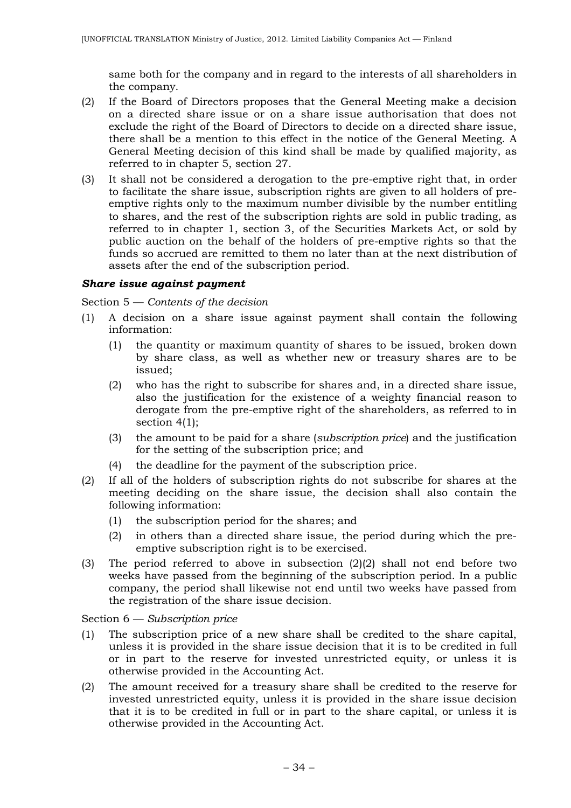same both for the company and in regard to the interests of all shareholders in the company.

- (2) If the Board of Directors proposes that the General Meeting make a decision on a directed share issue or on a share issue authorisation that does not exclude the right of the Board of Directors to decide on a directed share issue, there shall be a mention to this effect in the notice of the General Meeting. A General Meeting decision of this kind shall be made by qualified majority, as referred to in chapter 5, section 27.
- (3) It shall not be considered a derogation to the pre-emptive right that, in order to facilitate the share issue, subscription rights are given to all holders of preemptive rights only to the maximum number divisible by the number entitling to shares, and the rest of the subscription rights are sold in public trading, as referred to in chapter 1, section 3, of the Securities Markets Act, or sold by public auction on the behalf of the holders of pre-emptive rights so that the funds so accrued are remitted to them no later than at the next distribution of assets after the end of the subscription period.

## *Share issue against payment*

Section 5 — *Contents of the decision*

- (1) A decision on a share issue against payment shall contain the following information:
	- (1) the quantity or maximum quantity of shares to be issued, broken down by share class, as well as whether new or treasury shares are to be issued;
	- (2) who has the right to subscribe for shares and, in a directed share issue, also the justification for the existence of a weighty financial reason to derogate from the pre-emptive right of the shareholders, as referred to in section 4(1);
	- (3) the amount to be paid for a share (*subscription price*) and the justification for the setting of the subscription price; and
	- (4) the deadline for the payment of the subscription price.
- (2) If all of the holders of subscription rights do not subscribe for shares at the meeting deciding on the share issue, the decision shall also contain the following information:
	- (1) the subscription period for the shares; and
	- (2) in others than a directed share issue, the period during which the preemptive subscription right is to be exercised.
- (3) The period referred to above in subsection (2)(2) shall not end before two weeks have passed from the beginning of the subscription period. In a public company, the period shall likewise not end until two weeks have passed from the registration of the share issue decision.

Section 6 — *Subscription price*

- (1) The subscription price of a new share shall be credited to the share capital, unless it is provided in the share issue decision that it is to be credited in full or in part to the reserve for invested unrestricted equity, or unless it is otherwise provided in the Accounting Act.
- (2) The amount received for a treasury share shall be credited to the reserve for invested unrestricted equity, unless it is provided in the share issue decision that it is to be credited in full or in part to the share capital, or unless it is otherwise provided in the Accounting Act.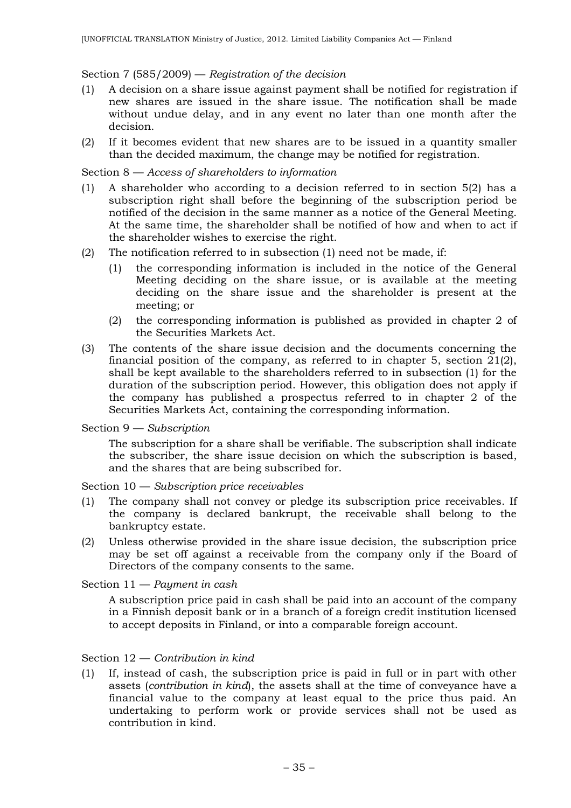### Section 7 (585/2009) — *Registration of the decision*

- (1) A decision on a share issue against payment shall be notified for registration if new shares are issued in the share issue. The notification shall be made without undue delay, and in any event no later than one month after the decision.
- (2) If it becomes evident that new shares are to be issued in a quantity smaller than the decided maximum, the change may be notified for registration.

### Section 8 — *Access of shareholders to information*

- (1) A shareholder who according to a decision referred to in section 5(2) has a subscription right shall before the beginning of the subscription period be notified of the decision in the same manner as a notice of the General Meeting. At the same time, the shareholder shall be notified of how and when to act if the shareholder wishes to exercise the right.
- (2) The notification referred to in subsection (1) need not be made, if:
	- (1) the corresponding information is included in the notice of the General Meeting deciding on the share issue, or is available at the meeting deciding on the share issue and the shareholder is present at the meeting; or
	- (2) the corresponding information is published as provided in chapter 2 of the Securities Markets Act.
- (3) The contents of the share issue decision and the documents concerning the financial position of the company, as referred to in chapter 5, section  $21(2)$ , shall be kept available to the shareholders referred to in subsection (1) for the duration of the subscription period. However, this obligation does not apply if the company has published a prospectus referred to in chapter 2 of the Securities Markets Act, containing the corresponding information.

#### Section 9 — *Subscription*

The subscription for a share shall be verifiable. The subscription shall indicate the subscriber, the share issue decision on which the subscription is based, and the shares that are being subscribed for.

Section 10 — *Subscription price receivables*

- (1) The company shall not convey or pledge its subscription price receivables. If the company is declared bankrupt, the receivable shall belong to the bankruptcy estate.
- (2) Unless otherwise provided in the share issue decision, the subscription price may be set off against a receivable from the company only if the Board of Directors of the company consents to the same.

### Section 11 — *Payment in cash*

A subscription price paid in cash shall be paid into an account of the company in a Finnish deposit bank or in a branch of a foreign credit institution licensed to accept deposits in Finland, or into a comparable foreign account.

### Section 12 — *Contribution in kind*

(1) If, instead of cash, the subscription price is paid in full or in part with other assets (*contribution in kind*), the assets shall at the time of conveyance have a financial value to the company at least equal to the price thus paid. An undertaking to perform work or provide services shall not be used as contribution in kind.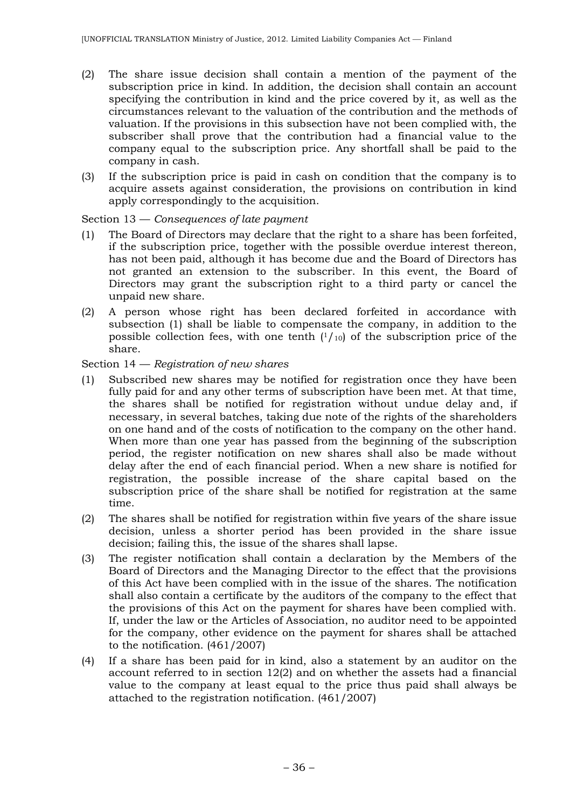- (2) The share issue decision shall contain a mention of the payment of the subscription price in kind. In addition, the decision shall contain an account specifying the contribution in kind and the price covered by it, as well as the circumstances relevant to the valuation of the contribution and the methods of valuation. If the provisions in this subsection have not been complied with, the subscriber shall prove that the contribution had a financial value to the company equal to the subscription price. Any shortfall shall be paid to the company in cash.
- (3) If the subscription price is paid in cash on condition that the company is to acquire assets against consideration, the provisions on contribution in kind apply correspondingly to the acquisition.

### Section 13 — *Consequences of late payment*

- (1) The Board of Directors may declare that the right to a share has been forfeited, if the subscription price, together with the possible overdue interest thereon, has not been paid, although it has become due and the Board of Directors has not granted an extension to the subscriber. In this event, the Board of Directors may grant the subscription right to a third party or cancel the unpaid new share.
- (2) A person whose right has been declared forfeited in accordance with subsection (1) shall be liable to compensate the company, in addition to the possible collection fees, with one tenth  $(1/10)$  of the subscription price of the share.

Section 14 — *Registration of new shares*

- (1) Subscribed new shares may be notified for registration once they have been fully paid for and any other terms of subscription have been met. At that time, the shares shall be notified for registration without undue delay and, if necessary, in several batches, taking due note of the rights of the shareholders on one hand and of the costs of notification to the company on the other hand. When more than one year has passed from the beginning of the subscription period, the register notification on new shares shall also be made without delay after the end of each financial period. When a new share is notified for registration, the possible increase of the share capital based on the subscription price of the share shall be notified for registration at the same time.
- (2) The shares shall be notified for registration within five years of the share issue decision, unless a shorter period has been provided in the share issue decision; failing this, the issue of the shares shall lapse.
- (3) The register notification shall contain a declaration by the Members of the Board of Directors and the Managing Director to the effect that the provisions of this Act have been complied with in the issue of the shares. The notification shall also contain a certificate by the auditors of the company to the effect that the provisions of this Act on the payment for shares have been complied with. If, under the law or the Articles of Association, no auditor need to be appointed for the company, other evidence on the payment for shares shall be attached to the notification. (461/2007)
- (4) If a share has been paid for in kind, also a statement by an auditor on the account referred to in section 12(2) and on whether the assets had a financial value to the company at least equal to the price thus paid shall always be attached to the registration notification. (461/2007)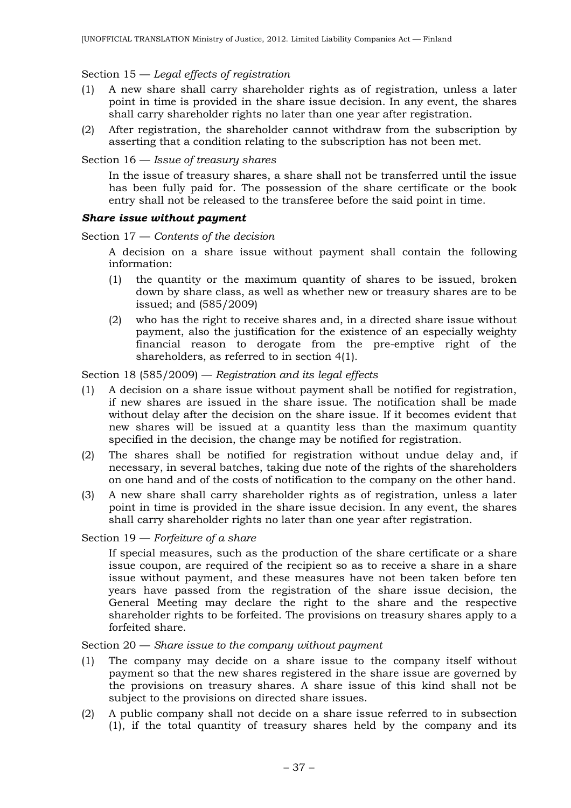## Section 15 — *Legal effects of registration*

- (1) A new share shall carry shareholder rights as of registration, unless a later point in time is provided in the share issue decision. In any event, the shares shall carry shareholder rights no later than one year after registration.
- (2) After registration, the shareholder cannot withdraw from the subscription by asserting that a condition relating to the subscription has not been met.

Section 16 — *Issue of treasury shares*

In the issue of treasury shares, a share shall not be transferred until the issue has been fully paid for. The possession of the share certificate or the book entry shall not be released to the transferee before the said point in time.

### *Share issue without payment*

Section 17 — *Contents of the decision*

A decision on a share issue without payment shall contain the following information:

- (1) the quantity or the maximum quantity of shares to be issued, broken down by share class, as well as whether new or treasury shares are to be issued; and (585/2009)
- (2) who has the right to receive shares and, in a directed share issue without payment, also the justification for the existence of an especially weighty financial reason to derogate from the pre-emptive right of the shareholders, as referred to in section 4(1).

Section 18 (585/2009) — *Registration and its legal effects*

- (1) A decision on a share issue without payment shall be notified for registration, if new shares are issued in the share issue. The notification shall be made without delay after the decision on the share issue. If it becomes evident that new shares will be issued at a quantity less than the maximum quantity specified in the decision, the change may be notified for registration.
- (2) The shares shall be notified for registration without undue delay and, if necessary, in several batches, taking due note of the rights of the shareholders on one hand and of the costs of notification to the company on the other hand.
- (3) A new share shall carry shareholder rights as of registration, unless a later point in time is provided in the share issue decision. In any event, the shares shall carry shareholder rights no later than one year after registration.

Section 19 — *Forfeiture of a share*

If special measures, such as the production of the share certificate or a share issue coupon, are required of the recipient so as to receive a share in a share issue without payment, and these measures have not been taken before ten years have passed from the registration of the share issue decision, the General Meeting may declare the right to the share and the respective shareholder rights to be forfeited. The provisions on treasury shares apply to a forfeited share.

## Section 20 — *Share issue to the company without payment*

- (1) The company may decide on a share issue to the company itself without payment so that the new shares registered in the share issue are governed by the provisions on treasury shares. A share issue of this kind shall not be subject to the provisions on directed share issues.
- (2) A public company shall not decide on a share issue referred to in subsection (1), if the total quantity of treasury shares held by the company and its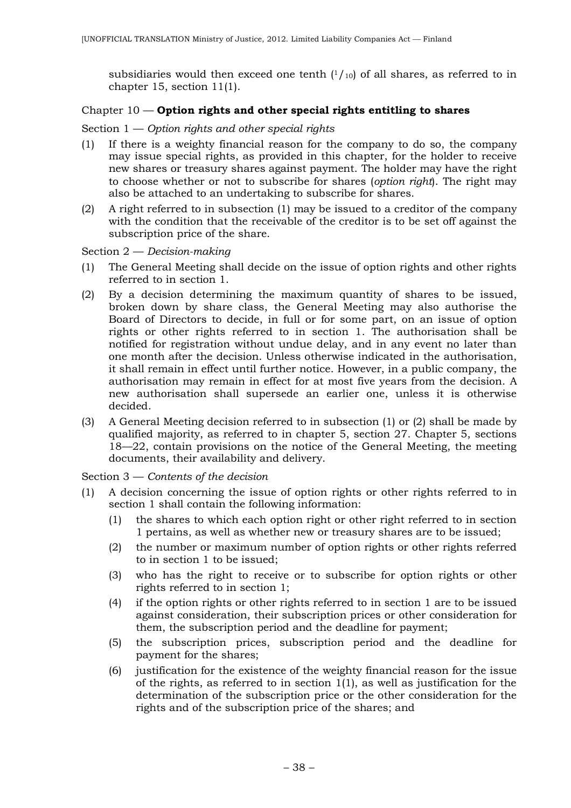subsidiaries would then exceed one tenth  $(1/10)$  of all shares, as referred to in chapter 15, section 11(1).

## Chapter 10 — **Option rights and other special rights entitling to shares**

## Section 1 — *Option rights and other special rights*

- (1) If there is a weighty financial reason for the company to do so, the company may issue special rights, as provided in this chapter, for the holder to receive new shares or treasury shares against payment. The holder may have the right to choose whether or not to subscribe for shares (*option right*). The right may also be attached to an undertaking to subscribe for shares.
- (2) A right referred to in subsection (1) may be issued to a creditor of the company with the condition that the receivable of the creditor is to be set off against the subscription price of the share.

Section 2 — *Decision-making*

- (1) The General Meeting shall decide on the issue of option rights and other rights referred to in section 1.
- (2) By a decision determining the maximum quantity of shares to be issued, broken down by share class, the General Meeting may also authorise the Board of Directors to decide, in full or for some part, on an issue of option rights or other rights referred to in section 1. The authorisation shall be notified for registration without undue delay, and in any event no later than one month after the decision. Unless otherwise indicated in the authorisation, it shall remain in effect until further notice. However, in a public company, the authorisation may remain in effect for at most five years from the decision. A new authorisation shall supersede an earlier one, unless it is otherwise decided.
- (3) A General Meeting decision referred to in subsection (1) or (2) shall be made by qualified majority, as referred to in chapter 5, section 27. Chapter 5, sections 18—22, contain provisions on the notice of the General Meeting, the meeting documents, their availability and delivery.

Section 3 — *Contents of the decision*

- (1) A decision concerning the issue of option rights or other rights referred to in section 1 shall contain the following information:
	- (1) the shares to which each option right or other right referred to in section 1 pertains, as well as whether new or treasury shares are to be issued;
	- (2) the number or maximum number of option rights or other rights referred to in section 1 to be issued;
	- (3) who has the right to receive or to subscribe for option rights or other rights referred to in section 1;
	- (4) if the option rights or other rights referred to in section 1 are to be issued against consideration, their subscription prices or other consideration for them, the subscription period and the deadline for payment;
	- (5) the subscription prices, subscription period and the deadline for payment for the shares;
	- (6) justification for the existence of the weighty financial reason for the issue of the rights, as referred to in section 1(1), as well as justification for the determination of the subscription price or the other consideration for the rights and of the subscription price of the shares; and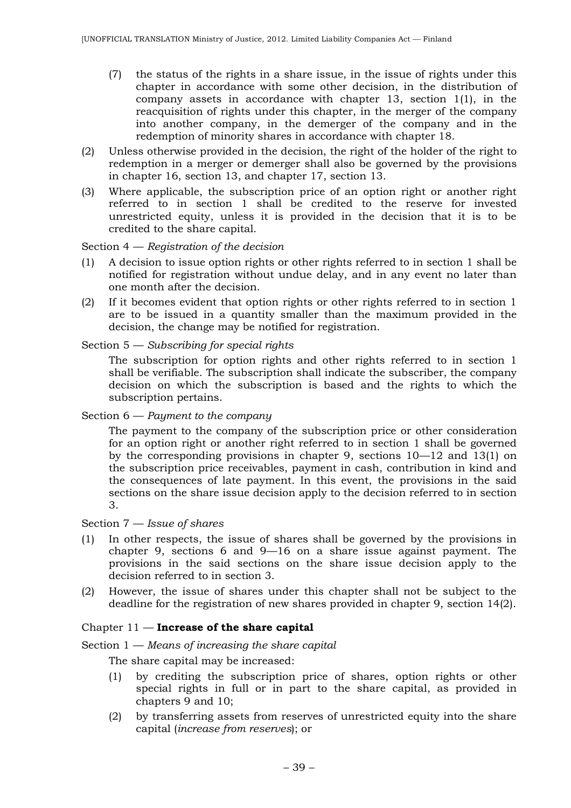- (7) the status of the rights in a share issue, in the issue of rights under this chapter in accordance with some other decision, in the distribution of company assets in accordance with chapter 13, section  $1(1)$ , in the reacquisition of rights under this chapter, in the merger of the company into another company, in the demerger of the company and in the redemption of minority shares in accordance with chapter 18.
- (2) Unless otherwise provided in the decision, the right of the holder of the right to redemption in a merger or demerger shall also be governed by the provisions in chapter 16, section 13, and chapter 17, section 13.
- (3) Where applicable, the subscription price of an option right or another right referred to in section 1 shall be credited to the reserve for invested unrestricted equity, unless it is provided in the decision that it is to be credited to the share capital.

Section 4 — *Registration of the decision*

- (1) A decision to issue option rights or other rights referred to in section 1 shall be notified for registration without undue delay, and in any event no later than one month after the decision.
- (2) If it becomes evident that option rights or other rights referred to in section 1 are to be issued in a quantity smaller than the maximum provided in the decision, the change may be notified for registration.

### Section 5 — *Subscribing for special rights*

The subscription for option rights and other rights referred to in section 1 shall be verifiable. The subscription shall indicate the subscriber, the company decision on which the subscription is based and the rights to which the subscription pertains.

Section 6 — *Payment to the company*

The payment to the company of the subscription price or other consideration for an option right or another right referred to in section 1 shall be governed by the corresponding provisions in chapter 9, sections 10—12 and 13(1) on the subscription price receivables, payment in cash, contribution in kind and the consequences of late payment. In this event, the provisions in the said sections on the share issue decision apply to the decision referred to in section 3.

### Section 7 — *Issue of shares*

- (1) In other respects, the issue of shares shall be governed by the provisions in chapter 9, sections 6 and 9—16 on a share issue against payment. The provisions in the said sections on the share issue decision apply to the decision referred to in section 3.
- (2) However, the issue of shares under this chapter shall not be subject to the deadline for the registration of new shares provided in chapter 9, section 14(2).

## Chapter 11 — **Increase of the share capital**

Section 1 — *Means of increasing the share capital*

The share capital may be increased:

- (1) by crediting the subscription price of shares, option rights or other special rights in full or in part to the share capital, as provided in chapters 9 and 10;
- (2) by transferring assets from reserves of unrestricted equity into the share capital (*increase from reserves*); or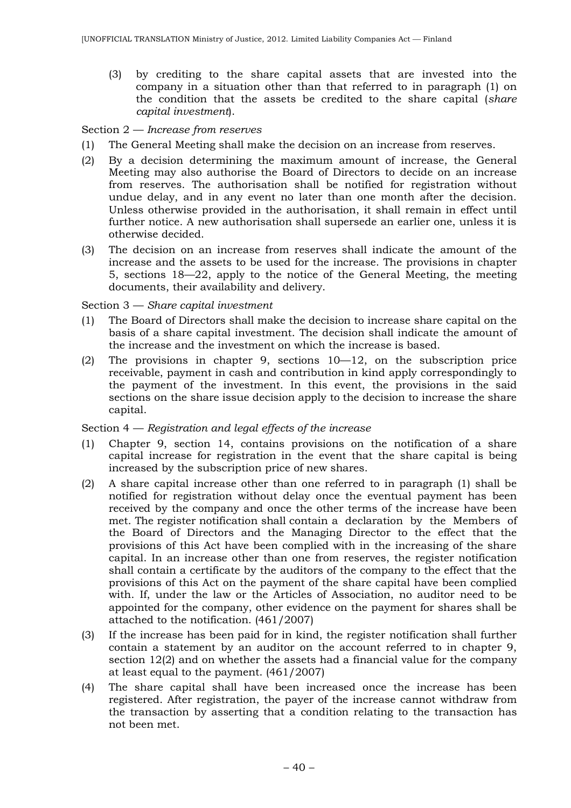(3) by crediting to the share capital assets that are invested into the company in a situation other than that referred to in paragraph (1) on the condition that the assets be credited to the share capital (*share capital investment*).

## Section 2 — *Increase from reserves*

- (1) The General Meeting shall make the decision on an increase from reserves.
- (2) By a decision determining the maximum amount of increase, the General Meeting may also authorise the Board of Directors to decide on an increase from reserves. The authorisation shall be notified for registration without undue delay, and in any event no later than one month after the decision. Unless otherwise provided in the authorisation, it shall remain in effect until further notice. A new authorisation shall supersede an earlier one, unless it is otherwise decided.
- (3) The decision on an increase from reserves shall indicate the amount of the increase and the assets to be used for the increase. The provisions in chapter 5, sections 18—22, apply to the notice of the General Meeting, the meeting documents, their availability and delivery.

### Section 3 — *Share capital investment*

- (1) The Board of Directors shall make the decision to increase share capital on the basis of a share capital investment. The decision shall indicate the amount of the increase and the investment on which the increase is based.
- (2) The provisions in chapter 9, sections 10—12, on the subscription price receivable, payment in cash and contribution in kind apply correspondingly to the payment of the investment. In this event, the provisions in the said sections on the share issue decision apply to the decision to increase the share capital.

Section 4 — *Registration and legal effects of the increase*

- (1) Chapter 9, section 14, contains provisions on the notification of a share capital increase for registration in the event that the share capital is being increased by the subscription price of new shares.
- (2) A share capital increase other than one referred to in paragraph (1) shall be notified for registration without delay once the eventual payment has been received by the company and once the other terms of the increase have been met. The register notification shall contain a declaration by the Members of the Board of Directors and the Managing Director to the effect that the provisions of this Act have been complied with in the increasing of the share capital. In an increase other than one from reserves, the register notification shall contain a certificate by the auditors of the company to the effect that the provisions of this Act on the payment of the share capital have been complied with. If, under the law or the Articles of Association, no auditor need to be appointed for the company, other evidence on the payment for shares shall be attached to the notification. (461/2007)
- (3) If the increase has been paid for in kind, the register notification shall further contain a statement by an auditor on the account referred to in chapter 9, section 12(2) and on whether the assets had a financial value for the company at least equal to the payment. (461/2007)
- (4) The share capital shall have been increased once the increase has been registered. After registration, the payer of the increase cannot withdraw from the transaction by asserting that a condition relating to the transaction has not been met.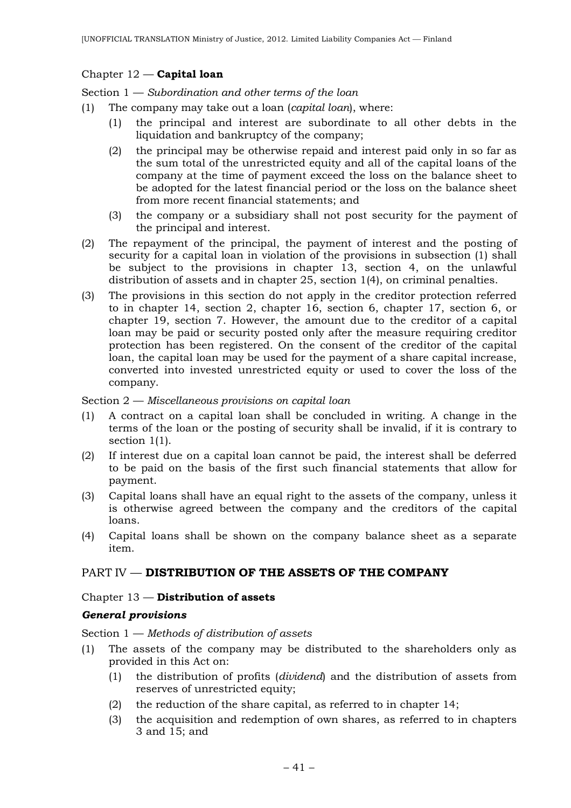## Chapter 12 — **Capital loan**

Section 1 — *Subordination and other terms of the loan*

- (1) The company may take out a loan (*capital loan*), where:
	- (1) the principal and interest are subordinate to all other debts in the liquidation and bankruptcy of the company;
	- (2) the principal may be otherwise repaid and interest paid only in so far as the sum total of the unrestricted equity and all of the capital loans of the company at the time of payment exceed the loss on the balance sheet to be adopted for the latest financial period or the loss on the balance sheet from more recent financial statements; and
	- (3) the company or a subsidiary shall not post security for the payment of the principal and interest.
- (2) The repayment of the principal, the payment of interest and the posting of security for a capital loan in violation of the provisions in subsection (1) shall be subject to the provisions in chapter 13, section 4, on the unlawful distribution of assets and in chapter 25, section 1(4), on criminal penalties.
- (3) The provisions in this section do not apply in the creditor protection referred to in chapter 14, section 2, chapter 16, section 6, chapter 17, section 6, or chapter 19, section 7. However, the amount due to the creditor of a capital loan may be paid or security posted only after the measure requiring creditor protection has been registered. On the consent of the creditor of the capital loan, the capital loan may be used for the payment of a share capital increase, converted into invested unrestricted equity or used to cover the loss of the company.

#### Section 2 — *Miscellaneous provisions on capital loan*

- (1) A contract on a capital loan shall be concluded in writing. A change in the terms of the loan or the posting of security shall be invalid, if it is contrary to section 1(1).
- (2) If interest due on a capital loan cannot be paid, the interest shall be deferred to be paid on the basis of the first such financial statements that allow for payment.
- (3) Capital loans shall have an equal right to the assets of the company, unless it is otherwise agreed between the company and the creditors of the capital loans.
- (4) Capital loans shall be shown on the company balance sheet as a separate item.

# PART IV — **DISTRIBUTION OF THE ASSETS OF THE COMPANY**

### Chapter 13 — **Distribution of assets**

### *General provisions*

Section 1 — *Methods of distribution of assets*

- (1) The assets of the company may be distributed to the shareholders only as provided in this Act on:
	- (1) the distribution of profits (*dividend*) and the distribution of assets from reserves of unrestricted equity;
	- (2) the reduction of the share capital, as referred to in chapter 14;
	- (3) the acquisition and redemption of own shares, as referred to in chapters 3 and 15; and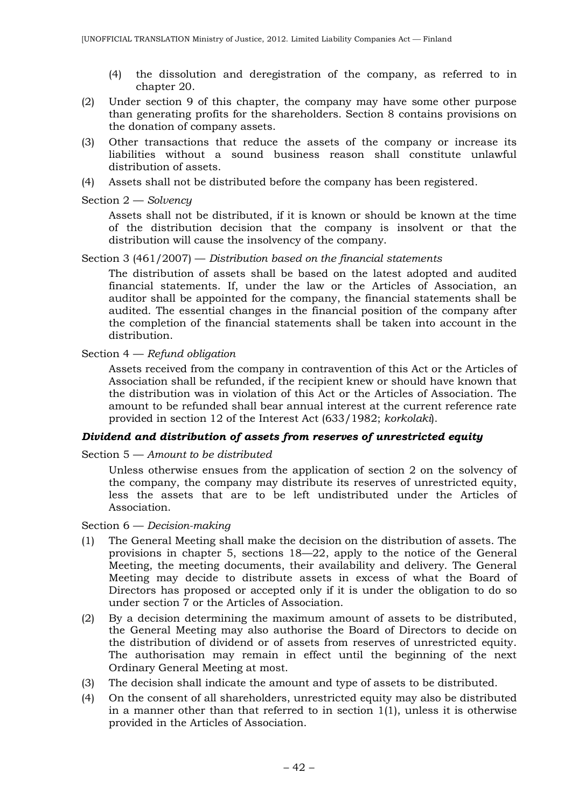- (4) the dissolution and deregistration of the company, as referred to in chapter 20.
- (2) Under section 9 of this chapter, the company may have some other purpose than generating profits for the shareholders. Section 8 contains provisions on the donation of company assets.
- (3) Other transactions that reduce the assets of the company or increase its liabilities without a sound business reason shall constitute unlawful distribution of assets.
- (4) Assets shall not be distributed before the company has been registered.

Section 2 — *Solvency*

Assets shall not be distributed, if it is known or should be known at the time of the distribution decision that the company is insolvent or that the distribution will cause the insolvency of the company.

Section 3 (461/2007) — *Distribution based on the financial statements*

The distribution of assets shall be based on the latest adopted and audited financial statements. If, under the law or the Articles of Association, an auditor shall be appointed for the company, the financial statements shall be audited. The essential changes in the financial position of the company after the completion of the financial statements shall be taken into account in the distribution.

Section 4 — *Refund obligation*

Assets received from the company in contravention of this Act or the Articles of Association shall be refunded, if the recipient knew or should have known that the distribution was in violation of this Act or the Articles of Association. The amount to be refunded shall bear annual interest at the current reference rate provided in section 12 of the Interest Act (633/1982; *korkolaki*).

### *Dividend and distribution of assets from reserves of unrestricted equity*

Section 5 — *Amount to be distributed*

Unless otherwise ensues from the application of section 2 on the solvency of the company, the company may distribute its reserves of unrestricted equity, less the assets that are to be left undistributed under the Articles of Association.

Section 6 — *Decision-making*

- (1) The General Meeting shall make the decision on the distribution of assets. The provisions in chapter 5, sections 18—22, apply to the notice of the General Meeting, the meeting documents, their availability and delivery. The General Meeting may decide to distribute assets in excess of what the Board of Directors has proposed or accepted only if it is under the obligation to do so under section 7 or the Articles of Association.
- (2) By a decision determining the maximum amount of assets to be distributed, the General Meeting may also authorise the Board of Directors to decide on the distribution of dividend or of assets from reserves of unrestricted equity. The authorisation may remain in effect until the beginning of the next Ordinary General Meeting at most.
- (3) The decision shall indicate the amount and type of assets to be distributed.
- (4) On the consent of all shareholders, unrestricted equity may also be distributed in a manner other than that referred to in section 1(1), unless it is otherwise provided in the Articles of Association.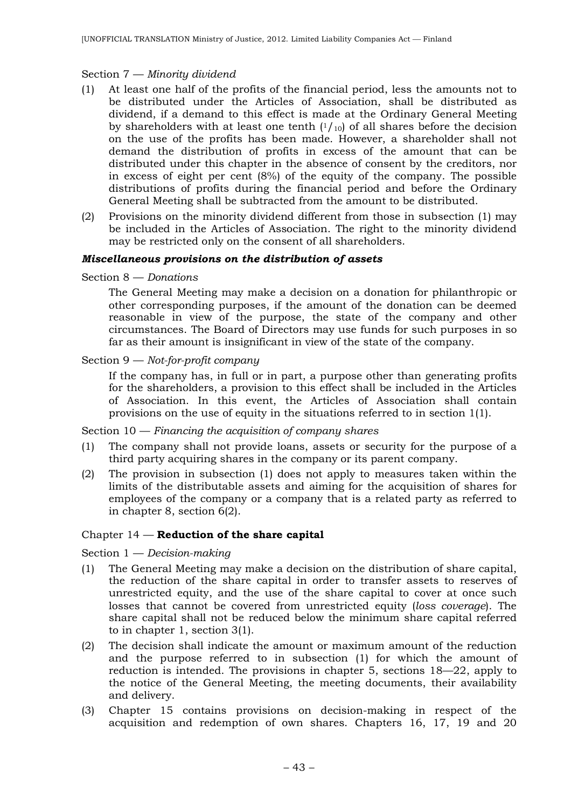## Section 7 — *Minority dividend*

- (1) At least one half of the profits of the financial period, less the amounts not to be distributed under the Articles of Association, shall be distributed as dividend, if a demand to this effect is made at the Ordinary General Meeting by shareholders with at least one tenth  $(1/10)$  of all shares before the decision on the use of the profits has been made. However, a shareholder shall not demand the distribution of profits in excess of the amount that can be distributed under this chapter in the absence of consent by the creditors, nor in excess of eight per cent (8%) of the equity of the company. The possible distributions of profits during the financial period and before the Ordinary General Meeting shall be subtracted from the amount to be distributed.
- (2) Provisions on the minority dividend different from those in subsection (1) may be included in the Articles of Association. The right to the minority dividend may be restricted only on the consent of all shareholders.

### *Miscellaneous provisions on the distribution of assets*

Section 8 — *Donations*

The General Meeting may make a decision on a donation for philanthropic or other corresponding purposes, if the amount of the donation can be deemed reasonable in view of the purpose, the state of the company and other circumstances. The Board of Directors may use funds for such purposes in so far as their amount is insignificant in view of the state of the company.

## Section 9 — *Not-for-profit company*

If the company has, in full or in part, a purpose other than generating profits for the shareholders, a provision to this effect shall be included in the Articles of Association. In this event, the Articles of Association shall contain provisions on the use of equity in the situations referred to in section 1(1).

Section 10 — *Financing the acquisition of company shares*

- (1) The company shall not provide loans, assets or security for the purpose of a third party acquiring shares in the company or its parent company.
- (2) The provision in subsection (1) does not apply to measures taken within the limits of the distributable assets and aiming for the acquisition of shares for employees of the company or a company that is a related party as referred to in chapter 8, section 6(2).

### Chapter 14 — **Reduction of the share capital**

Section 1 — *Decision-making*

- (1) The General Meeting may make a decision on the distribution of share capital, the reduction of the share capital in order to transfer assets to reserves of unrestricted equity, and the use of the share capital to cover at once such losses that cannot be covered from unrestricted equity (*loss coverage*). The share capital shall not be reduced below the minimum share capital referred to in chapter 1, section 3(1).
- (2) The decision shall indicate the amount or maximum amount of the reduction and the purpose referred to in subsection (1) for which the amount of reduction is intended. The provisions in chapter 5, sections 18—22, apply to the notice of the General Meeting, the meeting documents, their availability and delivery.
- (3) Chapter 15 contains provisions on decision-making in respect of the acquisition and redemption of own shares. Chapters 16, 17, 19 and 20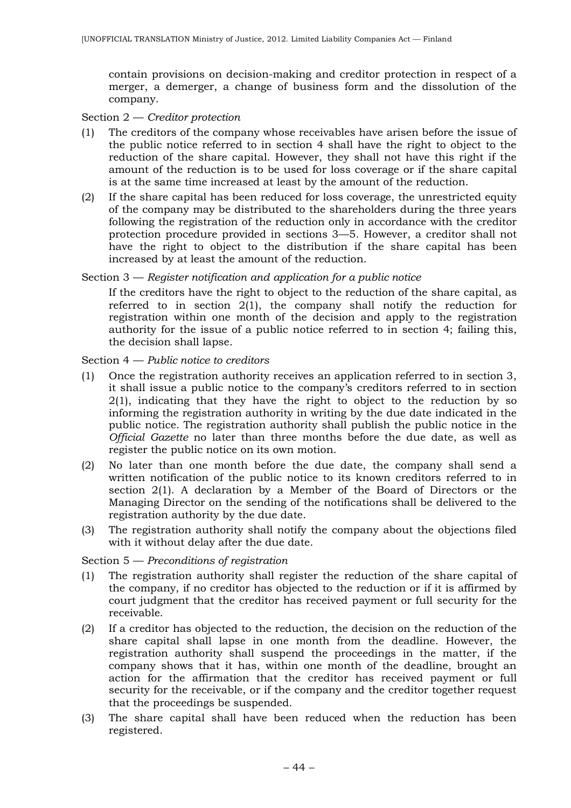contain provisions on decision-making and creditor protection in respect of a merger, a demerger, a change of business form and the dissolution of the company.

## Section 2 — *Creditor protection*

- (1) The creditors of the company whose receivables have arisen before the issue of the public notice referred to in section 4 shall have the right to object to the reduction of the share capital. However, they shall not have this right if the amount of the reduction is to be used for loss coverage or if the share capital is at the same time increased at least by the amount of the reduction.
- (2) If the share capital has been reduced for loss coverage, the unrestricted equity of the company may be distributed to the shareholders during the three years following the registration of the reduction only in accordance with the creditor protection procedure provided in sections 3—5. However, a creditor shall not have the right to object to the distribution if the share capital has been increased by at least the amount of the reduction.

### Section 3 — *Register notification and application for a public notice*

If the creditors have the right to object to the reduction of the share capital, as referred to in section 2(1), the company shall notify the reduction for registration within one month of the decision and apply to the registration authority for the issue of a public notice referred to in section 4; failing this, the decision shall lapse.

### Section 4 — *Public notice to creditors*

- (1) Once the registration authority receives an application referred to in section 3, it shall issue a public notice to the company's creditors referred to in section 2(1), indicating that they have the right to object to the reduction by so informing the registration authority in writing by the due date indicated in the public notice. The registration authority shall publish the public notice in the *Official Gazette* no later than three months before the due date, as well as register the public notice on its own motion.
- (2) No later than one month before the due date, the company shall send a written notification of the public notice to its known creditors referred to in section 2(1). A declaration by a Member of the Board of Directors or the Managing Director on the sending of the notifications shall be delivered to the registration authority by the due date.
- (3) The registration authority shall notify the company about the objections filed with it without delay after the due date.

## Section 5 — *Preconditions of registration*

- (1) The registration authority shall register the reduction of the share capital of the company, if no creditor has objected to the reduction or if it is affirmed by court judgment that the creditor has received payment or full security for the receivable.
- (2) If a creditor has objected to the reduction, the decision on the reduction of the share capital shall lapse in one month from the deadline. However, the registration authority shall suspend the proceedings in the matter, if the company shows that it has, within one month of the deadline, brought an action for the affirmation that the creditor has received payment or full security for the receivable, or if the company and the creditor together request that the proceedings be suspended.
- (3) The share capital shall have been reduced when the reduction has been registered.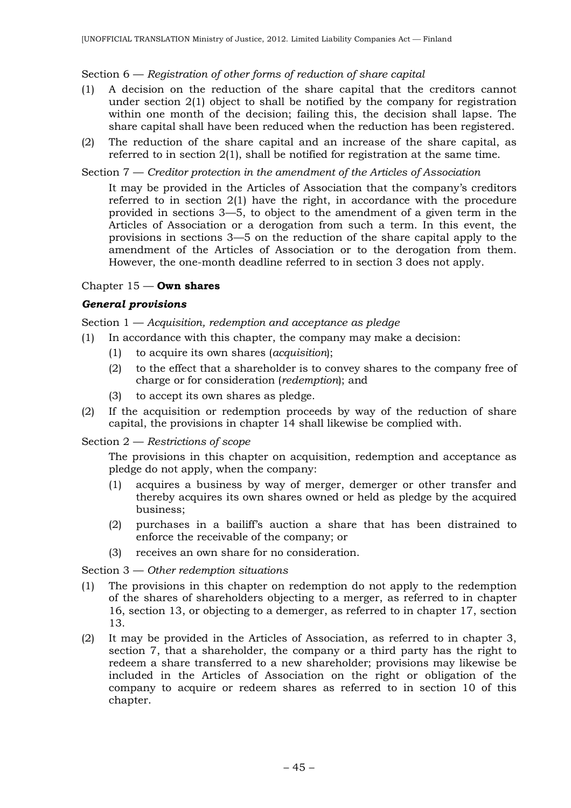## Section 6 — *Registration of other forms of reduction of share capital*

- (1) A decision on the reduction of the share capital that the creditors cannot under section 2(1) object to shall be notified by the company for registration within one month of the decision; failing this, the decision shall lapse. The share capital shall have been reduced when the reduction has been registered.
- (2) The reduction of the share capital and an increase of the share capital, as referred to in section 2(1), shall be notified for registration at the same time.

## Section 7 — *Creditor protection in the amendment of the Articles of Association*

It may be provided in the Articles of Association that the company's creditors referred to in section 2(1) have the right, in accordance with the procedure provided in sections 3—5, to object to the amendment of a given term in the Articles of Association or a derogation from such a term. In this event, the provisions in sections 3—5 on the reduction of the share capital apply to the amendment of the Articles of Association or to the derogation from them. However, the one-month deadline referred to in section 3 does not apply.

## Chapter 15 — **Own shares**

## *General provisions*

Section 1 — *Acquisition, redemption and acceptance as pledge*

- (1) In accordance with this chapter, the company may make a decision:
	- (1) to acquire its own shares (*acquisition*);
	- (2) to the effect that a shareholder is to convey shares to the company free of charge or for consideration (*redemption*); and
	- (3) to accept its own shares as pledge.
- (2) If the acquisition or redemption proceeds by way of the reduction of share capital, the provisions in chapter 14 shall likewise be complied with.

### Section 2 — *Restrictions of scope*

The provisions in this chapter on acquisition, redemption and acceptance as pledge do not apply, when the company:

- (1) acquires a business by way of merger, demerger or other transfer and thereby acquires its own shares owned or held as pledge by the acquired business;
- (2) purchases in a bailiff's auction a share that has been distrained to enforce the receivable of the company; or
- (3) receives an own share for no consideration.

## Section 3 — *Other redemption situations*

- (1) The provisions in this chapter on redemption do not apply to the redemption of the shares of shareholders objecting to a merger, as referred to in chapter 16, section 13, or objecting to a demerger, as referred to in chapter 17, section 13.
- (2) It may be provided in the Articles of Association, as referred to in chapter 3, section 7, that a shareholder, the company or a third party has the right to redeem a share transferred to a new shareholder; provisions may likewise be included in the Articles of Association on the right or obligation of the company to acquire or redeem shares as referred to in section 10 of this chapter.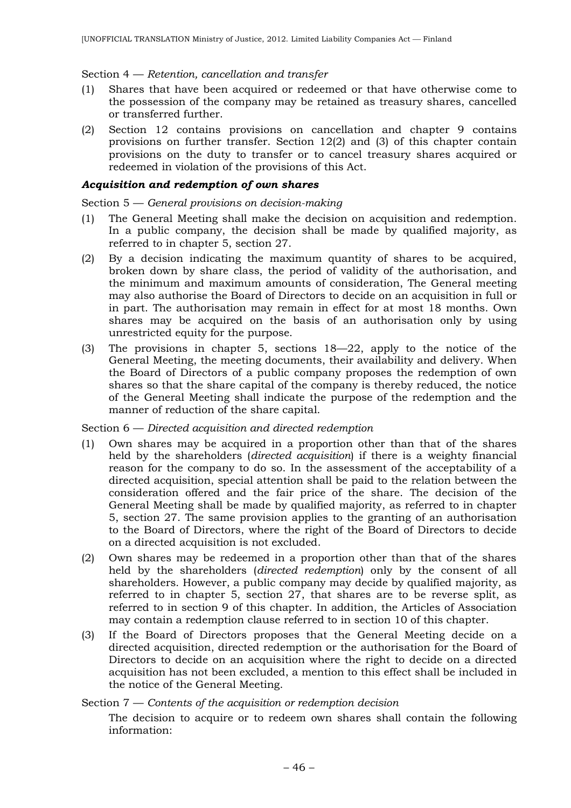### Section 4 — *Retention, cancellation and transfer*

- (1) Shares that have been acquired or redeemed or that have otherwise come to the possession of the company may be retained as treasury shares, cancelled or transferred further.
- (2) Section 12 contains provisions on cancellation and chapter 9 contains provisions on further transfer. Section 12(2) and (3) of this chapter contain provisions on the duty to transfer or to cancel treasury shares acquired or redeemed in violation of the provisions of this Act.

## *Acquisition and redemption of own shares*

### Section 5 — *General provisions on decision-making*

- (1) The General Meeting shall make the decision on acquisition and redemption. In a public company, the decision shall be made by qualified majority, as referred to in chapter 5, section 27.
- (2) By a decision indicating the maximum quantity of shares to be acquired, broken down by share class, the period of validity of the authorisation, and the minimum and maximum amounts of consideration, The General meeting may also authorise the Board of Directors to decide on an acquisition in full or in part. The authorisation may remain in effect for at most 18 months. Own shares may be acquired on the basis of an authorisation only by using unrestricted equity for the purpose.
- (3) The provisions in chapter 5, sections 18—22, apply to the notice of the General Meeting, the meeting documents, their availability and delivery. When the Board of Directors of a public company proposes the redemption of own shares so that the share capital of the company is thereby reduced, the notice of the General Meeting shall indicate the purpose of the redemption and the manner of reduction of the share capital.

Section 6 — *Directed acquisition and directed redemption*

- (1) Own shares may be acquired in a proportion other than that of the shares held by the shareholders (*directed acquisition*) if there is a weighty financial reason for the company to do so. In the assessment of the acceptability of a directed acquisition, special attention shall be paid to the relation between the consideration offered and the fair price of the share. The decision of the General Meeting shall be made by qualified majority, as referred to in chapter 5, section 27. The same provision applies to the granting of an authorisation to the Board of Directors, where the right of the Board of Directors to decide on a directed acquisition is not excluded.
- (2) Own shares may be redeemed in a proportion other than that of the shares held by the shareholders (*directed redemption*) only by the consent of all shareholders. However, a public company may decide by qualified majority, as referred to in chapter 5, section 27, that shares are to be reverse split, as referred to in section 9 of this chapter. In addition, the Articles of Association may contain a redemption clause referred to in section 10 of this chapter.
- (3) If the Board of Directors proposes that the General Meeting decide on a directed acquisition, directed redemption or the authorisation for the Board of Directors to decide on an acquisition where the right to decide on a directed acquisition has not been excluded, a mention to this effect shall be included in the notice of the General Meeting.

### Section 7 — *Contents of the acquisition or redemption decision*

The decision to acquire or to redeem own shares shall contain the following information: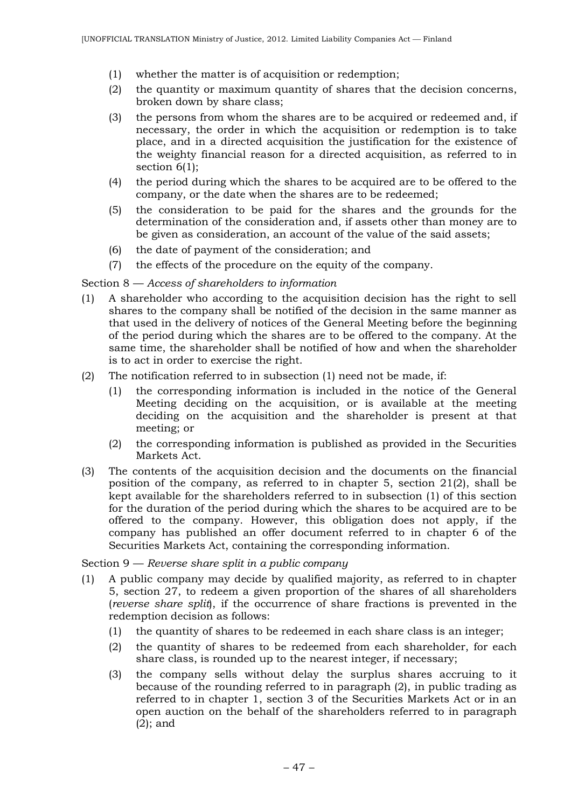- (1) whether the matter is of acquisition or redemption;
- (2) the quantity or maximum quantity of shares that the decision concerns, broken down by share class;
- (3) the persons from whom the shares are to be acquired or redeemed and, if necessary, the order in which the acquisition or redemption is to take place, and in a directed acquisition the justification for the existence of the weighty financial reason for a directed acquisition, as referred to in section  $6(1)$ :
- (4) the period during which the shares to be acquired are to be offered to the company, or the date when the shares are to be redeemed;
- (5) the consideration to be paid for the shares and the grounds for the determination of the consideration and, if assets other than money are to be given as consideration, an account of the value of the said assets;
- (6) the date of payment of the consideration; and
- (7) the effects of the procedure on the equity of the company.

## Section 8 — *Access of shareholders to information*

- (1) A shareholder who according to the acquisition decision has the right to sell shares to the company shall be notified of the decision in the same manner as that used in the delivery of notices of the General Meeting before the beginning of the period during which the shares are to be offered to the company. At the same time, the shareholder shall be notified of how and when the shareholder is to act in order to exercise the right.
- (2) The notification referred to in subsection (1) need not be made, if:
	- (1) the corresponding information is included in the notice of the General Meeting deciding on the acquisition, or is available at the meeting deciding on the acquisition and the shareholder is present at that meeting; or
	- (2) the corresponding information is published as provided in the Securities Markets Act.
- (3) The contents of the acquisition decision and the documents on the financial position of the company, as referred to in chapter 5, section 21(2), shall be kept available for the shareholders referred to in subsection (1) of this section for the duration of the period during which the shares to be acquired are to be offered to the company. However, this obligation does not apply, if the company has published an offer document referred to in chapter 6 of the Securities Markets Act, containing the corresponding information.

Section 9 — *Reverse share split in a public company*

- (1) A public company may decide by qualified majority, as referred to in chapter 5, section 27, to redeem a given proportion of the shares of all shareholders (*reverse share split*), if the occurrence of share fractions is prevented in the redemption decision as follows:
	- (1) the quantity of shares to be redeemed in each share class is an integer;
	- (2) the quantity of shares to be redeemed from each shareholder, for each share class, is rounded up to the nearest integer, if necessary;
	- (3) the company sells without delay the surplus shares accruing to it because of the rounding referred to in paragraph (2), in public trading as referred to in chapter 1, section 3 of the Securities Markets Act or in an open auction on the behalf of the shareholders referred to in paragraph (2); and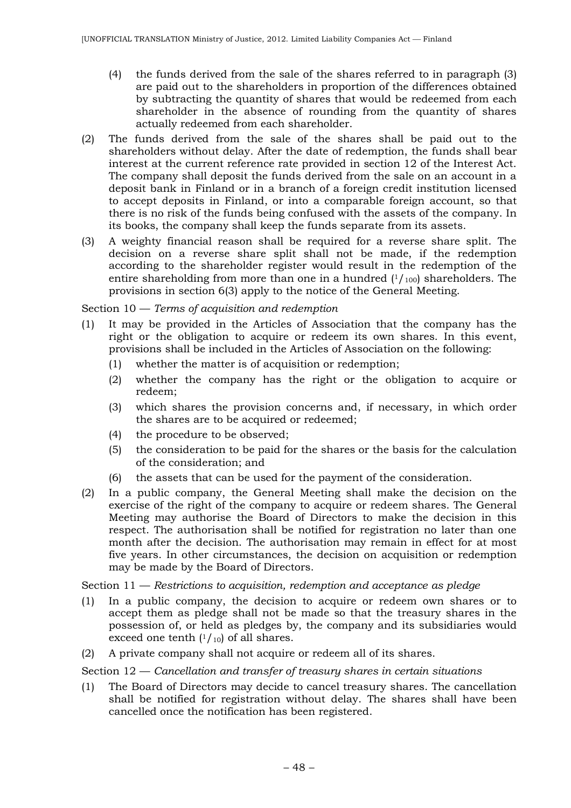- (4) the funds derived from the sale of the shares referred to in paragraph (3) are paid out to the shareholders in proportion of the differences obtained by subtracting the quantity of shares that would be redeemed from each shareholder in the absence of rounding from the quantity of shares actually redeemed from each shareholder.
- (2) The funds derived from the sale of the shares shall be paid out to the shareholders without delay. After the date of redemption, the funds shall bear interest at the current reference rate provided in section 12 of the Interest Act. The company shall deposit the funds derived from the sale on an account in a deposit bank in Finland or in a branch of a foreign credit institution licensed to accept deposits in Finland, or into a comparable foreign account, so that there is no risk of the funds being confused with the assets of the company. In its books, the company shall keep the funds separate from its assets.
- (3) A weighty financial reason shall be required for a reverse share split. The decision on a reverse share split shall not be made, if the redemption according to the shareholder register would result in the redemption of the entire shareholding from more than one in a hundred  $(1/100)$  shareholders. The provisions in section 6(3) apply to the notice of the General Meeting.

Section 10 — *Terms of acquisition and redemption*

- (1) It may be provided in the Articles of Association that the company has the right or the obligation to acquire or redeem its own shares. In this event, provisions shall be included in the Articles of Association on the following:
	- (1) whether the matter is of acquisition or redemption;
	- (2) whether the company has the right or the obligation to acquire or redeem;
	- (3) which shares the provision concerns and, if necessary, in which order the shares are to be acquired or redeemed;
	- (4) the procedure to be observed;
	- (5) the consideration to be paid for the shares or the basis for the calculation of the consideration; and
	- (6) the assets that can be used for the payment of the consideration.
- (2) In a public company, the General Meeting shall make the decision on the exercise of the right of the company to acquire or redeem shares. The General Meeting may authorise the Board of Directors to make the decision in this respect. The authorisation shall be notified for registration no later than one month after the decision. The authorisation may remain in effect for at most five years. In other circumstances, the decision on acquisition or redemption may be made by the Board of Directors.

Section 11 — *Restrictions to acquisition, redemption and acceptance as pledge*

- (1) In a public company, the decision to acquire or redeem own shares or to accept them as pledge shall not be made so that the treasury shares in the possession of, or held as pledges by, the company and its subsidiaries would exceed one tenth  $(1/10)$  of all shares.
- (2) A private company shall not acquire or redeem all of its shares.

Section 12 — *Cancellation and transfer of treasury shares in certain situations*

(1) The Board of Directors may decide to cancel treasury shares. The cancellation shall be notified for registration without delay. The shares shall have been cancelled once the notification has been registered.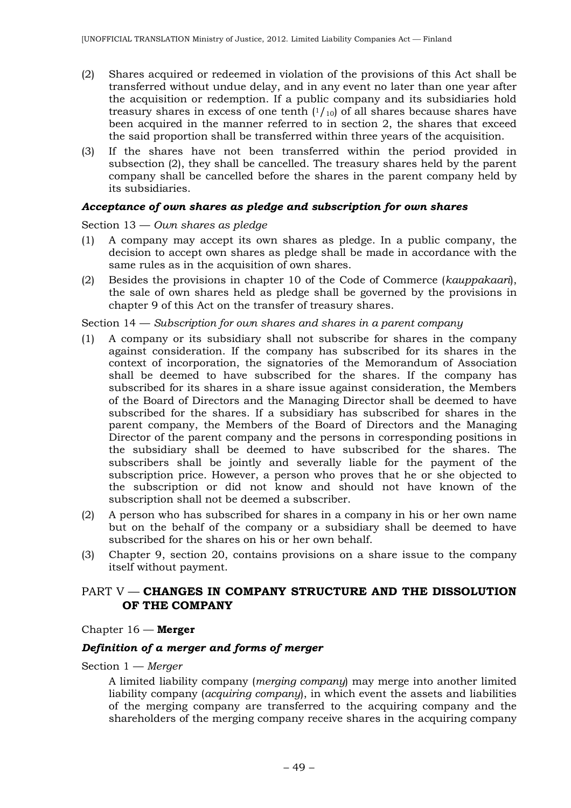- (2) Shares acquired or redeemed in violation of the provisions of this Act shall be transferred without undue delay, and in any event no later than one year after the acquisition or redemption. If a public company and its subsidiaries hold treasury shares in excess of one tenth  $(1/10)$  of all shares because shares have been acquired in the manner referred to in section 2, the shares that exceed the said proportion shall be transferred within three years of the acquisition.
- (3) If the shares have not been transferred within the period provided in subsection (2), they shall be cancelled. The treasury shares held by the parent company shall be cancelled before the shares in the parent company held by its subsidiaries.

#### *Acceptance of own shares as pledge and subscription for own shares*

Section 13 — *Own shares as pledge*

- (1) A company may accept its own shares as pledge. In a public company, the decision to accept own shares as pledge shall be made in accordance with the same rules as in the acquisition of own shares.
- (2) Besides the provisions in chapter 10 of the Code of Commerce (*kauppakaari*), the sale of own shares held as pledge shall be governed by the provisions in chapter 9 of this Act on the transfer of treasury shares.

#### Section 14 — *Subscription for own shares and shares in a parent company*

- (1) A company or its subsidiary shall not subscribe for shares in the company against consideration. If the company has subscribed for its shares in the context of incorporation, the signatories of the Memorandum of Association shall be deemed to have subscribed for the shares. If the company has subscribed for its shares in a share issue against consideration, the Members of the Board of Directors and the Managing Director shall be deemed to have subscribed for the shares. If a subsidiary has subscribed for shares in the parent company, the Members of the Board of Directors and the Managing Director of the parent company and the persons in corresponding positions in the subsidiary shall be deemed to have subscribed for the shares. The subscribers shall be jointly and severally liable for the payment of the subscription price. However, a person who proves that he or she objected to the subscription or did not know and should not have known of the subscription shall not be deemed a subscriber.
- (2) A person who has subscribed for shares in a company in his or her own name but on the behalf of the company or a subsidiary shall be deemed to have subscribed for the shares on his or her own behalf.
- (3) Chapter 9, section 20, contains provisions on a share issue to the company itself without payment.

## PART V — **CHANGES IN COMPANY STRUCTURE AND THE DISSOLUTION OF THE COMPANY**

#### Chapter 16 — **Merger**

## *Definition of a merger and forms of merger*

### Section 1 — *Merger*

A limited liability company (*merging company*) may merge into another limited liability company (*acquiring company*), in which event the assets and liabilities of the merging company are transferred to the acquiring company and the shareholders of the merging company receive shares in the acquiring company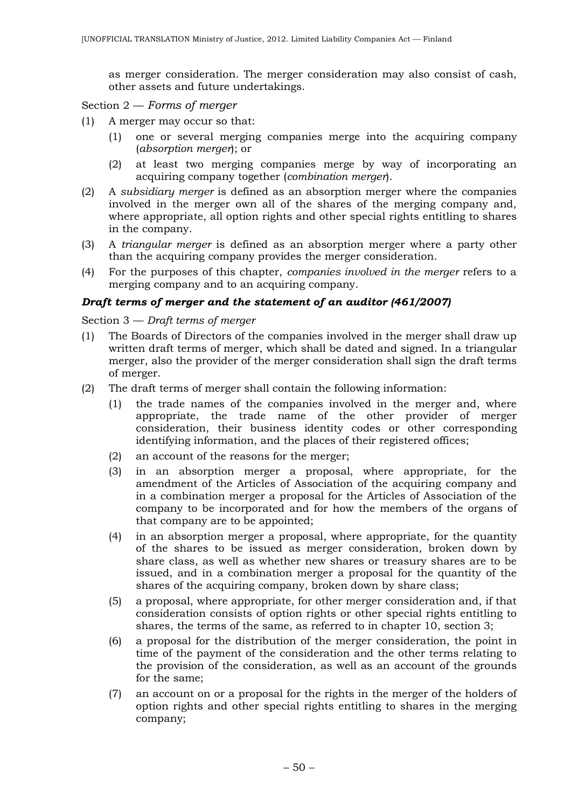as merger consideration. The merger consideration may also consist of cash, other assets and future undertakings.

Section 2 — *Forms of merger*

- (1) A merger may occur so that:
	- (1) one or several merging companies merge into the acquiring company (*absorption merger*); or
	- (2) at least two merging companies merge by way of incorporating an acquiring company together (*combination merger*).
- (2) A *subsidiary merger* is defined as an absorption merger where the companies involved in the merger own all of the shares of the merging company and, where appropriate, all option rights and other special rights entitling to shares in the company.
- (3) A *triangular merger* is defined as an absorption merger where a party other than the acquiring company provides the merger consideration.
- (4) For the purposes of this chapter, *companies involved in the merger* refers to a merging company and to an acquiring company.

### *Draft terms of merger and the statement of an auditor (461/2007)*

Section 3 — *Draft terms of merger*

- (1) The Boards of Directors of the companies involved in the merger shall draw up written draft terms of merger, which shall be dated and signed. In a triangular merger, also the provider of the merger consideration shall sign the draft terms of merger.
- (2) The draft terms of merger shall contain the following information:
	- (1) the trade names of the companies involved in the merger and, where appropriate, the trade name of the other provider of merger consideration, their business identity codes or other corresponding identifying information, and the places of their registered offices;
	- (2) an account of the reasons for the merger;
	- (3) in an absorption merger a proposal, where appropriate, for the amendment of the Articles of Association of the acquiring company and in a combination merger a proposal for the Articles of Association of the company to be incorporated and for how the members of the organs of that company are to be appointed;
	- (4) in an absorption merger a proposal, where appropriate, for the quantity of the shares to be issued as merger consideration, broken down by share class, as well as whether new shares or treasury shares are to be issued, and in a combination merger a proposal for the quantity of the shares of the acquiring company, broken down by share class;
	- (5) a proposal, where appropriate, for other merger consideration and, if that consideration consists of option rights or other special rights entitling to shares, the terms of the same, as referred to in chapter 10, section 3;
	- (6) a proposal for the distribution of the merger consideration, the point in time of the payment of the consideration and the other terms relating to the provision of the consideration, as well as an account of the grounds for the same;
	- (7) an account on or a proposal for the rights in the merger of the holders of option rights and other special rights entitling to shares in the merging company;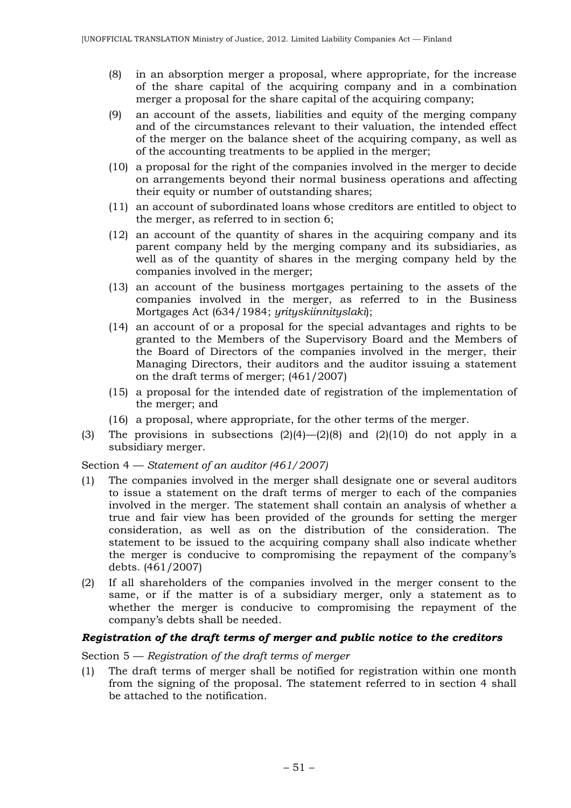- (8) in an absorption merger a proposal, where appropriate, for the increase of the share capital of the acquiring company and in a combination merger a proposal for the share capital of the acquiring company;
- (9) an account of the assets, liabilities and equity of the merging company and of the circumstances relevant to their valuation, the intended effect of the merger on the balance sheet of the acquiring company, as well as of the accounting treatments to be applied in the merger;
- (10) a proposal for the right of the companies involved in the merger to decide on arrangements beyond their normal business operations and affecting their equity or number of outstanding shares;
- (11) an account of subordinated loans whose creditors are entitled to object to the merger, as referred to in section 6;
- (12) an account of the quantity of shares in the acquiring company and its parent company held by the merging company and its subsidiaries, as well as of the quantity of shares in the merging company held by the companies involved in the merger;
- (13) an account of the business mortgages pertaining to the assets of the companies involved in the merger, as referred to in the Business Mortgages Act (634/1984; *yrityskiinnityslaki*);
- (14) an account of or a proposal for the special advantages and rights to be granted to the Members of the Supervisory Board and the Members of the Board of Directors of the companies involved in the merger, their Managing Directors, their auditors and the auditor issuing a statement on the draft terms of merger; (461/2007)
- (15) a proposal for the intended date of registration of the implementation of the merger; and
- (16) a proposal, where appropriate, for the other terms of the merger.
- (3) The provisions in subsections  $(2)(4)$ - $(2)(8)$  and  $(2)(10)$  do not apply in a subsidiary merger.

### Section 4 — *Statement of an auditor (461/2007)*

- (1) The companies involved in the merger shall designate one or several auditors to issue a statement on the draft terms of merger to each of the companies involved in the merger. The statement shall contain an analysis of whether a true and fair view has been provided of the grounds for setting the merger consideration, as well as on the distribution of the consideration. The statement to be issued to the acquiring company shall also indicate whether the merger is conducive to compromising the repayment of the company's debts. (461/2007)
- (2) If all shareholders of the companies involved in the merger consent to the same, or if the matter is of a subsidiary merger, only a statement as to whether the merger is conducive to compromising the repayment of the company's debts shall be needed.

### *Registration of the draft terms of merger and public notice to the creditors*

Section 5 — *Registration of the draft terms of merger*

(1) The draft terms of merger shall be notified for registration within one month from the signing of the proposal. The statement referred to in section 4 shall be attached to the notification.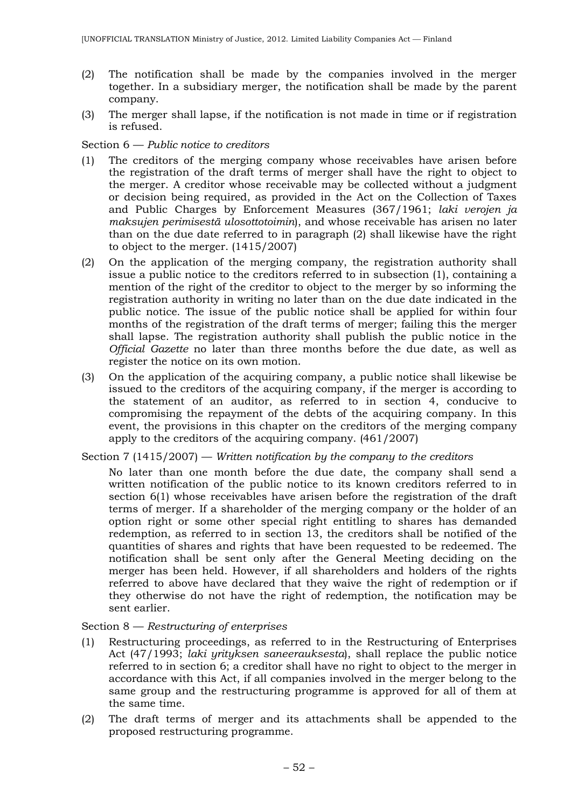- (2) The notification shall be made by the companies involved in the merger together. In a subsidiary merger, the notification shall be made by the parent company.
- (3) The merger shall lapse, if the notification is not made in time or if registration is refused.

## Section 6 — *Public notice to creditors*

- (1) The creditors of the merging company whose receivables have arisen before the registration of the draft terms of merger shall have the right to object to the merger. A creditor whose receivable may be collected without a judgment or decision being required, as provided in the Act on the Collection of Taxes and Public Charges by Enforcement Measures (367/1961; *laki verojen ja maksujen perimisestä ulosottotoimin*), and whose receivable has arisen no later than on the due date referred to in paragraph (2) shall likewise have the right to object to the merger. (1415/2007)
- (2) On the application of the merging company, the registration authority shall issue a public notice to the creditors referred to in subsection (1), containing a mention of the right of the creditor to object to the merger by so informing the registration authority in writing no later than on the due date indicated in the public notice. The issue of the public notice shall be applied for within four months of the registration of the draft terms of merger; failing this the merger shall lapse. The registration authority shall publish the public notice in the *Official Gazette* no later than three months before the due date, as well as register the notice on its own motion.
- (3) On the application of the acquiring company, a public notice shall likewise be issued to the creditors of the acquiring company, if the merger is according to the statement of an auditor, as referred to in section 4, conducive to compromising the repayment of the debts of the acquiring company. In this event, the provisions in this chapter on the creditors of the merging company apply to the creditors of the acquiring company. (461/2007)

## Section 7 (1415/2007) — *Written notification by the company to the creditors*

No later than one month before the due date, the company shall send a written notification of the public notice to its known creditors referred to in section 6(1) whose receivables have arisen before the registration of the draft terms of merger. If a shareholder of the merging company or the holder of an option right or some other special right entitling to shares has demanded redemption, as referred to in section 13, the creditors shall be notified of the quantities of shares and rights that have been requested to be redeemed. The notification shall be sent only after the General Meeting deciding on the merger has been held. However, if all shareholders and holders of the rights referred to above have declared that they waive the right of redemption or if they otherwise do not have the right of redemption, the notification may be sent earlier.

## Section 8 — *Restructuring of enterprises*

- (1) Restructuring proceedings, as referred to in the Restructuring of Enterprises Act (47/1993; *laki yrityksen saneerauksesta*), shall replace the public notice referred to in section 6; a creditor shall have no right to object to the merger in accordance with this Act, if all companies involved in the merger belong to the same group and the restructuring programme is approved for all of them at the same time.
- (2) The draft terms of merger and its attachments shall be appended to the proposed restructuring programme.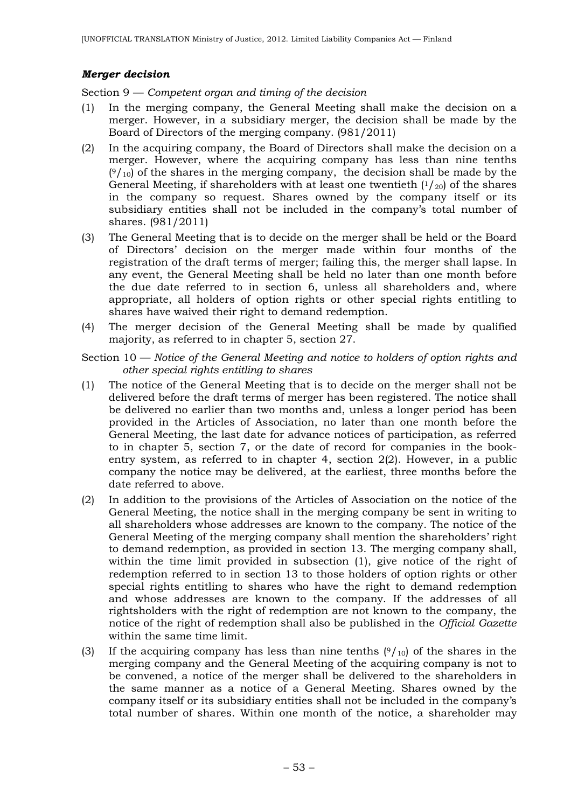### *Merger decision*

Section 9 — *Competent organ and timing of the decision*

- (1) In the merging company, the General Meeting shall make the decision on a merger. However, in a subsidiary merger, the decision shall be made by the Board of Directors of the merging company. (981/2011)
- (2) In the acquiring company, the Board of Directors shall make the decision on a merger. However, where the acquiring company has less than nine tenths  $(9/10)$  of the shares in the merging company, the decision shall be made by the General Meeting, if shareholders with at least one twentieth  $(1/20)$  of the shares in the company so request. Shares owned by the company itself or its subsidiary entities shall not be included in the company's total number of shares. (981/2011)
- (3) The General Meeting that is to decide on the merger shall be held or the Board of Directors' decision on the merger made within four months of the registration of the draft terms of merger; failing this, the merger shall lapse. In any event, the General Meeting shall be held no later than one month before the due date referred to in section 6, unless all shareholders and, where appropriate, all holders of option rights or other special rights entitling to shares have waived their right to demand redemption.
- (4) The merger decision of the General Meeting shall be made by qualified majority, as referred to in chapter 5, section 27.
- Section 10 *Notice of the General Meeting and notice to holders of option rights and other special rights entitling to shares*
- (1) The notice of the General Meeting that is to decide on the merger shall not be delivered before the draft terms of merger has been registered. The notice shall be delivered no earlier than two months and, unless a longer period has been provided in the Articles of Association, no later than one month before the General Meeting, the last date for advance notices of participation, as referred to in chapter 5, section 7, or the date of record for companies in the bookentry system, as referred to in chapter 4, section 2(2). However, in a public company the notice may be delivered, at the earliest, three months before the date referred to above.
- (2) In addition to the provisions of the Articles of Association on the notice of the General Meeting, the notice shall in the merging company be sent in writing to all shareholders whose addresses are known to the company. The notice of the General Meeting of the merging company shall mention the shareholders' right to demand redemption, as provided in section 13. The merging company shall, within the time limit provided in subsection (1), give notice of the right of redemption referred to in section 13 to those holders of option rights or other special rights entitling to shares who have the right to demand redemption and whose addresses are known to the company. If the addresses of all rightsholders with the right of redemption are not known to the company, the notice of the right of redemption shall also be published in the *Official Gazette* within the same time limit.
- (3) If the acquiring company has less than nine tenths  $(9/10)$  of the shares in the merging company and the General Meeting of the acquiring company is not to be convened, a notice of the merger shall be delivered to the shareholders in the same manner as a notice of a General Meeting. Shares owned by the company itself or its subsidiary entities shall not be included in the company's total number of shares. Within one month of the notice, a shareholder may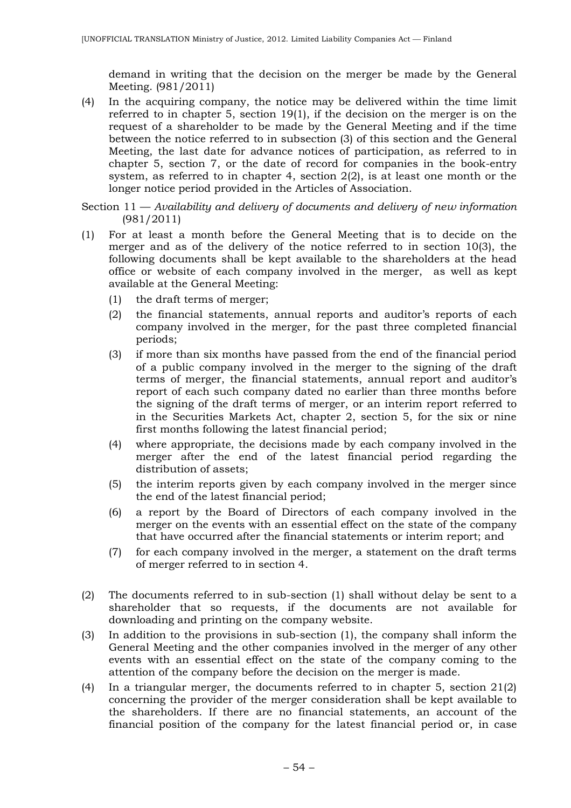demand in writing that the decision on the merger be made by the General Meeting. (981/2011)

- (4) In the acquiring company, the notice may be delivered within the time limit referred to in chapter 5, section 19(1), if the decision on the merger is on the request of a shareholder to be made by the General Meeting and if the time between the notice referred to in subsection (3) of this section and the General Meeting, the last date for advance notices of participation, as referred to in chapter 5, section 7, or the date of record for companies in the book-entry system, as referred to in chapter 4, section 2(2), is at least one month or the longer notice period provided in the Articles of Association.
- Section 11 *Availability and delivery of documents and delivery of new information*  (981/2011)
- (1) For at least a month before the General Meeting that is to decide on the merger and as of the delivery of the notice referred to in section 10(3), the following documents shall be kept available to the shareholders at the head office or website of each company involved in the merger, as well as kept available at the General Meeting:
	- (1) the draft terms of merger;
	- (2) the financial statements, annual reports and auditor's reports of each company involved in the merger, for the past three completed financial periods;
	- (3) if more than six months have passed from the end of the financial period of a public company involved in the merger to the signing of the draft terms of merger, the financial statements, annual report and auditor's report of each such company dated no earlier than three months before the signing of the draft terms of merger, or an interim report referred to in the Securities Markets Act, chapter 2, section 5, for the six or nine first months following the latest financial period;
	- (4) where appropriate, the decisions made by each company involved in the merger after the end of the latest financial period regarding the distribution of assets;
	- (5) the interim reports given by each company involved in the merger since the end of the latest financial period;
	- (6) a report by the Board of Directors of each company involved in the merger on the events with an essential effect on the state of the company that have occurred after the financial statements or interim report; and
	- (7) for each company involved in the merger, a statement on the draft terms of merger referred to in section 4.
- (2) The documents referred to in sub-section (1) shall without delay be sent to a shareholder that so requests, if the documents are not available for downloading and printing on the company website.
- (3) In addition to the provisions in sub-section (1), the company shall inform the General Meeting and the other companies involved in the merger of any other events with an essential effect on the state of the company coming to the attention of the company before the decision on the merger is made.
- (4) In a triangular merger, the documents referred to in chapter 5, section 21(2) concerning the provider of the merger consideration shall be kept available to the shareholders. If there are no financial statements, an account of the financial position of the company for the latest financial period or, in case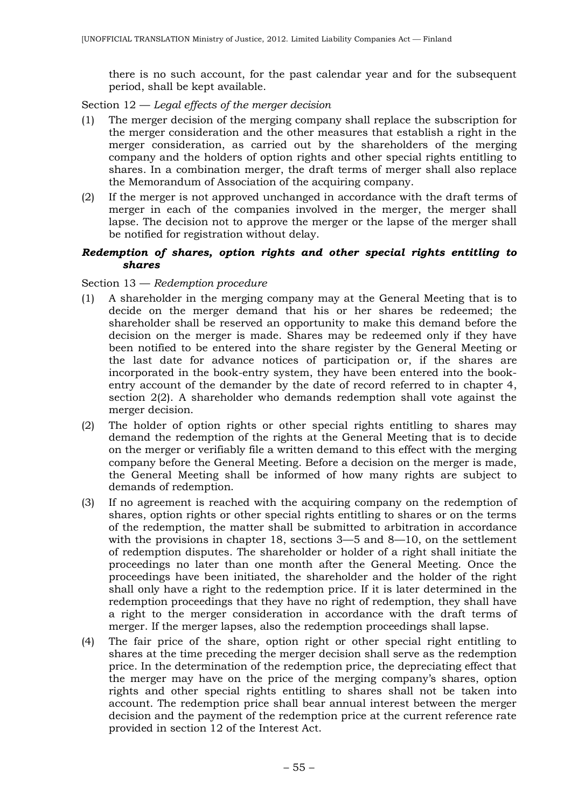there is no such account, for the past calendar year and for the subsequent period, shall be kept available.

Section 12 — *Legal effects of the merger decision*

- (1) The merger decision of the merging company shall replace the subscription for the merger consideration and the other measures that establish a right in the merger consideration, as carried out by the shareholders of the merging company and the holders of option rights and other special rights entitling to shares. In a combination merger, the draft terms of merger shall also replace the Memorandum of Association of the acquiring company.
- (2) If the merger is not approved unchanged in accordance with the draft terms of merger in each of the companies involved in the merger, the merger shall lapse. The decision not to approve the merger or the lapse of the merger shall be notified for registration without delay.

### *Redemption of shares, option rights and other special rights entitling to shares*

### Section 13 — *Redemption procedure*

- (1) A shareholder in the merging company may at the General Meeting that is to decide on the merger demand that his or her shares be redeemed; the shareholder shall be reserved an opportunity to make this demand before the decision on the merger is made. Shares may be redeemed only if they have been notified to be entered into the share register by the General Meeting or the last date for advance notices of participation or, if the shares are incorporated in the book-entry system, they have been entered into the bookentry account of the demander by the date of record referred to in chapter 4, section 2(2). A shareholder who demands redemption shall vote against the merger decision.
- (2) The holder of option rights or other special rights entitling to shares may demand the redemption of the rights at the General Meeting that is to decide on the merger or verifiably file a written demand to this effect with the merging company before the General Meeting. Before a decision on the merger is made, the General Meeting shall be informed of how many rights are subject to demands of redemption.
- (3) If no agreement is reached with the acquiring company on the redemption of shares, option rights or other special rights entitling to shares or on the terms of the redemption, the matter shall be submitted to arbitration in accordance with the provisions in chapter 18, sections 3—5 and 8—10, on the settlement of redemption disputes. The shareholder or holder of a right shall initiate the proceedings no later than one month after the General Meeting. Once the proceedings have been initiated, the shareholder and the holder of the right shall only have a right to the redemption price. If it is later determined in the redemption proceedings that they have no right of redemption, they shall have a right to the merger consideration in accordance with the draft terms of merger. If the merger lapses, also the redemption proceedings shall lapse.
- (4) The fair price of the share, option right or other special right entitling to shares at the time preceding the merger decision shall serve as the redemption price. In the determination of the redemption price, the depreciating effect that the merger may have on the price of the merging company's shares, option rights and other special rights entitling to shares shall not be taken into account. The redemption price shall bear annual interest between the merger decision and the payment of the redemption price at the current reference rate provided in section 12 of the Interest Act.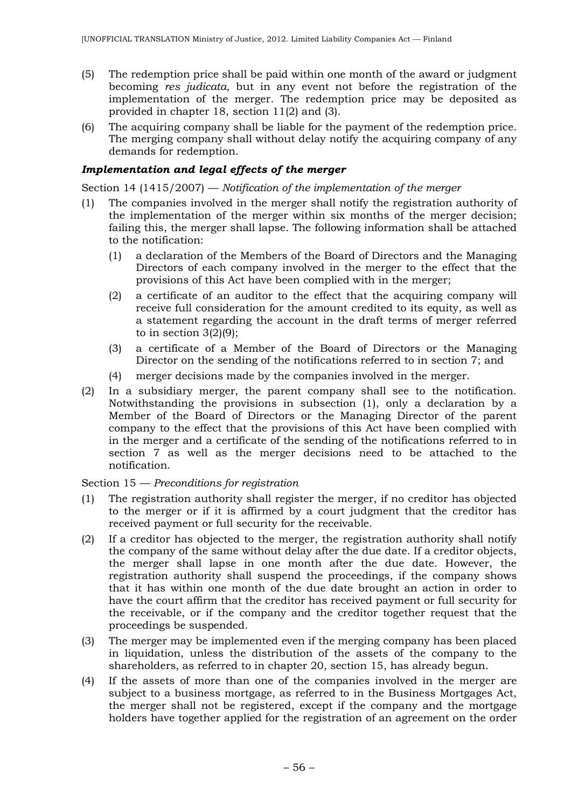- (5) The redemption price shall be paid within one month of the award or judgment becoming *res judicata*, but in any event not before the registration of the implementation of the merger. The redemption price may be deposited as provided in chapter 18, section 11(2) and (3).
- (6) The acquiring company shall be liable for the payment of the redemption price. The merging company shall without delay notify the acquiring company of any demands for redemption.

# *Implementation and legal effects of the merger*

Section 14 (1415/2007) — *Notification of the implementation of the merger*

- (1) The companies involved in the merger shall notify the registration authority of the implementation of the merger within six months of the merger decision; failing this, the merger shall lapse. The following information shall be attached to the notification:
	- (1) a declaration of the Members of the Board of Directors and the Managing Directors of each company involved in the merger to the effect that the provisions of this Act have been complied with in the merger;
	- (2) a certificate of an auditor to the effect that the acquiring company will receive full consideration for the amount credited to its equity, as well as a statement regarding the account in the draft terms of merger referred to in section 3(2)(9);
	- (3) a certificate of a Member of the Board of Directors or the Managing Director on the sending of the notifications referred to in section 7; and
	- (4) merger decisions made by the companies involved in the merger.
- (2) In a subsidiary merger, the parent company shall see to the notification. Notwithstanding the provisions in subsection (1), only a declaration by a Member of the Board of Directors or the Managing Director of the parent company to the effect that the provisions of this Act have been complied with in the merger and a certificate of the sending of the notifications referred to in section 7 as well as the merger decisions need to be attached to the notification.

## Section 15 — *Preconditions for registration*

- (1) The registration authority shall register the merger, if no creditor has objected to the merger or if it is affirmed by a court judgment that the creditor has received payment or full security for the receivable.
- (2) If a creditor has objected to the merger, the registration authority shall notify the company of the same without delay after the due date. If a creditor objects, the merger shall lapse in one month after the due date. However, the registration authority shall suspend the proceedings, if the company shows that it has within one month of the due date brought an action in order to have the court affirm that the creditor has received payment or full security for the receivable, or if the company and the creditor together request that the proceedings be suspended.
- (3) The merger may be implemented even if the merging company has been placed in liquidation, unless the distribution of the assets of the company to the shareholders, as referred to in chapter 20, section 15, has already begun.
- (4) If the assets of more than one of the companies involved in the merger are subject to a business mortgage, as referred to in the Business Mortgages Act, the merger shall not be registered, except if the company and the mortgage holders have together applied for the registration of an agreement on the order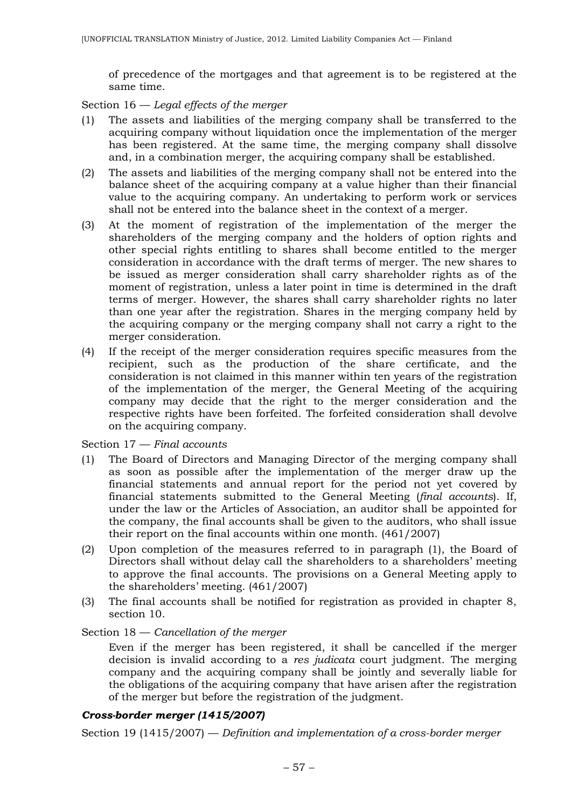of precedence of the mortgages and that agreement is to be registered at the same time.

Section 16 — *Legal effects of the merger*

- (1) The assets and liabilities of the merging company shall be transferred to the acquiring company without liquidation once the implementation of the merger has been registered. At the same time, the merging company shall dissolve and, in a combination merger, the acquiring company shall be established.
- (2) The assets and liabilities of the merging company shall not be entered into the balance sheet of the acquiring company at a value higher than their financial value to the acquiring company. An undertaking to perform work or services shall not be entered into the balance sheet in the context of a merger.
- (3) At the moment of registration of the implementation of the merger the shareholders of the merging company and the holders of option rights and other special rights entitling to shares shall become entitled to the merger consideration in accordance with the draft terms of merger. The new shares to be issued as merger consideration shall carry shareholder rights as of the moment of registration, unless a later point in time is determined in the draft terms of merger. However, the shares shall carry shareholder rights no later than one year after the registration. Shares in the merging company held by the acquiring company or the merging company shall not carry a right to the merger consideration.
- (4) If the receipt of the merger consideration requires specific measures from the recipient, such as the production of the share certificate, and the consideration is not claimed in this manner within ten years of the registration of the implementation of the merger, the General Meeting of the acquiring company may decide that the right to the merger consideration and the respective rights have been forfeited. The forfeited consideration shall devolve on the acquiring company.

Section 17 — *Final accounts*

- (1) The Board of Directors and Managing Director of the merging company shall as soon as possible after the implementation of the merger draw up the financial statements and annual report for the period not yet covered by financial statements submitted to the General Meeting (*final accounts*). If, under the law or the Articles of Association, an auditor shall be appointed for the company, the final accounts shall be given to the auditors, who shall issue their report on the final accounts within one month. (461/2007)
- (2) Upon completion of the measures referred to in paragraph (1), the Board of Directors shall without delay call the shareholders to a shareholders' meeting to approve the final accounts. The provisions on a General Meeting apply to the shareholders' meeting. (461/2007)
- (3) The final accounts shall be notified for registration as provided in chapter 8, section 10.

### Section 18 — *Cancellation of the merger*

Even if the merger has been registered, it shall be cancelled if the merger decision is invalid according to a *res judicata* court judgment. The merging company and the acquiring company shall be jointly and severally liable for the obligations of the acquiring company that have arisen after the registration of the merger but before the registration of the judgment.

### *Cross-border merger (1415/2007)*

Section 19 (1415/2007) — *Definition and implementation of a cross-border merger*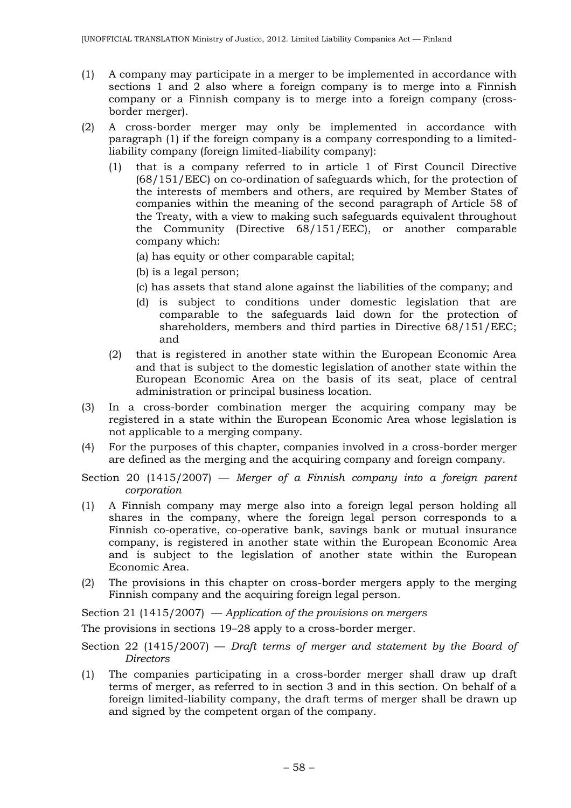- (1) A company may participate in a merger to be implemented in accordance with sections 1 and 2 also where a foreign company is to merge into a Finnish company or a Finnish company is to merge into a foreign company (crossborder merger).
- (2) A cross-border merger may only be implemented in accordance with paragraph (1) if the foreign company is a company corresponding to a limitedliability company (foreign limited-liability company):
	- (1) that is a company referred to in article 1 of First Council Directive (68/151/EEC) on co-ordination of safeguards which, for the protection of the interests of members and others, are required by Member States of companies within the meaning of the second paragraph of Article 58 of the Treaty, with a view to making such safeguards equivalent throughout the Community (Directive 68/151/EEC), or another comparable company which:
		- (a) has equity or other comparable capital;
		- (b) is a legal person;
		- (c) has assets that stand alone against the liabilities of the company; and
		- (d) is subject to conditions under domestic legislation that are comparable to the safeguards laid down for the protection of shareholders, members and third parties in Directive 68/151/EEC; and
	- (2) that is registered in another state within the European Economic Area and that is subject to the domestic legislation of another state within the European Economic Area on the basis of its seat, place of central administration or principal business location.
- (3) In a cross-border combination merger the acquiring company may be registered in a state within the European Economic Area whose legislation is not applicable to a merging company.
- (4) For the purposes of this chapter, companies involved in a cross-border merger are defined as the merging and the acquiring company and foreign company.
- Section 20 (1415/2007) *Merger of a Finnish company into a foreign parent corporation*
- (1) A Finnish company may merge also into a foreign legal person holding all shares in the company, where the foreign legal person corresponds to a Finnish co-operative, co-operative bank, savings bank or mutual insurance company, is registered in another state within the European Economic Area and is subject to the legislation of another state within the European Economic Area.
- (2) The provisions in this chapter on cross-border mergers apply to the merging Finnish company and the acquiring foreign legal person.

Section 21 (1415/2007) — *Application of the provisions on mergers*

The provisions in sections 19–28 apply to a cross-border merger.

- Section 22 (1415/2007) *Draft terms of merger and statement by the Board of Directors*
- (1) The companies participating in a cross-border merger shall draw up draft terms of merger, as referred to in section 3 and in this section. On behalf of a foreign limited-liability company, the draft terms of merger shall be drawn up and signed by the competent organ of the company.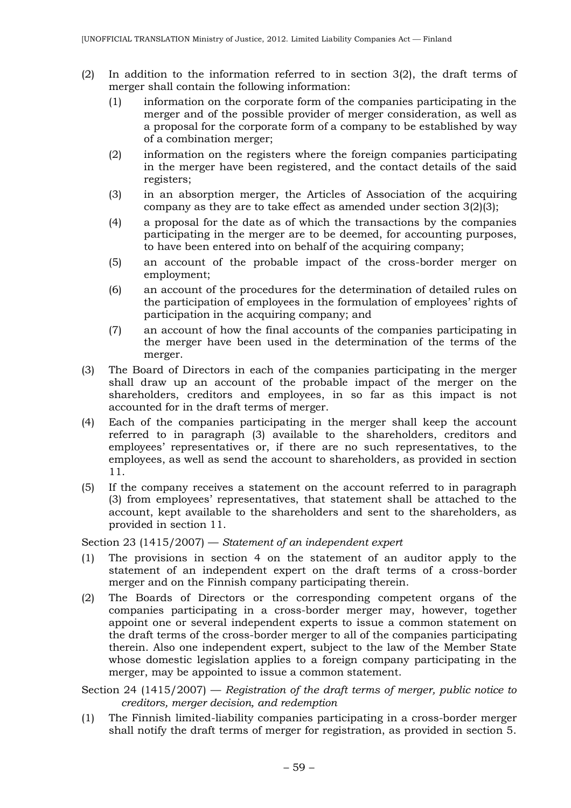- (2) In addition to the information referred to in section 3(2), the draft terms of merger shall contain the following information:
	- (1) information on the corporate form of the companies participating in the merger and of the possible provider of merger consideration, as well as a proposal for the corporate form of a company to be established by way of a combination merger;
	- (2) information on the registers where the foreign companies participating in the merger have been registered, and the contact details of the said registers;
	- (3) in an absorption merger, the Articles of Association of the acquiring company as they are to take effect as amended under section 3(2)(3);
	- (4) a proposal for the date as of which the transactions by the companies participating in the merger are to be deemed, for accounting purposes, to have been entered into on behalf of the acquiring company;
	- (5) an account of the probable impact of the cross-border merger on employment;
	- (6) an account of the procedures for the determination of detailed rules on the participation of employees in the formulation of employees' rights of participation in the acquiring company; and
	- (7) an account of how the final accounts of the companies participating in the merger have been used in the determination of the terms of the merger.
- (3) The Board of Directors in each of the companies participating in the merger shall draw up an account of the probable impact of the merger on the shareholders, creditors and employees, in so far as this impact is not accounted for in the draft terms of merger.
- (4) Each of the companies participating in the merger shall keep the account referred to in paragraph (3) available to the shareholders, creditors and employees' representatives or, if there are no such representatives, to the employees, as well as send the account to shareholders, as provided in section 11.
- (5) If the company receives a statement on the account referred to in paragraph (3) from employees' representatives, that statement shall be attached to the account, kept available to the shareholders and sent to the shareholders, as provided in section 11.

Section 23 (1415/2007) — *Statement of an independent expert*

- (1) The provisions in section 4 on the statement of an auditor apply to the statement of an independent expert on the draft terms of a cross-border merger and on the Finnish company participating therein.
- (2) The Boards of Directors or the corresponding competent organs of the companies participating in a cross-border merger may, however, together appoint one or several independent experts to issue a common statement on the draft terms of the cross-border merger to all of the companies participating therein. Also one independent expert, subject to the law of the Member State whose domestic legislation applies to a foreign company participating in the merger, may be appointed to issue a common statement.

Section 24 (1415/2007) — *Registration of the draft terms of merger, public notice to creditors, merger decision, and redemption*

(1) The Finnish limited-liability companies participating in a cross-border merger shall notify the draft terms of merger for registration, as provided in section 5.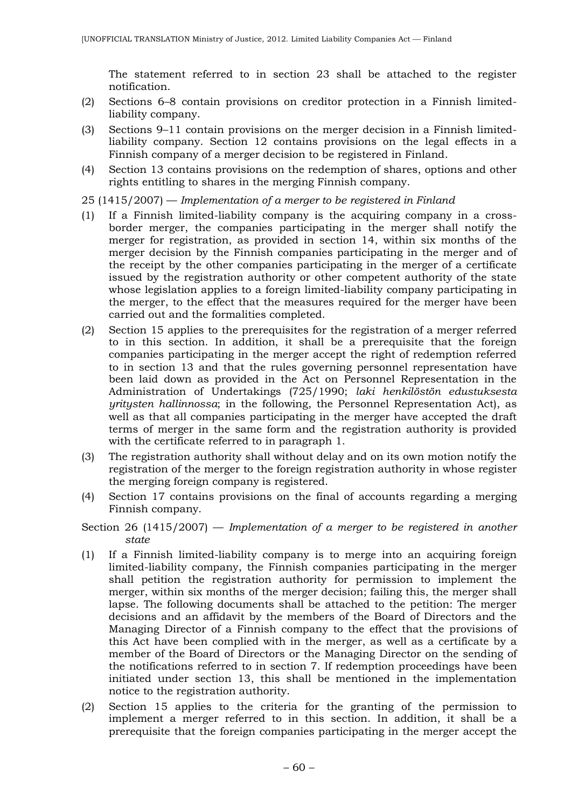The statement referred to in section 23 shall be attached to the register notification.

- (2) Sections 6–8 contain provisions on creditor protection in a Finnish limitedliability company.
- (3) Sections 9–11 contain provisions on the merger decision in a Finnish limitedliability company. Section 12 contains provisions on the legal effects in a Finnish company of a merger decision to be registered in Finland.
- (4) Section 13 contains provisions on the redemption of shares, options and other rights entitling to shares in the merging Finnish company.
- 25 (1415/2007) *Implementation of a merger to be registered in Finland*
- (1) If a Finnish limited-liability company is the acquiring company in a crossborder merger, the companies participating in the merger shall notify the merger for registration, as provided in section 14, within six months of the merger decision by the Finnish companies participating in the merger and of the receipt by the other companies participating in the merger of a certificate issued by the registration authority or other competent authority of the state whose legislation applies to a foreign limited-liability company participating in the merger, to the effect that the measures required for the merger have been carried out and the formalities completed.
- (2) Section 15 applies to the prerequisites for the registration of a merger referred to in this section. In addition, it shall be a prerequisite that the foreign companies participating in the merger accept the right of redemption referred to in section 13 and that the rules governing personnel representation have been laid down as provided in the Act on Personnel Representation in the Administration of Undertakings (725/1990; *laki henkilöstön edustuksesta yritysten hallinnossa*; in the following, the Personnel Representation Act), as well as that all companies participating in the merger have accepted the draft terms of merger in the same form and the registration authority is provided with the certificate referred to in paragraph 1.
- (3) The registration authority shall without delay and on its own motion notify the registration of the merger to the foreign registration authority in whose register the merging foreign company is registered.
- (4) Section 17 contains provisions on the final of accounts regarding a merging Finnish company.
- Section 26 (1415/2007) *Implementation of a merger to be registered in another state*
- (1) If a Finnish limited-liability company is to merge into an acquiring foreign limited-liability company, the Finnish companies participating in the merger shall petition the registration authority for permission to implement the merger, within six months of the merger decision; failing this, the merger shall lapse. The following documents shall be attached to the petition: The merger decisions and an affidavit by the members of the Board of Directors and the Managing Director of a Finnish company to the effect that the provisions of this Act have been complied with in the merger, as well as a certificate by a member of the Board of Directors or the Managing Director on the sending of the notifications referred to in section 7. If redemption proceedings have been initiated under section 13, this shall be mentioned in the implementation notice to the registration authority.
- (2) Section 15 applies to the criteria for the granting of the permission to implement a merger referred to in this section. In addition, it shall be a prerequisite that the foreign companies participating in the merger accept the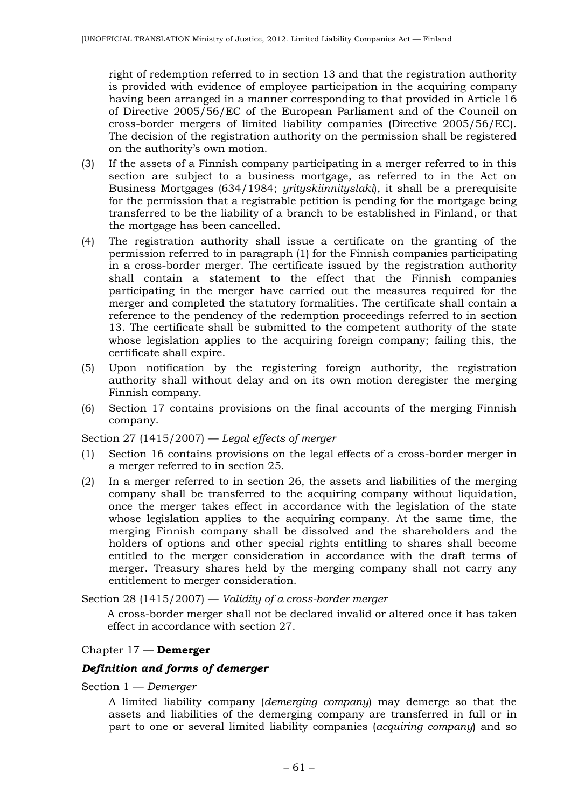right of redemption referred to in section 13 and that the registration authority is provided with evidence of employee participation in the acquiring company having been arranged in a manner corresponding to that provided in Article 16 of Directive 2005/56/EC of the European Parliament and of the Council on cross-border mergers of limited liability companies (Directive 2005/56/EC). The decision of the registration authority on the permission shall be registered on the authority's own motion.

- (3) If the assets of a Finnish company participating in a merger referred to in this section are subject to a business mortgage, as referred to in the Act on Business Mortgages (634/1984; *yrityskiinnityslaki*), it shall be a prerequisite for the permission that a registrable petition is pending for the mortgage being transferred to be the liability of a branch to be established in Finland, or that the mortgage has been cancelled.
- (4) The registration authority shall issue a certificate on the granting of the permission referred to in paragraph (1) for the Finnish companies participating in a cross-border merger. The certificate issued by the registration authority shall contain a statement to the effect that the Finnish companies participating in the merger have carried out the measures required for the merger and completed the statutory formalities. The certificate shall contain a reference to the pendency of the redemption proceedings referred to in section 13. The certificate shall be submitted to the competent authority of the state whose legislation applies to the acquiring foreign company; failing this, the certificate shall expire.
- (5) Upon notification by the registering foreign authority, the registration authority shall without delay and on its own motion deregister the merging Finnish company.
- (6) Section 17 contains provisions on the final accounts of the merging Finnish company.

## Section 27 (1415/2007) — *Legal effects of merger*

- (1) Section 16 contains provisions on the legal effects of a cross-border merger in a merger referred to in section 25.
- (2) In a merger referred to in section 26, the assets and liabilities of the merging company shall be transferred to the acquiring company without liquidation, once the merger takes effect in accordance with the legislation of the state whose legislation applies to the acquiring company. At the same time, the merging Finnish company shall be dissolved and the shareholders and the holders of options and other special rights entitling to shares shall become entitled to the merger consideration in accordance with the draft terms of merger. Treasury shares held by the merging company shall not carry any entitlement to merger consideration.

Section 28 (1415/2007) — *Validity of a cross-border merger*

A cross-border merger shall not be declared invalid or altered once it has taken effect in accordance with section 27.

## Chapter 17 — **Demerger**

#### *Definition and forms of demerger*

Section 1 — *Demerger*

A limited liability company (*demerging company*) may demerge so that the assets and liabilities of the demerging company are transferred in full or in part to one or several limited liability companies (*acquiring company*) and so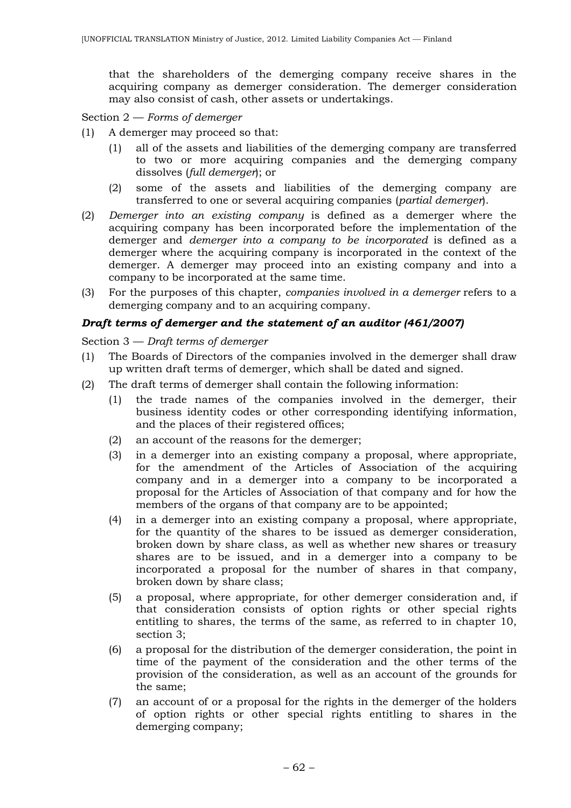that the shareholders of the demerging company receive shares in the acquiring company as demerger consideration. The demerger consideration may also consist of cash, other assets or undertakings.

Section 2 — *Forms of demerger*

- (1) A demerger may proceed so that:
	- (1) all of the assets and liabilities of the demerging company are transferred to two or more acquiring companies and the demerging company dissolves (*full demerger*); or
	- (2) some of the assets and liabilities of the demerging company are transferred to one or several acquiring companies (*partial demerger*).
- (2) *Demerger into an existing company* is defined as a demerger where the acquiring company has been incorporated before the implementation of the demerger and *demerger into a company to be incorporated* is defined as a demerger where the acquiring company is incorporated in the context of the demerger. A demerger may proceed into an existing company and into a company to be incorporated at the same time.
- (3) For the purposes of this chapter, *companies involved in a demerger* refers to a demerging company and to an acquiring company.

## *Draft terms of demerger and the statement of an auditor (461/2007)*

Section 3 — *Draft terms of demerger*

- (1) The Boards of Directors of the companies involved in the demerger shall draw up written draft terms of demerger, which shall be dated and signed.
- (2) The draft terms of demerger shall contain the following information:
	- (1) the trade names of the companies involved in the demerger, their business identity codes or other corresponding identifying information, and the places of their registered offices;
	- (2) an account of the reasons for the demerger;
	- (3) in a demerger into an existing company a proposal, where appropriate, for the amendment of the Articles of Association of the acquiring company and in a demerger into a company to be incorporated a proposal for the Articles of Association of that company and for how the members of the organs of that company are to be appointed;
	- (4) in a demerger into an existing company a proposal, where appropriate, for the quantity of the shares to be issued as demerger consideration, broken down by share class, as well as whether new shares or treasury shares are to be issued, and in a demerger into a company to be incorporated a proposal for the number of shares in that company, broken down by share class;
	- (5) a proposal, where appropriate, for other demerger consideration and, if that consideration consists of option rights or other special rights entitling to shares, the terms of the same, as referred to in chapter 10, section 3;
	- (6) a proposal for the distribution of the demerger consideration, the point in time of the payment of the consideration and the other terms of the provision of the consideration, as well as an account of the grounds for the same;
	- (7) an account of or a proposal for the rights in the demerger of the holders of option rights or other special rights entitling to shares in the demerging company;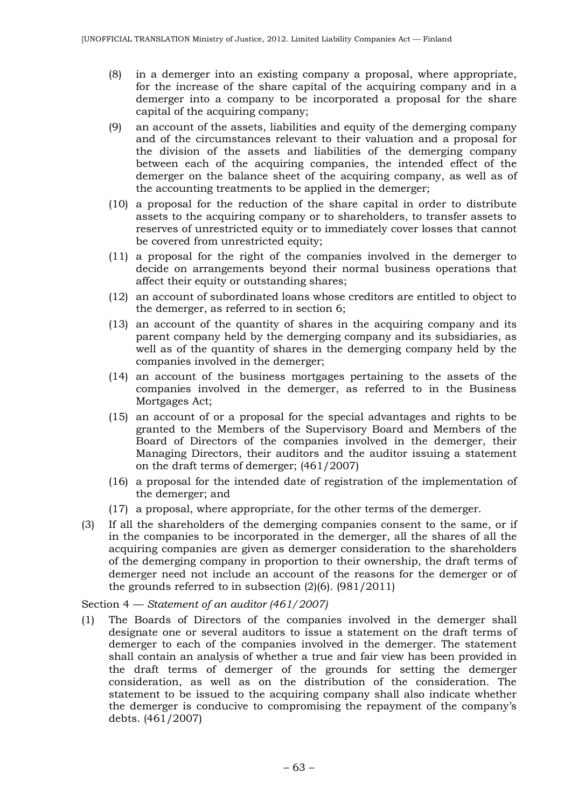- (8) in a demerger into an existing company a proposal, where appropriate, for the increase of the share capital of the acquiring company and in a demerger into a company to be incorporated a proposal for the share capital of the acquiring company;
- (9) an account of the assets, liabilities and equity of the demerging company and of the circumstances relevant to their valuation and a proposal for the division of the assets and liabilities of the demerging company between each of the acquiring companies, the intended effect of the demerger on the balance sheet of the acquiring company, as well as of the accounting treatments to be applied in the demerger;
- (10) a proposal for the reduction of the share capital in order to distribute assets to the acquiring company or to shareholders, to transfer assets to reserves of unrestricted equity or to immediately cover losses that cannot be covered from unrestricted equity;
- (11) a proposal for the right of the companies involved in the demerger to decide on arrangements beyond their normal business operations that affect their equity or outstanding shares;
- (12) an account of subordinated loans whose creditors are entitled to object to the demerger, as referred to in section 6;
- (13) an account of the quantity of shares in the acquiring company and its parent company held by the demerging company and its subsidiaries, as well as of the quantity of shares in the demerging company held by the companies involved in the demerger;
- (14) an account of the business mortgages pertaining to the assets of the companies involved in the demerger, as referred to in the Business Mortgages Act;
- (15) an account of or a proposal for the special advantages and rights to be granted to the Members of the Supervisory Board and Members of the Board of Directors of the companies involved in the demerger, their Managing Directors, their auditors and the auditor issuing a statement on the draft terms of demerger; (461/2007)
- (16) a proposal for the intended date of registration of the implementation of the demerger; and
- (17) a proposal, where appropriate, for the other terms of the demerger.
- (3) If all the shareholders of the demerging companies consent to the same, or if in the companies to be incorporated in the demerger, all the shares of all the acquiring companies are given as demerger consideration to the shareholders of the demerging company in proportion to their ownership, the draft terms of demerger need not include an account of the reasons for the demerger or of the grounds referred to in subsection  $(2)(6)$ .  $(981/2011)$

Section 4 — *Statement of an auditor (461/2007)*

(1) The Boards of Directors of the companies involved in the demerger shall designate one or several auditors to issue a statement on the draft terms of demerger to each of the companies involved in the demerger. The statement shall contain an analysis of whether a true and fair view has been provided in the draft terms of demerger of the grounds for setting the demerger consideration, as well as on the distribution of the consideration. The statement to be issued to the acquiring company shall also indicate whether the demerger is conducive to compromising the repayment of the company's debts. (461/2007)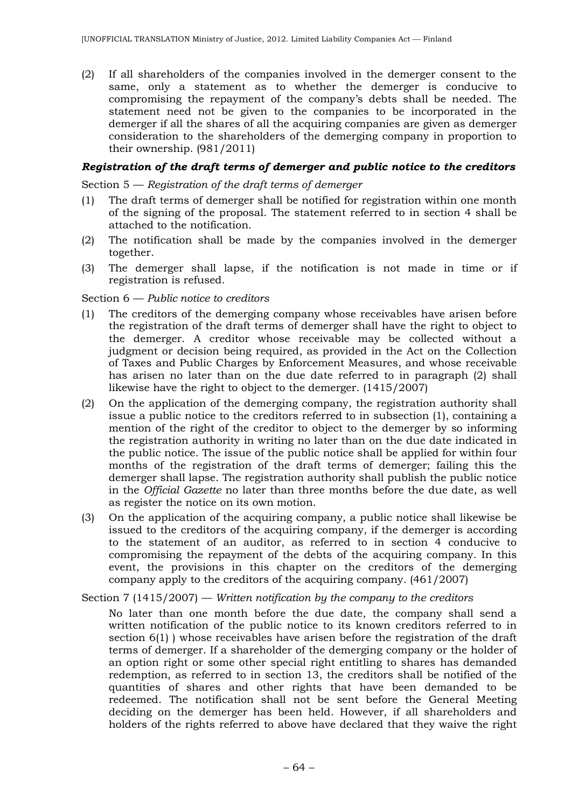(2) If all shareholders of the companies involved in the demerger consent to the same, only a statement as to whether the demerger is conducive to compromising the repayment of the company's debts shall be needed. The statement need not be given to the companies to be incorporated in the demerger if all the shares of all the acquiring companies are given as demerger consideration to the shareholders of the demerging company in proportion to their ownership. (981/2011)

## *Registration of the draft terms of demerger and public notice to the creditors*

Section 5 — *Registration of the draft terms of demerger*

- (1) The draft terms of demerger shall be notified for registration within one month of the signing of the proposal. The statement referred to in section 4 shall be attached to the notification.
- (2) The notification shall be made by the companies involved in the demerger together.
- (3) The demerger shall lapse, if the notification is not made in time or if registration is refused.

### Section 6 — *Public notice to creditors*

- (1) The creditors of the demerging company whose receivables have arisen before the registration of the draft terms of demerger shall have the right to object to the demerger. A creditor whose receivable may be collected without a judgment or decision being required, as provided in the Act on the Collection of Taxes and Public Charges by Enforcement Measures, and whose receivable has arisen no later than on the due date referred to in paragraph (2) shall likewise have the right to object to the demerger. (1415/2007)
- (2) On the application of the demerging company, the registration authority shall issue a public notice to the creditors referred to in subsection (1), containing a mention of the right of the creditor to object to the demerger by so informing the registration authority in writing no later than on the due date indicated in the public notice. The issue of the public notice shall be applied for within four months of the registration of the draft terms of demerger; failing this the demerger shall lapse. The registration authority shall publish the public notice in the *Official Gazette* no later than three months before the due date, as well as register the notice on its own motion.
- (3) On the application of the acquiring company, a public notice shall likewise be issued to the creditors of the acquiring company, if the demerger is according to the statement of an auditor, as referred to in section 4 conducive to compromising the repayment of the debts of the acquiring company. In this event, the provisions in this chapter on the creditors of the demerging company apply to the creditors of the acquiring company. (461/2007)

Section 7 (1415/2007) — *Written notification by the company to the creditors*

No later than one month before the due date, the company shall send a written notification of the public notice to its known creditors referred to in section 6(1) ) whose receivables have arisen before the registration of the draft terms of demerger. If a shareholder of the demerging company or the holder of an option right or some other special right entitling to shares has demanded redemption, as referred to in section 13, the creditors shall be notified of the quantities of shares and other rights that have been demanded to be redeemed. The notification shall not be sent before the General Meeting deciding on the demerger has been held. However, if all shareholders and holders of the rights referred to above have declared that they waive the right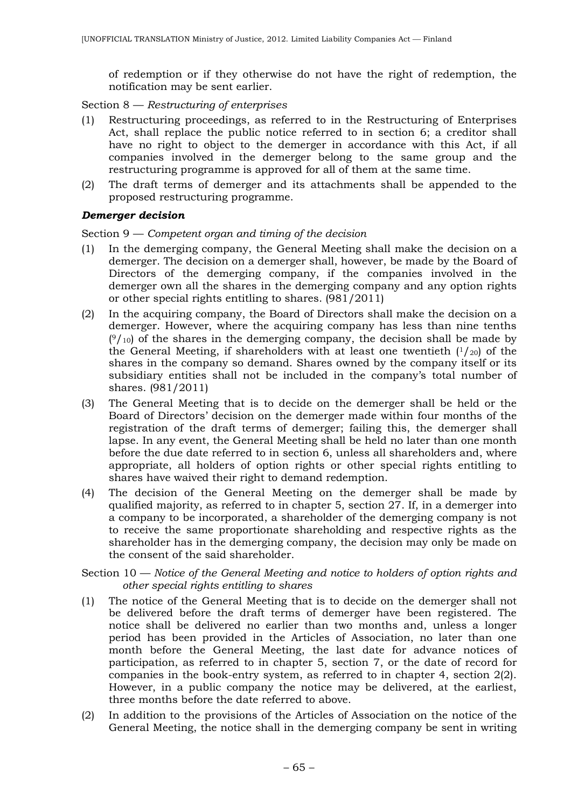of redemption or if they otherwise do not have the right of redemption, the notification may be sent earlier.

Section 8 — *Restructuring of enterprises*

- (1) Restructuring proceedings, as referred to in the Restructuring of Enterprises Act, shall replace the public notice referred to in section 6; a creditor shall have no right to object to the demerger in accordance with this Act, if all companies involved in the demerger belong to the same group and the restructuring programme is approved for all of them at the same time.
- (2) The draft terms of demerger and its attachments shall be appended to the proposed restructuring programme.

## *Demerger decision*

Section 9 — *Competent organ and timing of the decision*

- (1) In the demerging company, the General Meeting shall make the decision on a demerger. The decision on a demerger shall, however, be made by the Board of Directors of the demerging company, if the companies involved in the demerger own all the shares in the demerging company and any option rights or other special rights entitling to shares. (981/2011)
- (2) In the acquiring company, the Board of Directors shall make the decision on a demerger. However, where the acquiring company has less than nine tenths  $(9/10)$  of the shares in the demerging company, the decision shall be made by the General Meeting, if shareholders with at least one twentieth  $(1/20)$  of the shares in the company so demand. Shares owned by the company itself or its subsidiary entities shall not be included in the company's total number of shares. (981/2011)
- (3) The General Meeting that is to decide on the demerger shall be held or the Board of Directors' decision on the demerger made within four months of the registration of the draft terms of demerger; failing this, the demerger shall lapse. In any event, the General Meeting shall be held no later than one month before the due date referred to in section 6, unless all shareholders and, where appropriate, all holders of option rights or other special rights entitling to shares have waived their right to demand redemption.
- (4) The decision of the General Meeting on the demerger shall be made by qualified majority, as referred to in chapter 5, section 27. If, in a demerger into a company to be incorporated, a shareholder of the demerging company is not to receive the same proportionate shareholding and respective rights as the shareholder has in the demerging company, the decision may only be made on the consent of the said shareholder.

Section 10 — *Notice of the General Meeting and notice to holders of option rights and other special rights entitling to shares*

- (1) The notice of the General Meeting that is to decide on the demerger shall not be delivered before the draft terms of demerger have been registered. The notice shall be delivered no earlier than two months and, unless a longer period has been provided in the Articles of Association, no later than one month before the General Meeting, the last date for advance notices of participation, as referred to in chapter 5, section 7, or the date of record for companies in the book-entry system, as referred to in chapter 4, section 2(2). However, in a public company the notice may be delivered, at the earliest, three months before the date referred to above.
- (2) In addition to the provisions of the Articles of Association on the notice of the General Meeting, the notice shall in the demerging company be sent in writing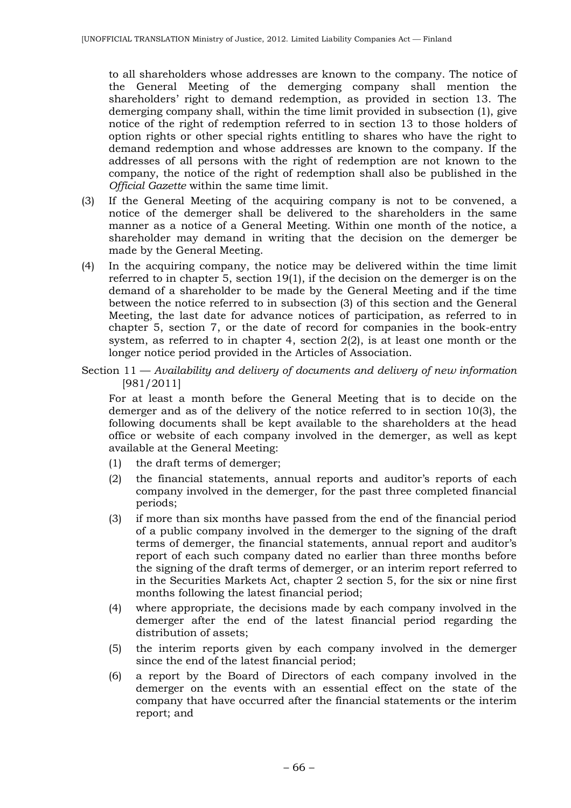to all shareholders whose addresses are known to the company. The notice of the General Meeting of the demerging company shall mention the shareholders' right to demand redemption, as provided in section 13. The demerging company shall, within the time limit provided in subsection (1), give notice of the right of redemption referred to in section 13 to those holders of option rights or other special rights entitling to shares who have the right to demand redemption and whose addresses are known to the company. If the addresses of all persons with the right of redemption are not known to the company, the notice of the right of redemption shall also be published in the *Official Gazette* within the same time limit.

- (3) If the General Meeting of the acquiring company is not to be convened, a notice of the demerger shall be delivered to the shareholders in the same manner as a notice of a General Meeting. Within one month of the notice, a shareholder may demand in writing that the decision on the demerger be made by the General Meeting.
- (4) In the acquiring company, the notice may be delivered within the time limit referred to in chapter 5, section 19(1), if the decision on the demerger is on the demand of a shareholder to be made by the General Meeting and if the time between the notice referred to in subsection (3) of this section and the General Meeting, the last date for advance notices of participation, as referred to in chapter 5, section 7, or the date of record for companies in the book-entry system, as referred to in chapter 4, section 2(2), is at least one month or the longer notice period provided in the Articles of Association.

Section 11 — *Availability and delivery of documents and delivery of new information*  [981/2011]

For at least a month before the General Meeting that is to decide on the demerger and as of the delivery of the notice referred to in section 10(3), the following documents shall be kept available to the shareholders at the head office or website of each company involved in the demerger, as well as kept available at the General Meeting:

- (1) the draft terms of demerger;
- (2) the financial statements, annual reports and auditor's reports of each company involved in the demerger, for the past three completed financial periods;
- (3) if more than six months have passed from the end of the financial period of a public company involved in the demerger to the signing of the draft terms of demerger, the financial statements, annual report and auditor's report of each such company dated no earlier than three months before the signing of the draft terms of demerger, or an interim report referred to in the Securities Markets Act, chapter 2 section 5, for the six or nine first months following the latest financial period;
- (4) where appropriate, the decisions made by each company involved in the demerger after the end of the latest financial period regarding the distribution of assets;
- (5) the interim reports given by each company involved in the demerger since the end of the latest financial period;
- (6) a report by the Board of Directors of each company involved in the demerger on the events with an essential effect on the state of the company that have occurred after the financial statements or the interim report; and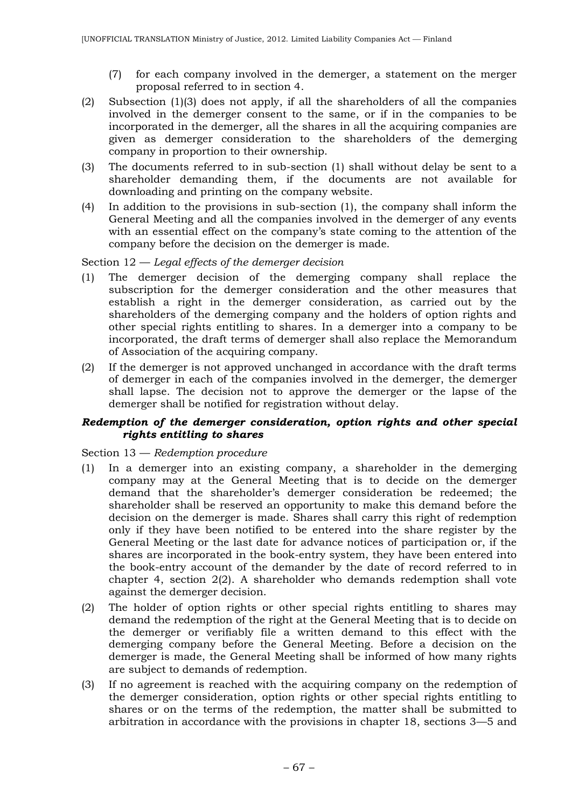- (7) for each company involved in the demerger, a statement on the merger proposal referred to in section 4.
- (2) Subsection (1)(3) does not apply, if all the shareholders of all the companies involved in the demerger consent to the same, or if in the companies to be incorporated in the demerger, all the shares in all the acquiring companies are given as demerger consideration to the shareholders of the demerging company in proportion to their ownership.
- (3) The documents referred to in sub-section (1) shall without delay be sent to a shareholder demanding them, if the documents are not available for downloading and printing on the company website.
- (4) In addition to the provisions in sub-section (1), the company shall inform the General Meeting and all the companies involved in the demerger of any events with an essential effect on the company's state coming to the attention of the company before the decision on the demerger is made.

Section 12 — *Legal effects of the demerger decision*

- (1) The demerger decision of the demerging company shall replace the subscription for the demerger consideration and the other measures that establish a right in the demerger consideration, as carried out by the shareholders of the demerging company and the holders of option rights and other special rights entitling to shares. In a demerger into a company to be incorporated, the draft terms of demerger shall also replace the Memorandum of Association of the acquiring company.
- (2) If the demerger is not approved unchanged in accordance with the draft terms of demerger in each of the companies involved in the demerger, the demerger shall lapse. The decision not to approve the demerger or the lapse of the demerger shall be notified for registration without delay.

### *Redemption of the demerger consideration, option rights and other special rights entitling to shares*

## Section 13 — *Redemption procedure*

- (1) In a demerger into an existing company, a shareholder in the demerging company may at the General Meeting that is to decide on the demerger demand that the shareholder's demerger consideration be redeemed; the shareholder shall be reserved an opportunity to make this demand before the decision on the demerger is made. Shares shall carry this right of redemption only if they have been notified to be entered into the share register by the General Meeting or the last date for advance notices of participation or, if the shares are incorporated in the book-entry system, they have been entered into the book-entry account of the demander by the date of record referred to in chapter 4, section 2(2). A shareholder who demands redemption shall vote against the demerger decision.
- (2) The holder of option rights or other special rights entitling to shares may demand the redemption of the right at the General Meeting that is to decide on the demerger or verifiably file a written demand to this effect with the demerging company before the General Meeting. Before a decision on the demerger is made, the General Meeting shall be informed of how many rights are subject to demands of redemption.
- (3) If no agreement is reached with the acquiring company on the redemption of the demerger consideration, option rights or other special rights entitling to shares or on the terms of the redemption, the matter shall be submitted to arbitration in accordance with the provisions in chapter 18, sections 3—5 and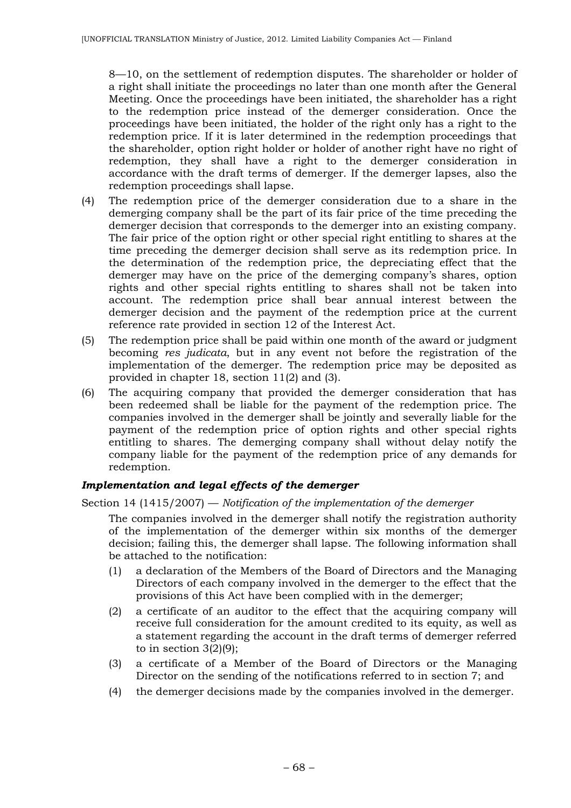8—10, on the settlement of redemption disputes. The shareholder or holder of a right shall initiate the proceedings no later than one month after the General Meeting. Once the proceedings have been initiated, the shareholder has a right to the redemption price instead of the demerger consideration. Once the proceedings have been initiated, the holder of the right only has a right to the redemption price. If it is later determined in the redemption proceedings that the shareholder, option right holder or holder of another right have no right of redemption, they shall have a right to the demerger consideration in accordance with the draft terms of demerger. If the demerger lapses, also the redemption proceedings shall lapse.

- (4) The redemption price of the demerger consideration due to a share in the demerging company shall be the part of its fair price of the time preceding the demerger decision that corresponds to the demerger into an existing company. The fair price of the option right or other special right entitling to shares at the time preceding the demerger decision shall serve as its redemption price. In the determination of the redemption price, the depreciating effect that the demerger may have on the price of the demerging company's shares, option rights and other special rights entitling to shares shall not be taken into account. The redemption price shall bear annual interest between the demerger decision and the payment of the redemption price at the current reference rate provided in section 12 of the Interest Act.
- (5) The redemption price shall be paid within one month of the award or judgment becoming *res judicata*, but in any event not before the registration of the implementation of the demerger. The redemption price may be deposited as provided in chapter 18, section 11(2) and (3).
- (6) The acquiring company that provided the demerger consideration that has been redeemed shall be liable for the payment of the redemption price. The companies involved in the demerger shall be jointly and severally liable for the payment of the redemption price of option rights and other special rights entitling to shares. The demerging company shall without delay notify the company liable for the payment of the redemption price of any demands for redemption.

## *Implementation and legal effects of the demerger*

## Section 14 (1415/2007) — *Notification of the implementation of the demerger*

The companies involved in the demerger shall notify the registration authority of the implementation of the demerger within six months of the demerger decision; failing this, the demerger shall lapse. The following information shall be attached to the notification:

- (1) a declaration of the Members of the Board of Directors and the Managing Directors of each company involved in the demerger to the effect that the provisions of this Act have been complied with in the demerger;
- (2) a certificate of an auditor to the effect that the acquiring company will receive full consideration for the amount credited to its equity, as well as a statement regarding the account in the draft terms of demerger referred to in section  $3(2)(9)$ ;
- (3) a certificate of a Member of the Board of Directors or the Managing Director on the sending of the notifications referred to in section 7; and
- (4) the demerger decisions made by the companies involved in the demerger.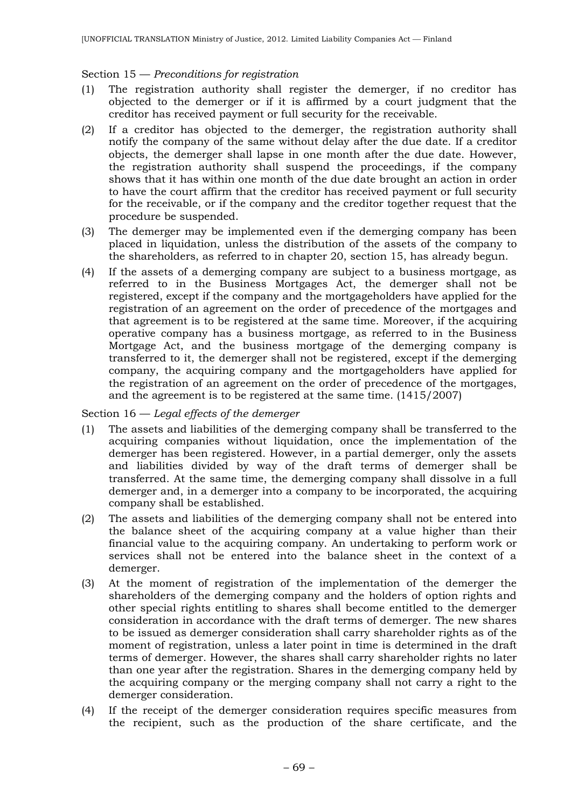## Section 15 — *Preconditions for registration*

- (1) The registration authority shall register the demerger, if no creditor has objected to the demerger or if it is affirmed by a court judgment that the creditor has received payment or full security for the receivable.
- (2) If a creditor has objected to the demerger, the registration authority shall notify the company of the same without delay after the due date. If a creditor objects, the demerger shall lapse in one month after the due date. However, the registration authority shall suspend the proceedings, if the company shows that it has within one month of the due date brought an action in order to have the court affirm that the creditor has received payment or full security for the receivable, or if the company and the creditor together request that the procedure be suspended.
- (3) The demerger may be implemented even if the demerging company has been placed in liquidation, unless the distribution of the assets of the company to the shareholders, as referred to in chapter 20, section 15, has already begun.
- (4) If the assets of a demerging company are subject to a business mortgage, as referred to in the Business Mortgages Act, the demerger shall not be registered, except if the company and the mortgageholders have applied for the registration of an agreement on the order of precedence of the mortgages and that agreement is to be registered at the same time. Moreover, if the acquiring operative company has a business mortgage, as referred to in the Business Mortgage Act, and the business mortgage of the demerging company is transferred to it, the demerger shall not be registered, except if the demerging company, the acquiring company and the mortgageholders have applied for the registration of an agreement on the order of precedence of the mortgages, and the agreement is to be registered at the same time. (1415/2007)

Section 16 — *Legal effects of the demerger*

- (1) The assets and liabilities of the demerging company shall be transferred to the acquiring companies without liquidation, once the implementation of the demerger has been registered. However, in a partial demerger, only the assets and liabilities divided by way of the draft terms of demerger shall be transferred. At the same time, the demerging company shall dissolve in a full demerger and, in a demerger into a company to be incorporated, the acquiring company shall be established.
- (2) The assets and liabilities of the demerging company shall not be entered into the balance sheet of the acquiring company at a value higher than their financial value to the acquiring company. An undertaking to perform work or services shall not be entered into the balance sheet in the context of a demerger.
- (3) At the moment of registration of the implementation of the demerger the shareholders of the demerging company and the holders of option rights and other special rights entitling to shares shall become entitled to the demerger consideration in accordance with the draft terms of demerger. The new shares to be issued as demerger consideration shall carry shareholder rights as of the moment of registration, unless a later point in time is determined in the draft terms of demerger. However, the shares shall carry shareholder rights no later than one year after the registration. Shares in the demerging company held by the acquiring company or the merging company shall not carry a right to the demerger consideration.
- (4) If the receipt of the demerger consideration requires specific measures from the recipient, such as the production of the share certificate, and the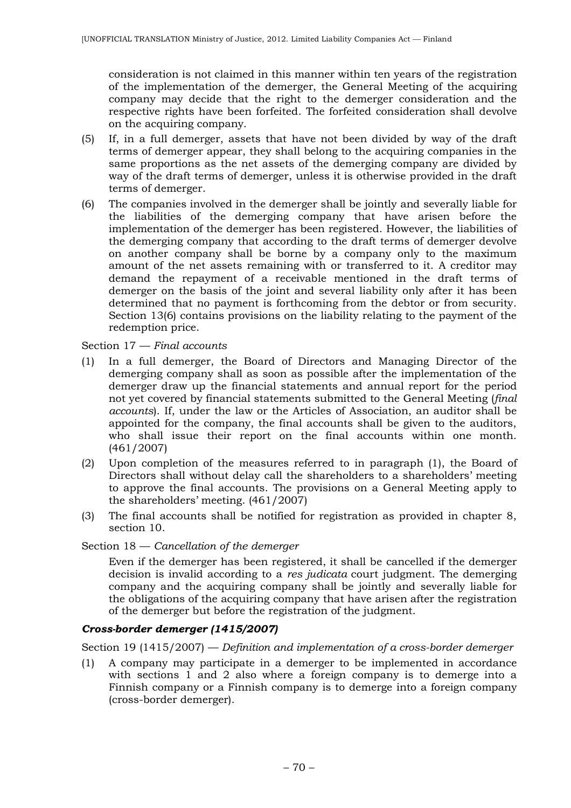consideration is not claimed in this manner within ten years of the registration of the implementation of the demerger, the General Meeting of the acquiring company may decide that the right to the demerger consideration and the respective rights have been forfeited. The forfeited consideration shall devolve on the acquiring company.

- (5) If, in a full demerger, assets that have not been divided by way of the draft terms of demerger appear, they shall belong to the acquiring companies in the same proportions as the net assets of the demerging company are divided by way of the draft terms of demerger, unless it is otherwise provided in the draft terms of demerger.
- (6) The companies involved in the demerger shall be jointly and severally liable for the liabilities of the demerging company that have arisen before the implementation of the demerger has been registered. However, the liabilities of the demerging company that according to the draft terms of demerger devolve on another company shall be borne by a company only to the maximum amount of the net assets remaining with or transferred to it. A creditor may demand the repayment of a receivable mentioned in the draft terms of demerger on the basis of the joint and several liability only after it has been determined that no payment is forthcoming from the debtor or from security. Section 13(6) contains provisions on the liability relating to the payment of the redemption price.

Section 17 — *Final accounts*

- (1) In a full demerger, the Board of Directors and Managing Director of the demerging company shall as soon as possible after the implementation of the demerger draw up the financial statements and annual report for the period not yet covered by financial statements submitted to the General Meeting (*final accounts*). If, under the law or the Articles of Association, an auditor shall be appointed for the company, the final accounts shall be given to the auditors, who shall issue their report on the final accounts within one month. (461/2007)
- (2) Upon completion of the measures referred to in paragraph (1), the Board of Directors shall without delay call the shareholders to a shareholders' meeting to approve the final accounts. The provisions on a General Meeting apply to the shareholders' meeting. (461/2007)
- (3) The final accounts shall be notified for registration as provided in chapter 8, section 10.

Section 18 — *Cancellation of the demerger*

Even if the demerger has been registered, it shall be cancelled if the demerger decision is invalid according to a *res judicata* court judgment. The demerging company and the acquiring company shall be jointly and severally liable for the obligations of the acquiring company that have arisen after the registration of the demerger but before the registration of the judgment.

# *Cross-border demerger (1415/2007)*

Section 19 (1415/2007) — *Definition and implementation of a cross-border demerger* 

(1) A company may participate in a demerger to be implemented in accordance with sections 1 and 2 also where a foreign company is to demerge into a Finnish company or a Finnish company is to demerge into a foreign company (cross-border demerger).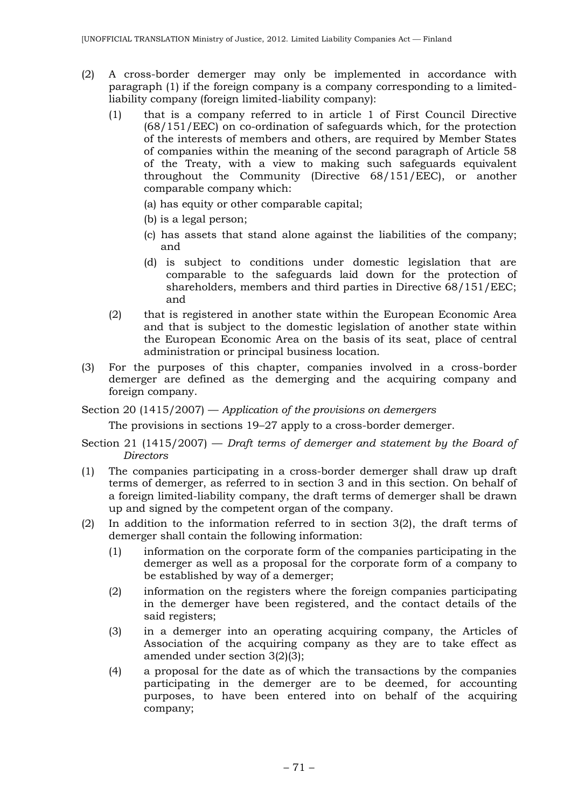- (2) A cross-border demerger may only be implemented in accordance with paragraph (1) if the foreign company is a company corresponding to a limitedliability company (foreign limited-liability company):
	- (1) that is a company referred to in article 1 of First Council Directive (68/151/EEC) on co-ordination of safeguards which, for the protection of the interests of members and others, are required by Member States of companies within the meaning of the second paragraph of Article 58 of the Treaty, with a view to making such safeguards equivalent throughout the Community (Directive 68/151/EEC), or another comparable company which:
		- (a) has equity or other comparable capital;
		- (b) is a legal person;
		- (c) has assets that stand alone against the liabilities of the company; and
		- (d) is subject to conditions under domestic legislation that are comparable to the safeguards laid down for the protection of shareholders, members and third parties in Directive 68/151/EEC; and
	- (2) that is registered in another state within the European Economic Area and that is subject to the domestic legislation of another state within the European Economic Area on the basis of its seat, place of central administration or principal business location.
- (3) For the purposes of this chapter, companies involved in a cross-border demerger are defined as the demerging and the acquiring company and foreign company.
- Section 20 (1415/2007) *Application of the provisions on demergers*

The provisions in sections 19–27 apply to a cross-border demerger.

- Section 21 (1415/2007) *Draft terms of demerger and statement by the Board of Directors*
- (1) The companies participating in a cross-border demerger shall draw up draft terms of demerger, as referred to in section 3 and in this section. On behalf of a foreign limited-liability company, the draft terms of demerger shall be drawn up and signed by the competent organ of the company.
- (2) In addition to the information referred to in section 3(2), the draft terms of demerger shall contain the following information:
	- (1) information on the corporate form of the companies participating in the demerger as well as a proposal for the corporate form of a company to be established by way of a demerger;
	- (2) information on the registers where the foreign companies participating in the demerger have been registered, and the contact details of the said registers;
	- (3) in a demerger into an operating acquiring company, the Articles of Association of the acquiring company as they are to take effect as amended under section 3(2)(3);
	- (4) a proposal for the date as of which the transactions by the companies participating in the demerger are to be deemed, for accounting purposes, to have been entered into on behalf of the acquiring company;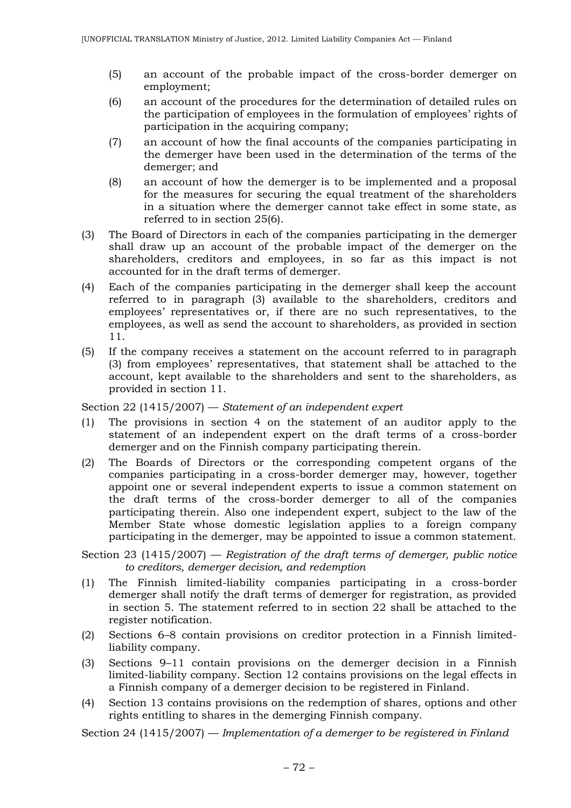- (5) an account of the probable impact of the cross-border demerger on employment;
- (6) an account of the procedures for the determination of detailed rules on the participation of employees in the formulation of employees' rights of participation in the acquiring company;
- (7) an account of how the final accounts of the companies participating in the demerger have been used in the determination of the terms of the demerger; and
- (8) an account of how the demerger is to be implemented and a proposal for the measures for securing the equal treatment of the shareholders in a situation where the demerger cannot take effect in some state, as referred to in section 25(6).
- (3) The Board of Directors in each of the companies participating in the demerger shall draw up an account of the probable impact of the demerger on the shareholders, creditors and employees, in so far as this impact is not accounted for in the draft terms of demerger.
- (4) Each of the companies participating in the demerger shall keep the account referred to in paragraph (3) available to the shareholders, creditors and employees' representatives or, if there are no such representatives, to the employees, as well as send the account to shareholders, as provided in section 11.
- (5) If the company receives a statement on the account referred to in paragraph (3) from employees' representatives, that statement shall be attached to the account, kept available to the shareholders and sent to the shareholders, as provided in section 11.

Section 22 (1415/2007) — *Statement of an independent expert*

- (1) The provisions in section 4 on the statement of an auditor apply to the statement of an independent expert on the draft terms of a cross-border demerger and on the Finnish company participating therein.
- (2) The Boards of Directors or the corresponding competent organs of the companies participating in a cross-border demerger may, however, together appoint one or several independent experts to issue a common statement on the draft terms of the cross-border demerger to all of the companies participating therein. Also one independent expert, subject to the law of the Member State whose domestic legislation applies to a foreign company participating in the demerger, may be appointed to issue a common statement.

Section 23 (1415/2007) — *Registration of the draft terms of demerger, public notice to creditors, demerger decision, and redemption*

- (1) The Finnish limited-liability companies participating in a cross-border demerger shall notify the draft terms of demerger for registration, as provided in section 5. The statement referred to in section 22 shall be attached to the register notification.
- (2) Sections 6–8 contain provisions on creditor protection in a Finnish limitedliability company.
- (3) Sections 9–11 contain provisions on the demerger decision in a Finnish limited-liability company. Section 12 contains provisions on the legal effects in a Finnish company of a demerger decision to be registered in Finland.
- (4) Section 13 contains provisions on the redemption of shares, options and other rights entitling to shares in the demerging Finnish company.

Section 24 (1415/2007) — *Implementation of a demerger to be registered in Finland*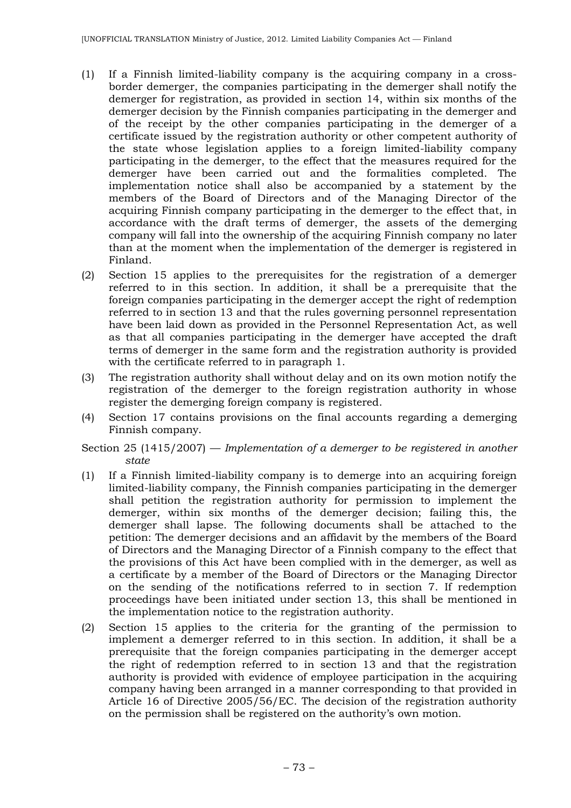- (1) If a Finnish limited-liability company is the acquiring company in a crossborder demerger, the companies participating in the demerger shall notify the demerger for registration, as provided in section 14, within six months of the demerger decision by the Finnish companies participating in the demerger and of the receipt by the other companies participating in the demerger of a certificate issued by the registration authority or other competent authority of the state whose legislation applies to a foreign limited-liability company participating in the demerger, to the effect that the measures required for the demerger have been carried out and the formalities completed. The implementation notice shall also be accompanied by a statement by the members of the Board of Directors and of the Managing Director of the acquiring Finnish company participating in the demerger to the effect that, in accordance with the draft terms of demerger, the assets of the demerging company will fall into the ownership of the acquiring Finnish company no later than at the moment when the implementation of the demerger is registered in Finland.
- (2) Section 15 applies to the prerequisites for the registration of a demerger referred to in this section. In addition, it shall be a prerequisite that the foreign companies participating in the demerger accept the right of redemption referred to in section 13 and that the rules governing personnel representation have been laid down as provided in the Personnel Representation Act, as well as that all companies participating in the demerger have accepted the draft terms of demerger in the same form and the registration authority is provided with the certificate referred to in paragraph 1.
- (3) The registration authority shall without delay and on its own motion notify the registration of the demerger to the foreign registration authority in whose register the demerging foreign company is registered.
- (4) Section 17 contains provisions on the final accounts regarding a demerging Finnish company.
- Section 25 (1415/2007) *Implementation of a demerger to be registered in another state*
- (1) If a Finnish limited-liability company is to demerge into an acquiring foreign limited-liability company, the Finnish companies participating in the demerger shall petition the registration authority for permission to implement the demerger, within six months of the demerger decision; failing this, the demerger shall lapse. The following documents shall be attached to the petition: The demerger decisions and an affidavit by the members of the Board of Directors and the Managing Director of a Finnish company to the effect that the provisions of this Act have been complied with in the demerger, as well as a certificate by a member of the Board of Directors or the Managing Director on the sending of the notifications referred to in section 7. If redemption proceedings have been initiated under section 13, this shall be mentioned in the implementation notice to the registration authority.
- (2) Section 15 applies to the criteria for the granting of the permission to implement a demerger referred to in this section. In addition, it shall be a prerequisite that the foreign companies participating in the demerger accept the right of redemption referred to in section 13 and that the registration authority is provided with evidence of employee participation in the acquiring company having been arranged in a manner corresponding to that provided in Article 16 of Directive 2005/56/EC. The decision of the registration authority on the permission shall be registered on the authority's own motion.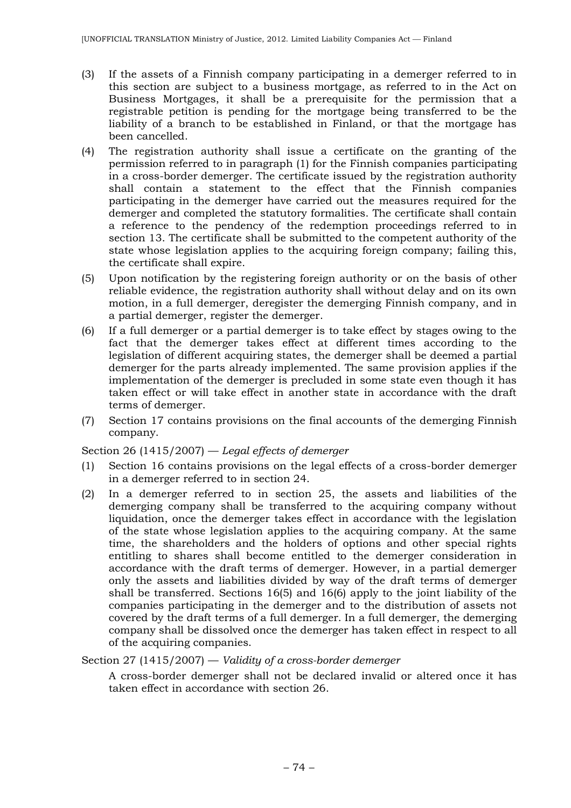- (3) If the assets of a Finnish company participating in a demerger referred to in this section are subject to a business mortgage, as referred to in the Act on Business Mortgages, it shall be a prerequisite for the permission that a registrable petition is pending for the mortgage being transferred to be the liability of a branch to be established in Finland, or that the mortgage has been cancelled.
- (4) The registration authority shall issue a certificate on the granting of the permission referred to in paragraph (1) for the Finnish companies participating in a cross-border demerger. The certificate issued by the registration authority shall contain a statement to the effect that the Finnish companies participating in the demerger have carried out the measures required for the demerger and completed the statutory formalities. The certificate shall contain a reference to the pendency of the redemption proceedings referred to in section 13. The certificate shall be submitted to the competent authority of the state whose legislation applies to the acquiring foreign company; failing this, the certificate shall expire.
- (5) Upon notification by the registering foreign authority or on the basis of other reliable evidence, the registration authority shall without delay and on its own motion, in a full demerger, deregister the demerging Finnish company, and in a partial demerger, register the demerger.
- (6) If a full demerger or a partial demerger is to take effect by stages owing to the fact that the demerger takes effect at different times according to the legislation of different acquiring states, the demerger shall be deemed a partial demerger for the parts already implemented. The same provision applies if the implementation of the demerger is precluded in some state even though it has taken effect or will take effect in another state in accordance with the draft terms of demerger.
- (7) Section 17 contains provisions on the final accounts of the demerging Finnish company.

Section 26 (1415/2007) — *Legal effects of demerger*

- (1) Section 16 contains provisions on the legal effects of a cross-border demerger in a demerger referred to in section 24.
- (2) In a demerger referred to in section 25, the assets and liabilities of the demerging company shall be transferred to the acquiring company without liquidation, once the demerger takes effect in accordance with the legislation of the state whose legislation applies to the acquiring company. At the same time, the shareholders and the holders of options and other special rights entitling to shares shall become entitled to the demerger consideration in accordance with the draft terms of demerger. However, in a partial demerger only the assets and liabilities divided by way of the draft terms of demerger shall be transferred. Sections 16(5) and 16(6) apply to the joint liability of the companies participating in the demerger and to the distribution of assets not covered by the draft terms of a full demerger. In a full demerger, the demerging company shall be dissolved once the demerger has taken effect in respect to all of the acquiring companies.

### Section 27 (1415/2007) — *Validity of a cross-border demerger*

A cross-border demerger shall not be declared invalid or altered once it has taken effect in accordance with section 26.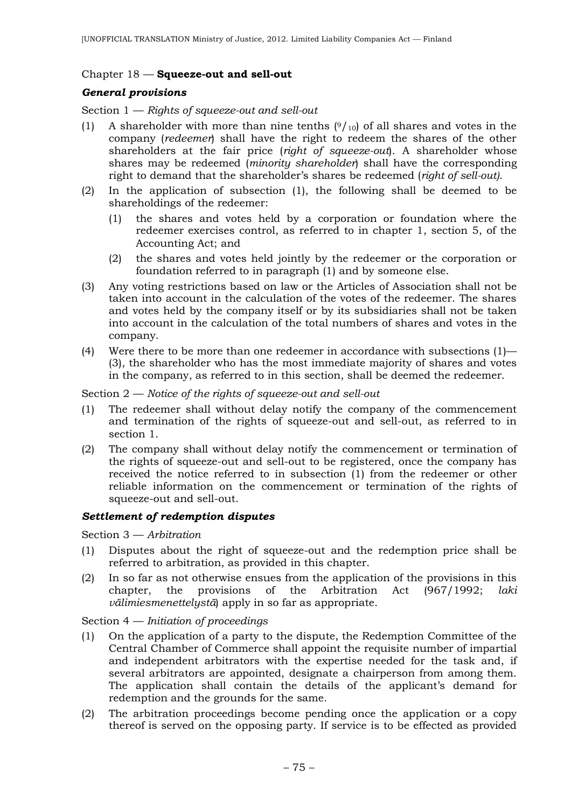### Chapter 18 — **Squeeze-out and sell-out**

### *General provisions*

Section 1 — *Rights of squeeze-out and sell-out*

- (1) A shareholder with more than nine tenths  $(9/10)$  of all shares and votes in the company (*redeemer*) shall have the right to redeem the shares of the other shareholders at the fair price (*right of squeeze-out*). A shareholder whose shares may be redeemed (*minority shareholder*) shall have the corresponding right to demand that the shareholder's shares be redeemed (*right of sell-out)*.
- (2) In the application of subsection (1), the following shall be deemed to be shareholdings of the redeemer:
	- (1) the shares and votes held by a corporation or foundation where the redeemer exercises control, as referred to in chapter 1, section 5, of the Accounting Act; and
	- (2) the shares and votes held jointly by the redeemer or the corporation or foundation referred to in paragraph (1) and by someone else.
- (3) Any voting restrictions based on law or the Articles of Association shall not be taken into account in the calculation of the votes of the redeemer. The shares and votes held by the company itself or by its subsidiaries shall not be taken into account in the calculation of the total numbers of shares and votes in the company.
- (4) Were there to be more than one redeemer in accordance with subsections (1)— (3), the shareholder who has the most immediate majority of shares and votes in the company, as referred to in this section, shall be deemed the redeemer.

### Section 2 — *Notice of the rights of squeeze-out and sell-out*

- (1) The redeemer shall without delay notify the company of the commencement and termination of the rights of squeeze-out and sell-out, as referred to in section 1.
- (2) The company shall without delay notify the commencement or termination of the rights of squeeze-out and sell-out to be registered, once the company has received the notice referred to in subsection (1) from the redeemer or other reliable information on the commencement or termination of the rights of squeeze-out and sell-out.

### *Settlement of redemption disputes*

Section 3 — *Arbitration*

- (1) Disputes about the right of squeeze-out and the redemption price shall be referred to arbitration, as provided in this chapter.
- (2) In so far as not otherwise ensues from the application of the provisions in this chapter, the provisions of the Arbitration Act (967/1992; *laki välimiesmenettelystä*) apply in so far as appropriate.

Section 4 — *Initiation of proceedings*

- (1) On the application of a party to the dispute, the Redemption Committee of the Central Chamber of Commerce shall appoint the requisite number of impartial and independent arbitrators with the expertise needed for the task and, if several arbitrators are appointed, designate a chairperson from among them. The application shall contain the details of the applicant's demand for redemption and the grounds for the same.
- (2) The arbitration proceedings become pending once the application or a copy thereof is served on the opposing party. If service is to be effected as provided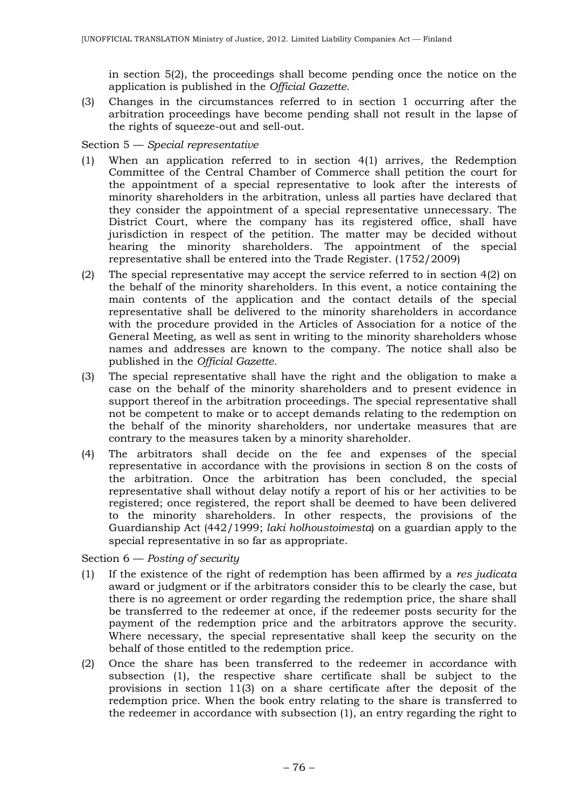in section 5(2), the proceedings shall become pending once the notice on the application is published in the *Official Gazette*.

(3) Changes in the circumstances referred to in section 1 occurring after the arbitration proceedings have become pending shall not result in the lapse of the rights of squeeze-out and sell-out.

Section 5 — *Special representative*

- (1) When an application referred to in section 4(1) arrives, the Redemption Committee of the Central Chamber of Commerce shall petition the court for the appointment of a special representative to look after the interests of minority shareholders in the arbitration, unless all parties have declared that they consider the appointment of a special representative unnecessary. The District Court, where the company has its registered office, shall have jurisdiction in respect of the petition. The matter may be decided without hearing the minority shareholders. The appointment of the special representative shall be entered into the Trade Register. (1752/2009)
- (2) The special representative may accept the service referred to in section 4(2) on the behalf of the minority shareholders. In this event, a notice containing the main contents of the application and the contact details of the special representative shall be delivered to the minority shareholders in accordance with the procedure provided in the Articles of Association for a notice of the General Meeting, as well as sent in writing to the minority shareholders whose names and addresses are known to the company. The notice shall also be published in the *Official Gazette*.
- (3) The special representative shall have the right and the obligation to make a case on the behalf of the minority shareholders and to present evidence in support thereof in the arbitration proceedings. The special representative shall not be competent to make or to accept demands relating to the redemption on the behalf of the minority shareholders, nor undertake measures that are contrary to the measures taken by a minority shareholder.
- (4) The arbitrators shall decide on the fee and expenses of the special representative in accordance with the provisions in section 8 on the costs of the arbitration. Once the arbitration has been concluded, the special representative shall without delay notify a report of his or her activities to be registered; once registered, the report shall be deemed to have been delivered to the minority shareholders. In other respects, the provisions of the Guardianship Act (442/1999; *laki holhoustoimesta*) on a guardian apply to the special representative in so far as appropriate.

Section 6 — *Posting of security*

- (1) If the existence of the right of redemption has been affirmed by a *res judicata* award or judgment or if the arbitrators consider this to be clearly the case, but there is no agreement or order regarding the redemption price, the share shall be transferred to the redeemer at once, if the redeemer posts security for the payment of the redemption price and the arbitrators approve the security. Where necessary, the special representative shall keep the security on the behalf of those entitled to the redemption price.
- (2) Once the share has been transferred to the redeemer in accordance with subsection (1), the respective share certificate shall be subject to the provisions in section 11(3) on a share certificate after the deposit of the redemption price. When the book entry relating to the share is transferred to the redeemer in accordance with subsection (1), an entry regarding the right to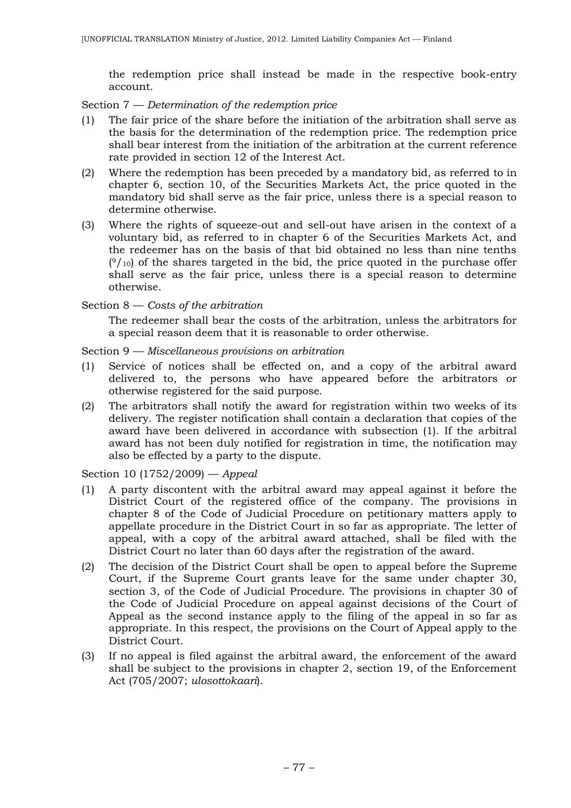the redemption price shall instead be made in the respective book-entry account.

Section 7 — *Determination of the redemption price*

- (1) The fair price of the share before the initiation of the arbitration shall serve as the basis for the determination of the redemption price. The redemption price shall bear interest from the initiation of the arbitration at the current reference rate provided in section 12 of the Interest Act.
- (2) Where the redemption has been preceded by a mandatory bid, as referred to in chapter 6, section 10, of the Securities Markets Act, the price quoted in the mandatory bid shall serve as the fair price, unless there is a special reason to determine otherwise.
- (3) Where the rights of squeeze-out and sell-out have arisen in the context of a voluntary bid, as referred to in chapter 6 of the Securities Markets Act, and the redeemer has on the basis of that bid obtained no less than nine tenths  $(9/10)$  of the shares targeted in the bid, the price quoted in the purchase offer shall serve as the fair price, unless there is a special reason to determine otherwise.

Section 8 — *Costs of the arbitration*

The redeemer shall bear the costs of the arbitration, unless the arbitrators for a special reason deem that it is reasonable to order otherwise.

Section 9 — *Miscellaneous provisions on arbitration*

- (1) Service of notices shall be effected on, and a copy of the arbitral award delivered to, the persons who have appeared before the arbitrators or otherwise registered for the said purpose.
- (2) The arbitrators shall notify the award for registration within two weeks of its delivery. The register notification shall contain a declaration that copies of the award have been delivered in accordance with subsection (1). If the arbitral award has not been duly notified for registration in time, the notification may also be effected by a party to the dispute.

Section 10 (1752/2009) — *Appeal*

- (1) A party discontent with the arbitral award may appeal against it before the District Court of the registered office of the company. The provisions in chapter 8 of the Code of Judicial Procedure on petitionary matters apply to appellate procedure in the District Court in so far as appropriate. The letter of appeal, with a copy of the arbitral award attached, shall be filed with the District Court no later than 60 days after the registration of the award.
- (2) The decision of the District Court shall be open to appeal before the Supreme Court, if the Supreme Court grants leave for the same under chapter 30, section 3, of the Code of Judicial Procedure. The provisions in chapter 30 of the Code of Judicial Procedure on appeal against decisions of the Court of Appeal as the second instance apply to the filing of the appeal in so far as appropriate. In this respect, the provisions on the Court of Appeal apply to the District Court.
- (3) If no appeal is filed against the arbitral award, the enforcement of the award shall be subject to the provisions in chapter 2, section 19, of the Enforcement Act (705/2007; *ulosottokaari*).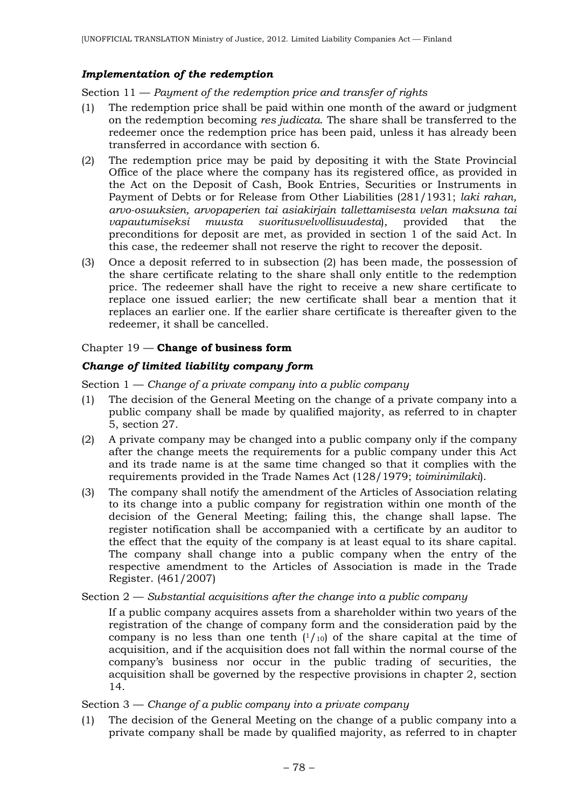## *Implementation of the redemption*

Section 11 — *Payment of the redemption price and transfer of rights*

- (1) The redemption price shall be paid within one month of the award or judgment on the redemption becoming *res judicata*. The share shall be transferred to the redeemer once the redemption price has been paid, unless it has already been transferred in accordance with section 6.
- (2) The redemption price may be paid by depositing it with the State Provincial Office of the place where the company has its registered office, as provided in the Act on the Deposit of Cash, Book Entries, Securities or Instruments in Payment of Debts or for Release from Other Liabilities (281/1931; *laki rahan, arvo-osuuksien, arvopaperien tai asiakirjain tallettamisesta velan maksuna tai vapautumiseksi muusta suoritusvelvollisuudesta*), provided that the preconditions for deposit are met, as provided in section 1 of the said Act. In this case, the redeemer shall not reserve the right to recover the deposit.
- (3) Once a deposit referred to in subsection (2) has been made, the possession of the share certificate relating to the share shall only entitle to the redemption price. The redeemer shall have the right to receive a new share certificate to replace one issued earlier; the new certificate shall bear a mention that it replaces an earlier one. If the earlier share certificate is thereafter given to the redeemer, it shall be cancelled.

## Chapter 19 — **Change of business form**

## *Change of limited liability company form*

Section 1 — *Change of a private company into a public company*

- (1) The decision of the General Meeting on the change of a private company into a public company shall be made by qualified majority, as referred to in chapter 5, section 27.
- (2) A private company may be changed into a public company only if the company after the change meets the requirements for a public company under this Act and its trade name is at the same time changed so that it complies with the requirements provided in the Trade Names Act (128/1979; *toiminimilaki*).
- (3) The company shall notify the amendment of the Articles of Association relating to its change into a public company for registration within one month of the decision of the General Meeting; failing this, the change shall lapse. The register notification shall be accompanied with a certificate by an auditor to the effect that the equity of the company is at least equal to its share capital. The company shall change into a public company when the entry of the respective amendment to the Articles of Association is made in the Trade Register. (461/2007)

### Section 2 — *Substantial acquisitions after the change into a public company*

If a public company acquires assets from a shareholder within two years of the registration of the change of company form and the consideration paid by the company is no less than one tenth  $(1/10)$  of the share capital at the time of acquisition, and if the acquisition does not fall within the normal course of the company's business nor occur in the public trading of securities, the acquisition shall be governed by the respective provisions in chapter 2, section 14.

### Section 3 — *Change of a public company into a private company*

(1) The decision of the General Meeting on the change of a public company into a private company shall be made by qualified majority, as referred to in chapter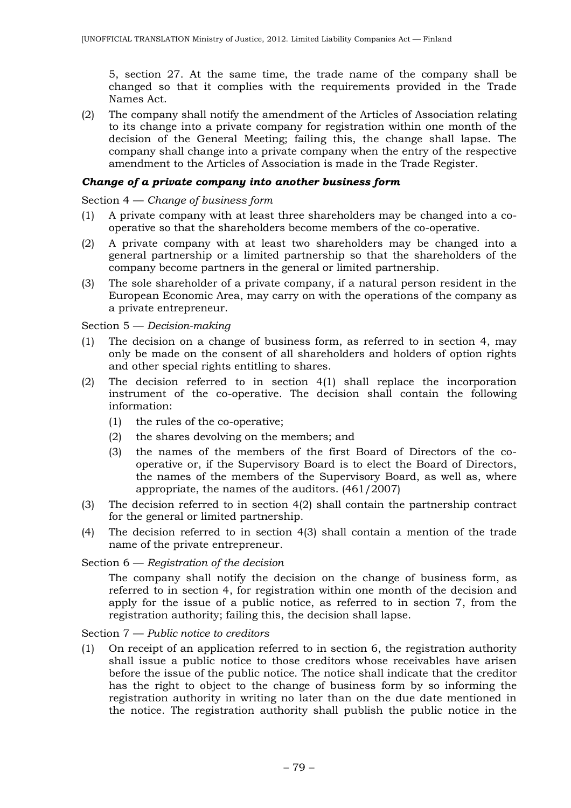5, section 27. At the same time, the trade name of the company shall be changed so that it complies with the requirements provided in the Trade Names Act.

(2) The company shall notify the amendment of the Articles of Association relating to its change into a private company for registration within one month of the decision of the General Meeting; failing this, the change shall lapse. The company shall change into a private company when the entry of the respective amendment to the Articles of Association is made in the Trade Register.

#### *Change of a private company into another business form*

#### Section 4 — *Change of business form*

- (1) A private company with at least three shareholders may be changed into a cooperative so that the shareholders become members of the co-operative.
- (2) A private company with at least two shareholders may be changed into a general partnership or a limited partnership so that the shareholders of the company become partners in the general or limited partnership.
- (3) The sole shareholder of a private company, if a natural person resident in the European Economic Area, may carry on with the operations of the company as a private entrepreneur.

Section 5 — *Decision-making*

- (1) The decision on a change of business form, as referred to in section 4, may only be made on the consent of all shareholders and holders of option rights and other special rights entitling to shares.
- (2) The decision referred to in section 4(1) shall replace the incorporation instrument of the co-operative. The decision shall contain the following information:
	- (1) the rules of the co-operative;
	- (2) the shares devolving on the members; and
	- (3) the names of the members of the first Board of Directors of the cooperative or, if the Supervisory Board is to elect the Board of Directors, the names of the members of the Supervisory Board, as well as, where appropriate, the names of the auditors. (461/2007)
- (3) The decision referred to in section 4(2) shall contain the partnership contract for the general or limited partnership.
- (4) The decision referred to in section 4(3) shall contain a mention of the trade name of the private entrepreneur.

### Section 6 — *Registration of the decision*

The company shall notify the decision on the change of business form, as referred to in section 4, for registration within one month of the decision and apply for the issue of a public notice, as referred to in section 7, from the registration authority; failing this, the decision shall lapse.

Section 7 — *Public notice to creditors*

(1) On receipt of an application referred to in section 6, the registration authority shall issue a public notice to those creditors whose receivables have arisen before the issue of the public notice. The notice shall indicate that the creditor has the right to object to the change of business form by so informing the registration authority in writing no later than on the due date mentioned in the notice. The registration authority shall publish the public notice in the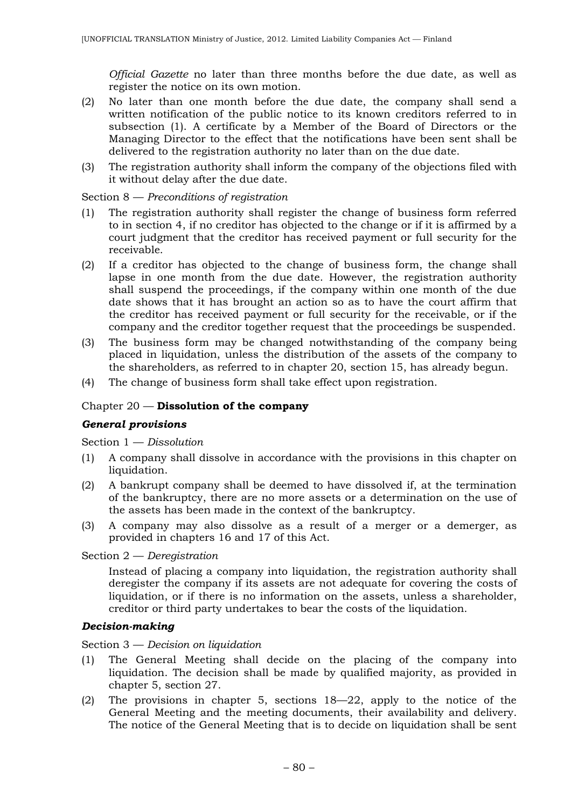*Official Gazette* no later than three months before the due date, as well as register the notice on its own motion.

- (2) No later than one month before the due date, the company shall send a written notification of the public notice to its known creditors referred to in subsection (1). A certificate by a Member of the Board of Directors or the Managing Director to the effect that the notifications have been sent shall be delivered to the registration authority no later than on the due date.
- (3) The registration authority shall inform the company of the objections filed with it without delay after the due date.

Section 8 — *Preconditions of registration*

- (1) The registration authority shall register the change of business form referred to in section 4, if no creditor has objected to the change or if it is affirmed by a court judgment that the creditor has received payment or full security for the receivable.
- (2) If a creditor has objected to the change of business form, the change shall lapse in one month from the due date. However, the registration authority shall suspend the proceedings, if the company within one month of the due date shows that it has brought an action so as to have the court affirm that the creditor has received payment or full security for the receivable, or if the company and the creditor together request that the proceedings be suspended.
- (3) The business form may be changed notwithstanding of the company being placed in liquidation, unless the distribution of the assets of the company to the shareholders, as referred to in chapter 20, section 15, has already begun.
- (4) The change of business form shall take effect upon registration.

### Chapter 20 — **Dissolution of the company**

### *General provisions*

Section 1 — *Dissolution*

- (1) A company shall dissolve in accordance with the provisions in this chapter on liquidation.
- (2) A bankrupt company shall be deemed to have dissolved if, at the termination of the bankruptcy, there are no more assets or a determination on the use of the assets has been made in the context of the bankruptcy.
- (3) A company may also dissolve as a result of a merger or a demerger, as provided in chapters 16 and 17 of this Act.

Section 2 — *Deregistration*

Instead of placing a company into liquidation, the registration authority shall deregister the company if its assets are not adequate for covering the costs of liquidation, or if there is no information on the assets, unless a shareholder, creditor or third party undertakes to bear the costs of the liquidation.

### *Decision-making*

Section 3 — *Decision on liquidation*

- (1) The General Meeting shall decide on the placing of the company into liquidation. The decision shall be made by qualified majority, as provided in chapter 5, section 27.
- (2) The provisions in chapter 5, sections 18—22, apply to the notice of the General Meeting and the meeting documents, their availability and delivery. The notice of the General Meeting that is to decide on liquidation shall be sent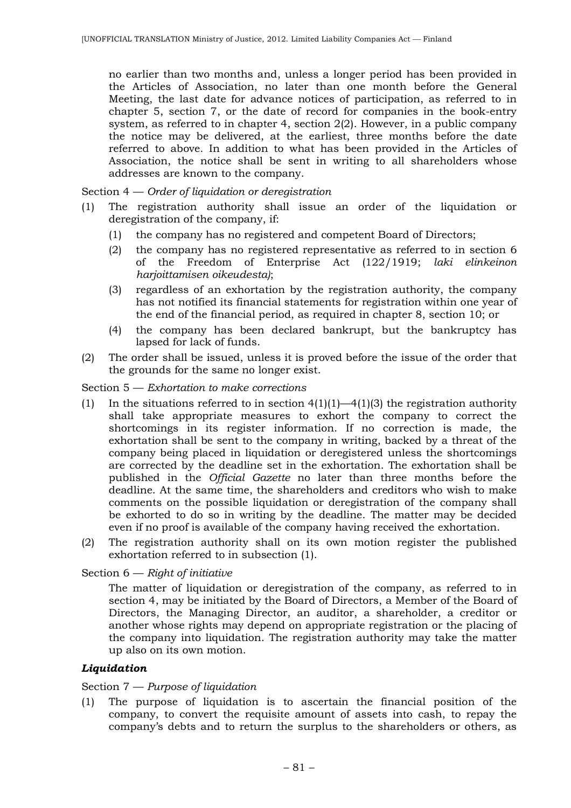no earlier than two months and, unless a longer period has been provided in the Articles of Association, no later than one month before the General Meeting, the last date for advance notices of participation, as referred to in chapter 5, section 7, or the date of record for companies in the book-entry system, as referred to in chapter 4, section 2(2). However, in a public company the notice may be delivered, at the earliest, three months before the date referred to above. In addition to what has been provided in the Articles of Association, the notice shall be sent in writing to all shareholders whose addresses are known to the company.

Section 4 — *Order of liquidation or deregistration*

- (1) The registration authority shall issue an order of the liquidation or deregistration of the company, if:
	- (1) the company has no registered and competent Board of Directors;
	- (2) the company has no registered representative as referred to in section 6 of the Freedom of Enterprise Act (122/1919; *laki elinkeinon harjoittamisen oikeudesta)*;
	- (3) regardless of an exhortation by the registration authority, the company has not notified its financial statements for registration within one year of the end of the financial period, as required in chapter 8, section 10; or
	- (4) the company has been declared bankrupt, but the bankruptcy has lapsed for lack of funds.
- (2) The order shall be issued, unless it is proved before the issue of the order that the grounds for the same no longer exist.

#### Section 5 — *Exhortation to make corrections*

- (1) In the situations referred to in section  $4(1)(1)$ — $4(1)(3)$  the registration authority shall take appropriate measures to exhort the company to correct the shortcomings in its register information. If no correction is made, the exhortation shall be sent to the company in writing, backed by a threat of the company being placed in liquidation or deregistered unless the shortcomings are corrected by the deadline set in the exhortation. The exhortation shall be published in the *Official Gazette* no later than three months before the deadline. At the same time, the shareholders and creditors who wish to make comments on the possible liquidation or deregistration of the company shall be exhorted to do so in writing by the deadline. The matter may be decided even if no proof is available of the company having received the exhortation.
- (2) The registration authority shall on its own motion register the published exhortation referred to in subsection (1).

Section 6 — *Right of initiative*

The matter of liquidation or deregistration of the company, as referred to in section 4, may be initiated by the Board of Directors, a Member of the Board of Directors, the Managing Director, an auditor, a shareholder, a creditor or another whose rights may depend on appropriate registration or the placing of the company into liquidation. The registration authority may take the matter up also on its own motion.

### *Liquidation*

#### Section 7 — *Purpose of liquidation*

(1) The purpose of liquidation is to ascertain the financial position of the company, to convert the requisite amount of assets into cash, to repay the company's debts and to return the surplus to the shareholders or others, as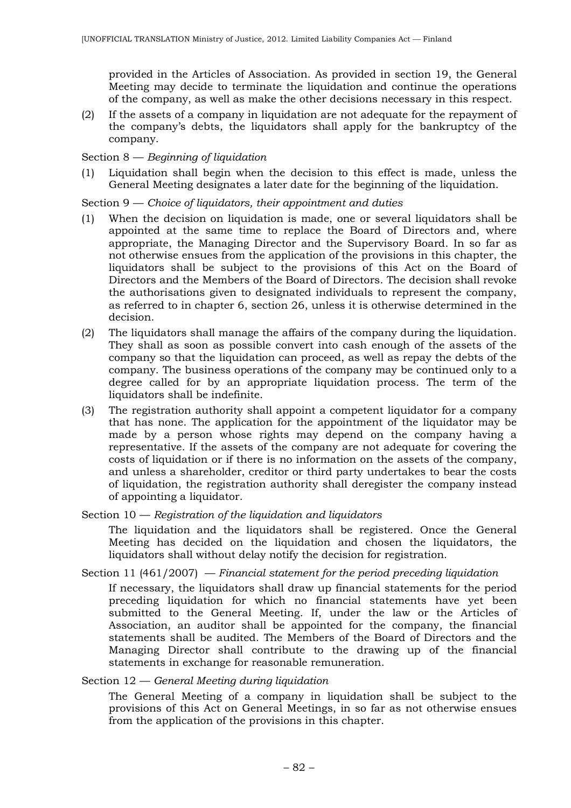provided in the Articles of Association. As provided in section 19, the General Meeting may decide to terminate the liquidation and continue the operations of the company, as well as make the other decisions necessary in this respect.

(2) If the assets of a company in liquidation are not adequate for the repayment of the company's debts, the liquidators shall apply for the bankruptcy of the company.

### Section 8 — *Beginning of liquidation*

(1) Liquidation shall begin when the decision to this effect is made, unless the General Meeting designates a later date for the beginning of the liquidation.

#### Section 9 — *Choice of liquidators, their appointment and duties*

- (1) When the decision on liquidation is made, one or several liquidators shall be appointed at the same time to replace the Board of Directors and, where appropriate, the Managing Director and the Supervisory Board. In so far as not otherwise ensues from the application of the provisions in this chapter, the liquidators shall be subject to the provisions of this Act on the Board of Directors and the Members of the Board of Directors. The decision shall revoke the authorisations given to designated individuals to represent the company, as referred to in chapter 6, section 26, unless it is otherwise determined in the decision.
- (2) The liquidators shall manage the affairs of the company during the liquidation. They shall as soon as possible convert into cash enough of the assets of the company so that the liquidation can proceed, as well as repay the debts of the company. The business operations of the company may be continued only to a degree called for by an appropriate liquidation process. The term of the liquidators shall be indefinite.
- (3) The registration authority shall appoint a competent liquidator for a company that has none. The application for the appointment of the liquidator may be made by a person whose rights may depend on the company having a representative. If the assets of the company are not adequate for covering the costs of liquidation or if there is no information on the assets of the company, and unless a shareholder, creditor or third party undertakes to bear the costs of liquidation, the registration authority shall deregister the company instead of appointing a liquidator.
- Section 10 *Registration of the liquidation and liquidators*

The liquidation and the liquidators shall be registered. Once the General Meeting has decided on the liquidation and chosen the liquidators, the liquidators shall without delay notify the decision for registration.

Section 11 (461/2007) — *Financial statement for the period preceding liquidation*

If necessary, the liquidators shall draw up financial statements for the period preceding liquidation for which no financial statements have yet been submitted to the General Meeting. If, under the law or the Articles of Association, an auditor shall be appointed for the company, the financial statements shall be audited. The Members of the Board of Directors and the Managing Director shall contribute to the drawing up of the financial statements in exchange for reasonable remuneration.

#### Section 12 — *General Meeting during liquidation*

The General Meeting of a company in liquidation shall be subject to the provisions of this Act on General Meetings, in so far as not otherwise ensues from the application of the provisions in this chapter.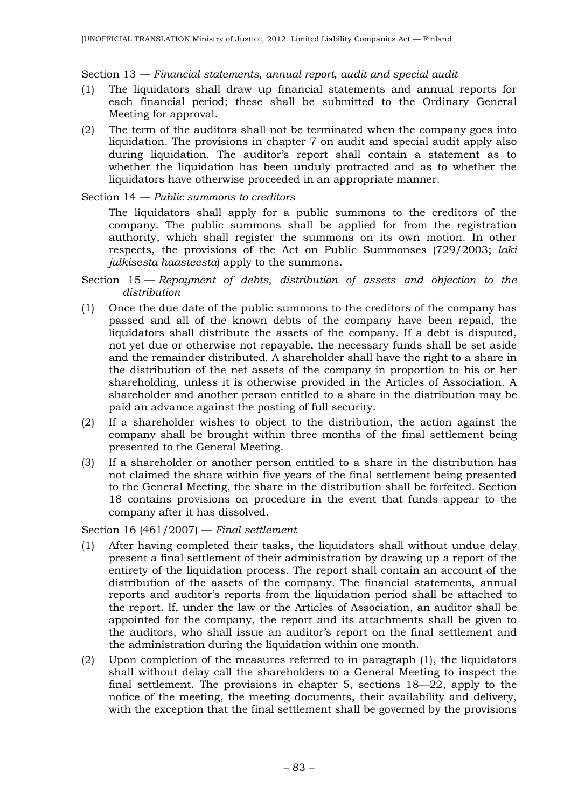### Section 13 — *Financial statements, annual report, audit and special audit*

- (1) The liquidators shall draw up financial statements and annual reports for each financial period; these shall be submitted to the Ordinary General Meeting for approval.
- (2) The term of the auditors shall not be terminated when the company goes into liquidation. The provisions in chapter 7 on audit and special audit apply also during liquidation. The auditor's report shall contain a statement as to whether the liquidation has been unduly protracted and as to whether the liquidators have otherwise proceeded in an appropriate manner.

#### Section 14 — *Public summons to creditors*

The liquidators shall apply for a public summons to the creditors of the company. The public summons shall be applied for from the registration authority, which shall register the summons on its own motion. In other respects, the provisions of the Act on Public Summonses (729/2003; *laki julkisesta haasteesta*) apply to the summons.

- Section 15 *Repayment of debts, distribution of assets and objection to the distribution*
- (1) Once the due date of the public summons to the creditors of the company has passed and all of the known debts of the company have been repaid, the liquidators shall distribute the assets of the company. If a debt is disputed, not yet due or otherwise not repayable, the necessary funds shall be set aside and the remainder distributed. A shareholder shall have the right to a share in the distribution of the net assets of the company in proportion to his or her shareholding, unless it is otherwise provided in the Articles of Association. A shareholder and another person entitled to a share in the distribution may be paid an advance against the posting of full security.
- (2) If a shareholder wishes to object to the distribution, the action against the company shall be brought within three months of the final settlement being presented to the General Meeting.
- (3) If a shareholder or another person entitled to a share in the distribution has not claimed the share within five years of the final settlement being presented to the General Meeting, the share in the distribution shall be forfeited. Section 18 contains provisions on procedure in the event that funds appear to the company after it has dissolved.

Section 16 (461/2007) — *Final settlement*

- (1) After having completed their tasks, the liquidators shall without undue delay present a final settlement of their administration by drawing up a report of the entirety of the liquidation process. The report shall contain an account of the distribution of the assets of the company. The financial statements, annual reports and auditor's reports from the liquidation period shall be attached to the report. If, under the law or the Articles of Association, an auditor shall be appointed for the company, the report and its attachments shall be given to the auditors, who shall issue an auditor's report on the final settlement and the administration during the liquidation within one month.
- (2) Upon completion of the measures referred to in paragraph (1), the liquidators shall without delay call the shareholders to a General Meeting to inspect the final settlement. The provisions in chapter 5, sections 18—22, apply to the notice of the meeting, the meeting documents, their availability and delivery, with the exception that the final settlement shall be governed by the provisions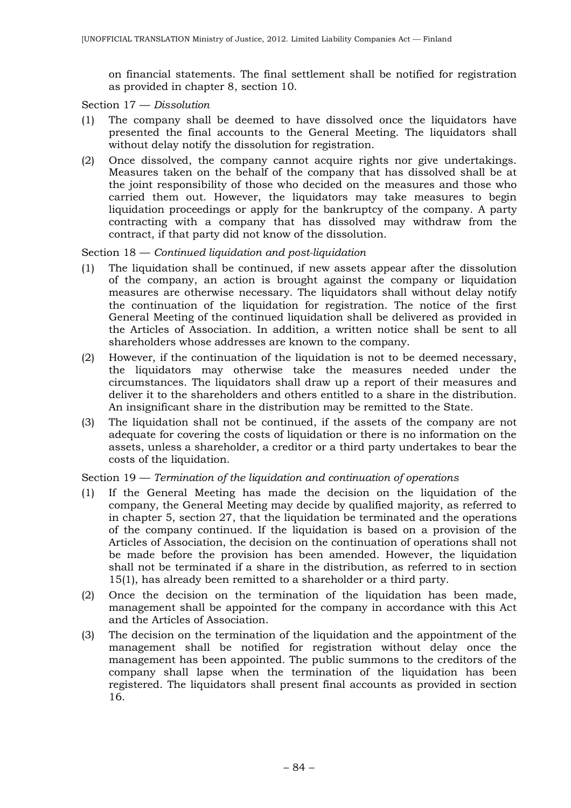on financial statements. The final settlement shall be notified for registration as provided in chapter 8, section 10.

Section 17 — *Dissolution*

- (1) The company shall be deemed to have dissolved once the liquidators have presented the final accounts to the General Meeting. The liquidators shall without delay notify the dissolution for registration.
- (2) Once dissolved, the company cannot acquire rights nor give undertakings. Measures taken on the behalf of the company that has dissolved shall be at the joint responsibility of those who decided on the measures and those who carried them out. However, the liquidators may take measures to begin liquidation proceedings or apply for the bankruptcy of the company. A party contracting with a company that has dissolved may withdraw from the contract, if that party did not know of the dissolution.

### Section 18 — *Continued liquidation and post-liquidation*

- (1) The liquidation shall be continued, if new assets appear after the dissolution of the company, an action is brought against the company or liquidation measures are otherwise necessary. The liquidators shall without delay notify the continuation of the liquidation for registration. The notice of the first General Meeting of the continued liquidation shall be delivered as provided in the Articles of Association. In addition, a written notice shall be sent to all shareholders whose addresses are known to the company.
- (2) However, if the continuation of the liquidation is not to be deemed necessary, the liquidators may otherwise take the measures needed under the circumstances. The liquidators shall draw up a report of their measures and deliver it to the shareholders and others entitled to a share in the distribution. An insignificant share in the distribution may be remitted to the State.
- (3) The liquidation shall not be continued, if the assets of the company are not adequate for covering the costs of liquidation or there is no information on the assets, unless a shareholder, a creditor or a third party undertakes to bear the costs of the liquidation.

### Section 19 — *Termination of the liquidation and continuation of operations*

- (1) If the General Meeting has made the decision on the liquidation of the company, the General Meeting may decide by qualified majority, as referred to in chapter 5, section 27, that the liquidation be terminated and the operations of the company continued. If the liquidation is based on a provision of the Articles of Association, the decision on the continuation of operations shall not be made before the provision has been amended. However, the liquidation shall not be terminated if a share in the distribution, as referred to in section 15(1), has already been remitted to a shareholder or a third party.
- (2) Once the decision on the termination of the liquidation has been made, management shall be appointed for the company in accordance with this Act and the Articles of Association.
- (3) The decision on the termination of the liquidation and the appointment of the management shall be notified for registration without delay once the management has been appointed. The public summons to the creditors of the company shall lapse when the termination of the liquidation has been registered. The liquidators shall present final accounts as provided in section 16.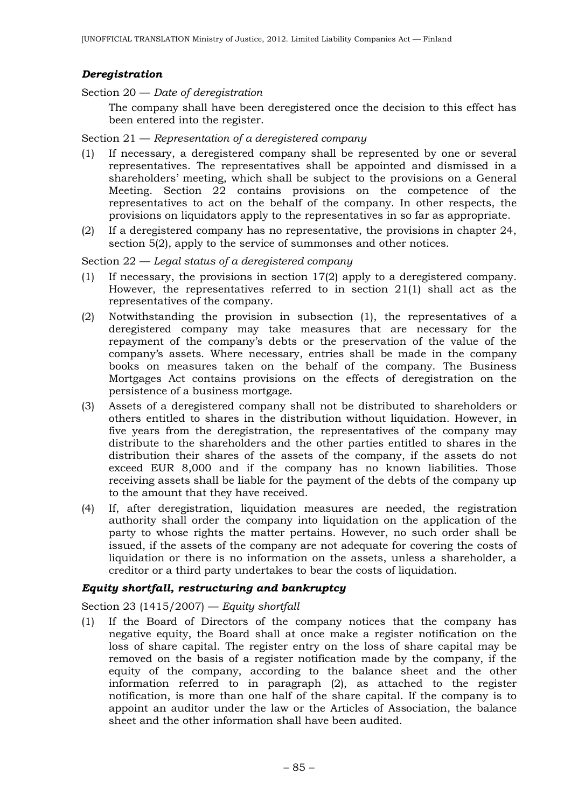### *Deregistration*

Section 20 — *Date of deregistration*

The company shall have been deregistered once the decision to this effect has been entered into the register.

#### Section 21 — *Representation of a deregistered company*

- (1) If necessary, a deregistered company shall be represented by one or several representatives. The representatives shall be appointed and dismissed in a shareholders' meeting, which shall be subject to the provisions on a General Meeting. Section 22 contains provisions on the competence of the representatives to act on the behalf of the company. In other respects, the provisions on liquidators apply to the representatives in so far as appropriate.
- (2) If a deregistered company has no representative, the provisions in chapter 24, section 5(2), apply to the service of summonses and other notices.

#### Section 22 — *Legal status of a deregistered company*

- (1) If necessary, the provisions in section 17(2) apply to a deregistered company. However, the representatives referred to in section 21(1) shall act as the representatives of the company.
- (2) Notwithstanding the provision in subsection (1), the representatives of a deregistered company may take measures that are necessary for the repayment of the company's debts or the preservation of the value of the company's assets. Where necessary, entries shall be made in the company books on measures taken on the behalf of the company. The Business Mortgages Act contains provisions on the effects of deregistration on the persistence of a business mortgage.
- (3) Assets of a deregistered company shall not be distributed to shareholders or others entitled to shares in the distribution without liquidation. However, in five years from the deregistration, the representatives of the company may distribute to the shareholders and the other parties entitled to shares in the distribution their shares of the assets of the company, if the assets do not exceed EUR 8,000 and if the company has no known liabilities. Those receiving assets shall be liable for the payment of the debts of the company up to the amount that they have received.
- (4) If, after deregistration, liquidation measures are needed, the registration authority shall order the company into liquidation on the application of the party to whose rights the matter pertains. However, no such order shall be issued, if the assets of the company are not adequate for covering the costs of liquidation or there is no information on the assets, unless a shareholder, a creditor or a third party undertakes to bear the costs of liquidation.

### *Equity shortfall, restructuring and bankruptcy*

### Section 23 (1415/2007) — *Equity shortfall*

(1) If the Board of Directors of the company notices that the company has negative equity, the Board shall at once make a register notification on the loss of share capital. The register entry on the loss of share capital may be removed on the basis of a register notification made by the company, if the equity of the company, according to the balance sheet and the other information referred to in paragraph (2), as attached to the register notification, is more than one half of the share capital. If the company is to appoint an auditor under the law or the Articles of Association, the balance sheet and the other information shall have been audited.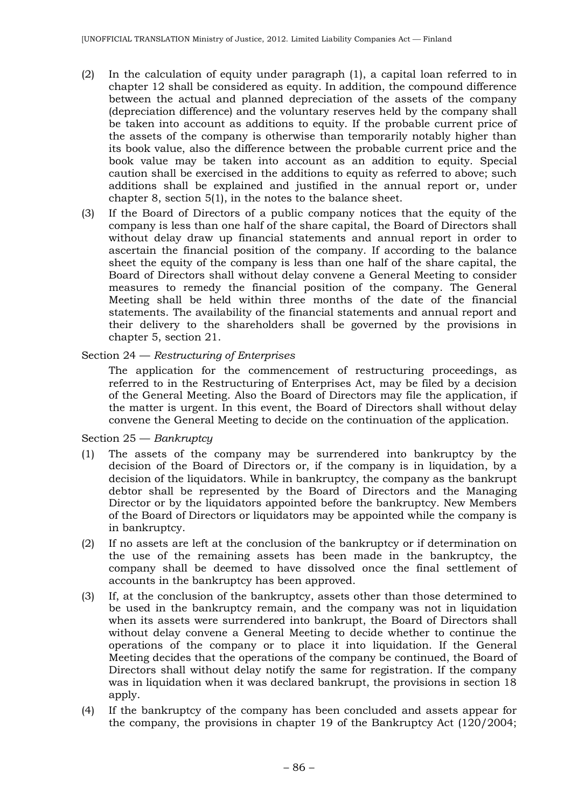- (2) In the calculation of equity under paragraph (1), a capital loan referred to in chapter 12 shall be considered as equity. In addition, the compound difference between the actual and planned depreciation of the assets of the company (depreciation difference) and the voluntary reserves held by the company shall be taken into account as additions to equity. If the probable current price of the assets of the company is otherwise than temporarily notably higher than its book value, also the difference between the probable current price and the book value may be taken into account as an addition to equity. Special caution shall be exercised in the additions to equity as referred to above; such additions shall be explained and justified in the annual report or, under chapter 8, section 5(1), in the notes to the balance sheet.
- (3) If the Board of Directors of a public company notices that the equity of the company is less than one half of the share capital, the Board of Directors shall without delay draw up financial statements and annual report in order to ascertain the financial position of the company. If according to the balance sheet the equity of the company is less than one half of the share capital, the Board of Directors shall without delay convene a General Meeting to consider measures to remedy the financial position of the company. The General Meeting shall be held within three months of the date of the financial statements. The availability of the financial statements and annual report and their delivery to the shareholders shall be governed by the provisions in chapter 5, section 21.

#### Section 24 — *Restructuring of Enterprises*

The application for the commencement of restructuring proceedings, as referred to in the Restructuring of Enterprises Act, may be filed by a decision of the General Meeting. Also the Board of Directors may file the application, if the matter is urgent. In this event, the Board of Directors shall without delay convene the General Meeting to decide on the continuation of the application.

#### Section 25 — *Bankruptcy*

- (1) The assets of the company may be surrendered into bankruptcy by the decision of the Board of Directors or, if the company is in liquidation, by a decision of the liquidators. While in bankruptcy, the company as the bankrupt debtor shall be represented by the Board of Directors and the Managing Director or by the liquidators appointed before the bankruptcy. New Members of the Board of Directors or liquidators may be appointed while the company is in bankruptcy.
- (2) If no assets are left at the conclusion of the bankruptcy or if determination on the use of the remaining assets has been made in the bankruptcy, the company shall be deemed to have dissolved once the final settlement of accounts in the bankruptcy has been approved.
- (3) If, at the conclusion of the bankruptcy, assets other than those determined to be used in the bankruptcy remain, and the company was not in liquidation when its assets were surrendered into bankrupt, the Board of Directors shall without delay convene a General Meeting to decide whether to continue the operations of the company or to place it into liquidation. If the General Meeting decides that the operations of the company be continued, the Board of Directors shall without delay notify the same for registration. If the company was in liquidation when it was declared bankrupt, the provisions in section 18 apply.
- (4) If the bankruptcy of the company has been concluded and assets appear for the company, the provisions in chapter 19 of the Bankruptcy Act (120/2004;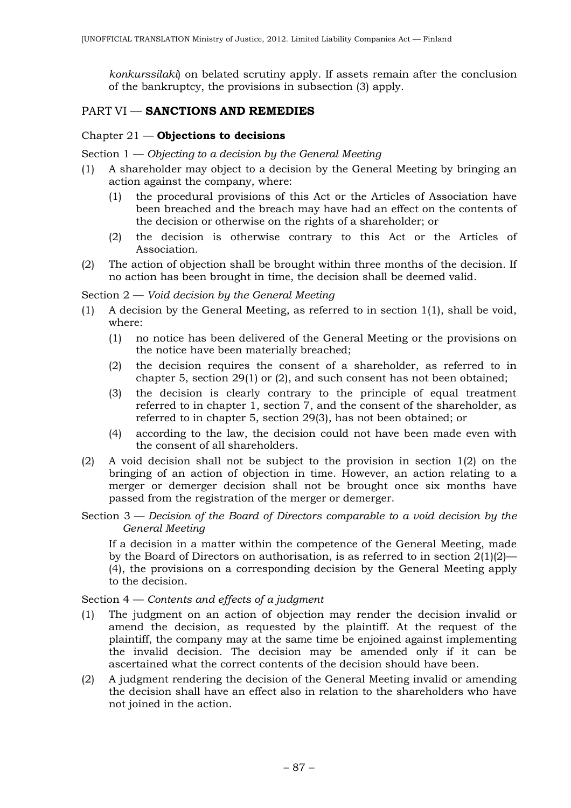*konkurssilaki*) on belated scrutiny apply. If assets remain after the conclusion of the bankruptcy, the provisions in subsection (3) apply.

# PART VI — **SANCTIONS AND REMEDIES**

### Chapter 21 — **Objections to decisions**

Section 1 — *Objecting to a decision by the General Meeting*

- (1) A shareholder may object to a decision by the General Meeting by bringing an action against the company, where:
	- (1) the procedural provisions of this Act or the Articles of Association have been breached and the breach may have had an effect on the contents of the decision or otherwise on the rights of a shareholder; or
	- (2) the decision is otherwise contrary to this Act or the Articles of Association.
- (2) The action of objection shall be brought within three months of the decision. If no action has been brought in time, the decision shall be deemed valid.

Section 2 — *Void decision by the General Meeting*

- (1) A decision by the General Meeting, as referred to in section 1(1), shall be void, where:
	- (1) no notice has been delivered of the General Meeting or the provisions on the notice have been materially breached;
	- (2) the decision requires the consent of a shareholder, as referred to in chapter 5, section 29(1) or (2), and such consent has not been obtained;
	- (3) the decision is clearly contrary to the principle of equal treatment referred to in chapter 1, section 7, and the consent of the shareholder, as referred to in chapter 5, section 29(3), has not been obtained; or
	- (4) according to the law, the decision could not have been made even with the consent of all shareholders.
- (2) A void decision shall not be subject to the provision in section 1(2) on the bringing of an action of objection in time. However, an action relating to a merger or demerger decision shall not be brought once six months have passed from the registration of the merger or demerger.
- Section 3 *Decision of the Board of Directors comparable to a void decision by the General Meeting*

If a decision in a matter within the competence of the General Meeting, made by the Board of Directors on authorisation, is as referred to in section 2(1)(2)— (4), the provisions on a corresponding decision by the General Meeting apply to the decision.

### Section 4 — *Contents and effects of a judgment*

- (1) The judgment on an action of objection may render the decision invalid or amend the decision, as requested by the plaintiff. At the request of the plaintiff, the company may at the same time be enjoined against implementing the invalid decision. The decision may be amended only if it can be ascertained what the correct contents of the decision should have been.
- (2) A judgment rendering the decision of the General Meeting invalid or amending the decision shall have an effect also in relation to the shareholders who have not joined in the action.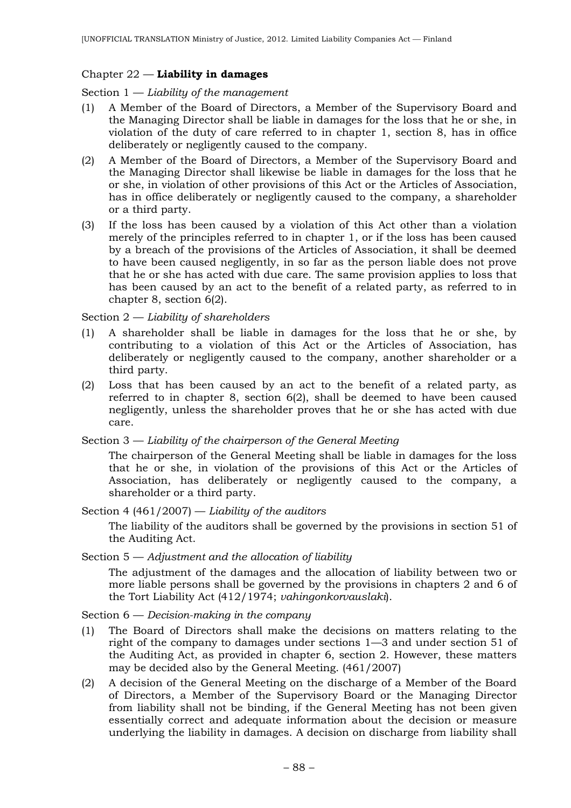### Chapter 22 — **Liability in damages**

Section 1 — *Liability of the management*

- (1) A Member of the Board of Directors, a Member of the Supervisory Board and the Managing Director shall be liable in damages for the loss that he or she, in violation of the duty of care referred to in chapter 1, section 8, has in office deliberately or negligently caused to the company.
- (2) A Member of the Board of Directors, a Member of the Supervisory Board and the Managing Director shall likewise be liable in damages for the loss that he or she, in violation of other provisions of this Act or the Articles of Association, has in office deliberately or negligently caused to the company, a shareholder or a third party.
- (3) If the loss has been caused by a violation of this Act other than a violation merely of the principles referred to in chapter 1, or if the loss has been caused by a breach of the provisions of the Articles of Association, it shall be deemed to have been caused negligently, in so far as the person liable does not prove that he or she has acted with due care. The same provision applies to loss that has been caused by an act to the benefit of a related party, as referred to in chapter 8, section 6(2).

## Section 2 — *Liability of shareholders*

- (1) A shareholder shall be liable in damages for the loss that he or she, by contributing to a violation of this Act or the Articles of Association, has deliberately or negligently caused to the company, another shareholder or a third party.
- (2) Loss that has been caused by an act to the benefit of a related party, as referred to in chapter 8, section 6(2), shall be deemed to have been caused negligently, unless the shareholder proves that he or she has acted with due care.

Section 3 — *Liability of the chairperson of the General Meeting*

The chairperson of the General Meeting shall be liable in damages for the loss that he or she, in violation of the provisions of this Act or the Articles of Association, has deliberately or negligently caused to the company, a shareholder or a third party.

Section 4 (461/2007) — *Liability of the auditors*

The liability of the auditors shall be governed by the provisions in section 51 of the Auditing Act.

Section 5 — *Adjustment and the allocation of liability*

The adjustment of the damages and the allocation of liability between two or more liable persons shall be governed by the provisions in chapters 2 and 6 of the Tort Liability Act (412/1974; *vahingonkorvauslaki*).

### Section 6 — *Decision-making in the company*

- (1) The Board of Directors shall make the decisions on matters relating to the right of the company to damages under sections 1—3 and under section 51 of the Auditing Act, as provided in chapter 6, section 2. However, these matters may be decided also by the General Meeting. (461/2007)
- (2) A decision of the General Meeting on the discharge of a Member of the Board of Directors, a Member of the Supervisory Board or the Managing Director from liability shall not be binding, if the General Meeting has not been given essentially correct and adequate information about the decision or measure underlying the liability in damages. A decision on discharge from liability shall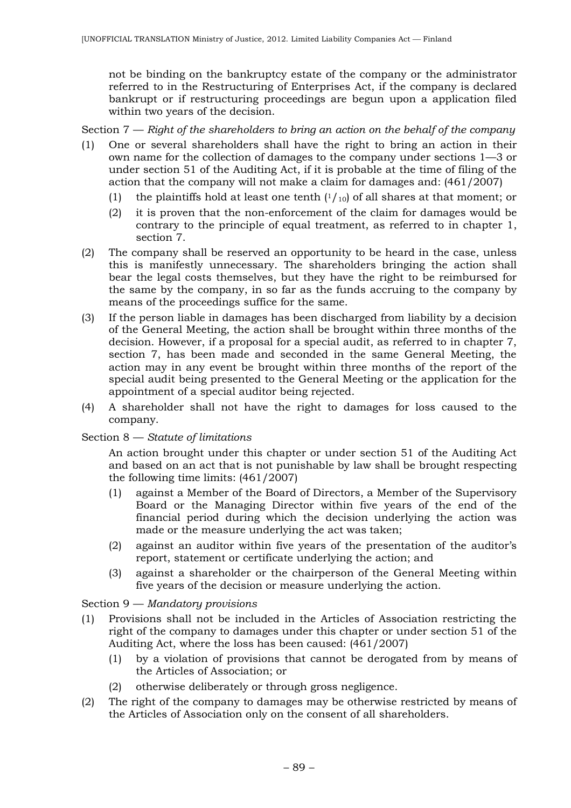not be binding on the bankruptcy estate of the company or the administrator referred to in the Restructuring of Enterprises Act, if the company is declared bankrupt or if restructuring proceedings are begun upon a application filed within two years of the decision.

Section 7 — *Right of the shareholders to bring an action on the behalf of the company*

- (1) One or several shareholders shall have the right to bring an action in their own name for the collection of damages to the company under sections 1—3 or under section 51 of the Auditing Act, if it is probable at the time of filing of the action that the company will not make a claim for damages and: (461/2007)
	- (1) the plaintiffs hold at least one tenth  $(1/10)$  of all shares at that moment; or
	- (2) it is proven that the non-enforcement of the claim for damages would be contrary to the principle of equal treatment, as referred to in chapter 1, section 7.
- (2) The company shall be reserved an opportunity to be heard in the case, unless this is manifestly unnecessary. The shareholders bringing the action shall bear the legal costs themselves, but they have the right to be reimbursed for the same by the company, in so far as the funds accruing to the company by means of the proceedings suffice for the same.
- (3) If the person liable in damages has been discharged from liability by a decision of the General Meeting, the action shall be brought within three months of the decision. However, if a proposal for a special audit, as referred to in chapter 7, section 7, has been made and seconded in the same General Meeting, the action may in any event be brought within three months of the report of the special audit being presented to the General Meeting or the application for the appointment of a special auditor being rejected.
- (4) A shareholder shall not have the right to damages for loss caused to the company.

### Section 8 — *Statute of limitations*

An action brought under this chapter or under section 51 of the Auditing Act and based on an act that is not punishable by law shall be brought respecting the following time limits: (461/2007)

- (1) against a Member of the Board of Directors, a Member of the Supervisory Board or the Managing Director within five years of the end of the financial period during which the decision underlying the action was made or the measure underlying the act was taken;
- (2) against an auditor within five years of the presentation of the auditor's report, statement or certificate underlying the action; and
- (3) against a shareholder or the chairperson of the General Meeting within five years of the decision or measure underlying the action.

### Section 9 — *Mandatory provisions*

- (1) Provisions shall not be included in the Articles of Association restricting the right of the company to damages under this chapter or under section 51 of the Auditing Act, where the loss has been caused: (461/2007)
	- (1) by a violation of provisions that cannot be derogated from by means of the Articles of Association; or
	- (2) otherwise deliberately or through gross negligence.
- (2) The right of the company to damages may be otherwise restricted by means of the Articles of Association only on the consent of all shareholders.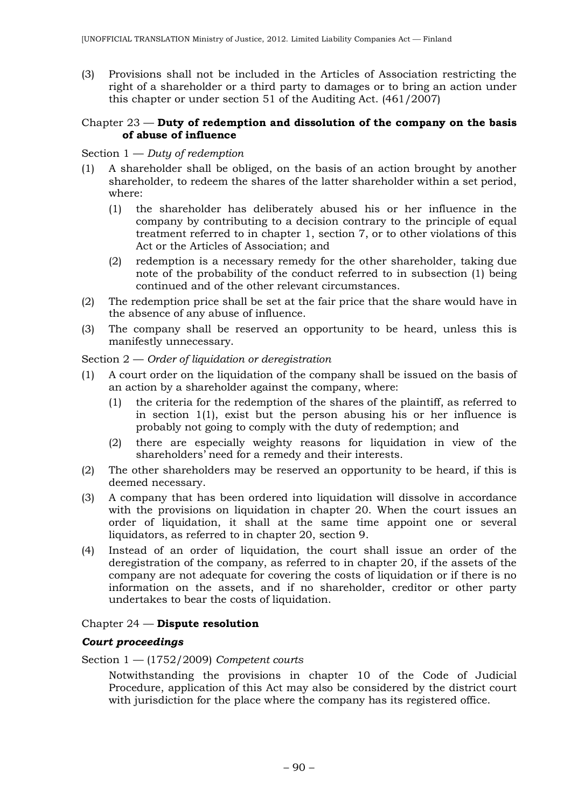(3) Provisions shall not be included in the Articles of Association restricting the right of a shareholder or a third party to damages or to bring an action under this chapter or under section 51 of the Auditing Act. (461/2007)

#### Chapter 23 — **Duty of redemption and dissolution of the company on the basis of abuse of influence**

### Section 1 — *Duty of redemption*

- (1) A shareholder shall be obliged, on the basis of an action brought by another shareholder, to redeem the shares of the latter shareholder within a set period, where:
	- (1) the shareholder has deliberately abused his or her influence in the company by contributing to a decision contrary to the principle of equal treatment referred to in chapter 1, section 7, or to other violations of this Act or the Articles of Association; and
	- (2) redemption is a necessary remedy for the other shareholder, taking due note of the probability of the conduct referred to in subsection (1) being continued and of the other relevant circumstances.
- (2) The redemption price shall be set at the fair price that the share would have in the absence of any abuse of influence.
- (3) The company shall be reserved an opportunity to be heard, unless this is manifestly unnecessary.

### Section 2 — *Order of liquidation or deregistration*

- (1) A court order on the liquidation of the company shall be issued on the basis of an action by a shareholder against the company, where:
	- (1) the criteria for the redemption of the shares of the plaintiff, as referred to in section 1(1), exist but the person abusing his or her influence is probably not going to comply with the duty of redemption; and
	- (2) there are especially weighty reasons for liquidation in view of the shareholders' need for a remedy and their interests.
- (2) The other shareholders may be reserved an opportunity to be heard, if this is deemed necessary.
- (3) A company that has been ordered into liquidation will dissolve in accordance with the provisions on liquidation in chapter 20. When the court issues an order of liquidation, it shall at the same time appoint one or several liquidators, as referred to in chapter 20, section 9.
- (4) Instead of an order of liquidation, the court shall issue an order of the deregistration of the company, as referred to in chapter 20, if the assets of the company are not adequate for covering the costs of liquidation or if there is no information on the assets, and if no shareholder, creditor or other party undertakes to bear the costs of liquidation.

### Chapter 24 — **Dispute resolution**

### *Court proceedings*

Section 1 — (1752/2009) *Competent courts*

Notwithstanding the provisions in chapter 10 of the Code of Judicial Procedure, application of this Act may also be considered by the district court with jurisdiction for the place where the company has its registered office.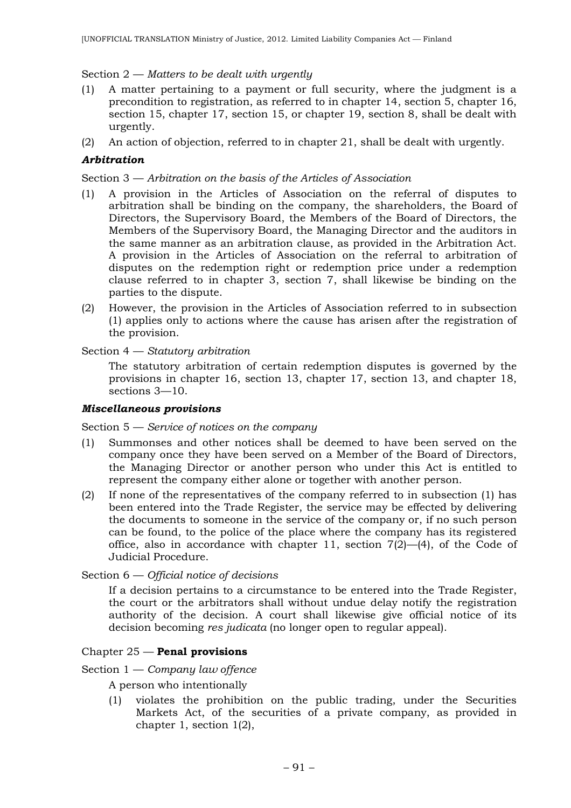### Section 2 — *Matters to be dealt with urgently*

- (1) A matter pertaining to a payment or full security, where the judgment is a precondition to registration, as referred to in chapter 14, section 5, chapter 16, section 15, chapter 17, section 15, or chapter 19, section 8, shall be dealt with urgently.
- (2) An action of objection, referred to in chapter 21, shall be dealt with urgently.

## *Arbitration*

Section 3 — *Arbitration on the basis of the Articles of Association*

- (1) A provision in the Articles of Association on the referral of disputes to arbitration shall be binding on the company, the shareholders, the Board of Directors, the Supervisory Board, the Members of the Board of Directors, the Members of the Supervisory Board, the Managing Director and the auditors in the same manner as an arbitration clause, as provided in the Arbitration Act. A provision in the Articles of Association on the referral to arbitration of disputes on the redemption right or redemption price under a redemption clause referred to in chapter 3, section 7, shall likewise be binding on the parties to the dispute.
- (2) However, the provision in the Articles of Association referred to in subsection (1) applies only to actions where the cause has arisen after the registration of the provision.

### Section 4 — *Statutory arbitration*

The statutory arbitration of certain redemption disputes is governed by the provisions in chapter 16, section 13, chapter 17, section 13, and chapter 18, sections 3—10.

### *Miscellaneous provisions*

Section 5 — *Service of notices on the company*

- (1) Summonses and other notices shall be deemed to have been served on the company once they have been served on a Member of the Board of Directors, the Managing Director or another person who under this Act is entitled to represent the company either alone or together with another person.
- (2) If none of the representatives of the company referred to in subsection (1) has been entered into the Trade Register, the service may be effected by delivering the documents to someone in the service of the company or, if no such person can be found, to the police of the place where the company has its registered office, also in accordance with chapter 11, section  $7(2)$ — $(4)$ , of the Code of Judicial Procedure.

Section 6 — *Official notice of decisions*

If a decision pertains to a circumstance to be entered into the Trade Register, the court or the arbitrators shall without undue delay notify the registration authority of the decision. A court shall likewise give official notice of its decision becoming *res judicata* (no longer open to regular appeal).

### Chapter 25 — **Penal provisions**

Section 1 — *Company law offence*

A person who intentionally

(1) violates the prohibition on the public trading, under the Securities Markets Act, of the securities of a private company, as provided in chapter 1, section 1(2),